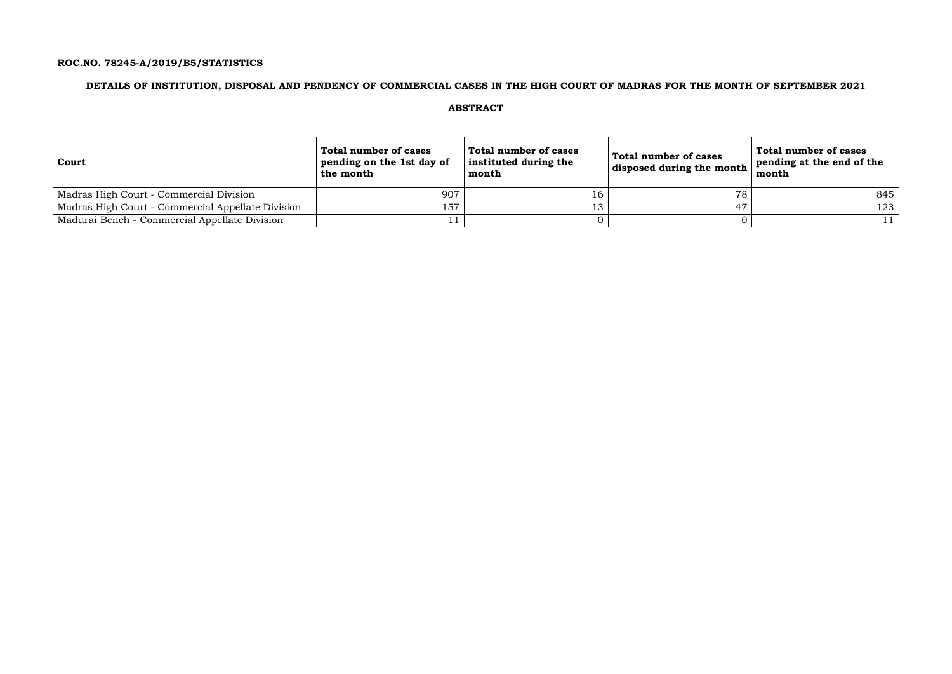## **ROC.NO. 78245-A/2019/B5/STATISTICS**

## **DETAILS OF INSTITUTION, DISPOSAL AND PENDENCY OF COMMERCIAL CASES IN THE HIGH COURT OF MADRAS FOR THE MONTH OF SEPTEMBER 2021**

## **ABSTRACT**

| <b>Court</b>                                      | Total number of cases<br>pending on the 1st day of<br>the month | Total number of cases<br>instituted during the<br>month | Total number of cases<br>disposed during the month $ $ | Total number of cases<br>pending at the end of the<br>month |
|---------------------------------------------------|-----------------------------------------------------------------|---------------------------------------------------------|--------------------------------------------------------|-------------------------------------------------------------|
| Madras High Court - Commercial Division           | 907                                                             |                                                         | 78                                                     | 845                                                         |
| Madras High Court - Commercial Appellate Division | 157                                                             | 13                                                      |                                                        | 123                                                         |
| Madurai Bench - Commercial Appellate Division     |                                                                 |                                                         |                                                        |                                                             |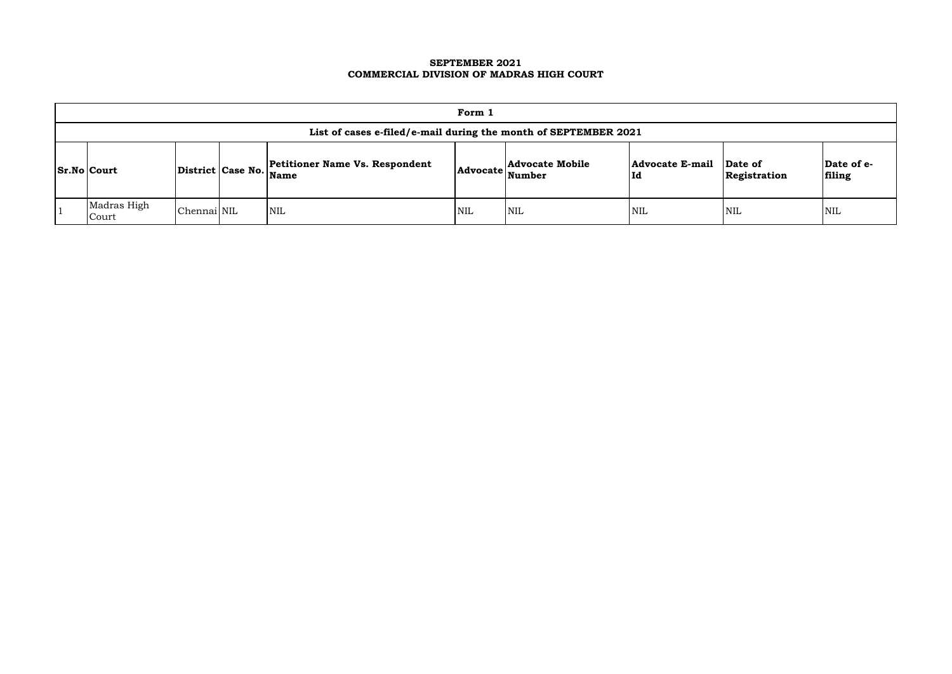## **SEPTEMBER 2021 COMMERCIAL DIVISION OF MADRAS HIGH COURT**

| Form 1                                                          |             |  |                                                                 |            |                                    |                               |                         |                      |  |  |
|-----------------------------------------------------------------|-------------|--|-----------------------------------------------------------------|------------|------------------------------------|-------------------------------|-------------------------|----------------------|--|--|
| List of cases e-filed/e-mail during the month of SEPTEMBER 2021 |             |  |                                                                 |            |                                    |                               |                         |                      |  |  |
| $ Sr.No $ Court                                                 |             |  | <b>Petitioner Name Vs. Respondent</b><br>District Case No. Name |            | Advocate Advocate Mobile<br>Number | <b>Advocate E-mail</b><br> Id | Date of<br>Registration | Date of e-<br>filing |  |  |
| Madras High<br>Court                                            | Chennai NIL |  | <b>NIL</b>                                                      | <b>NIL</b> | <b>NIL</b>                         | NIL                           | NIL                     | <b>NIL</b>           |  |  |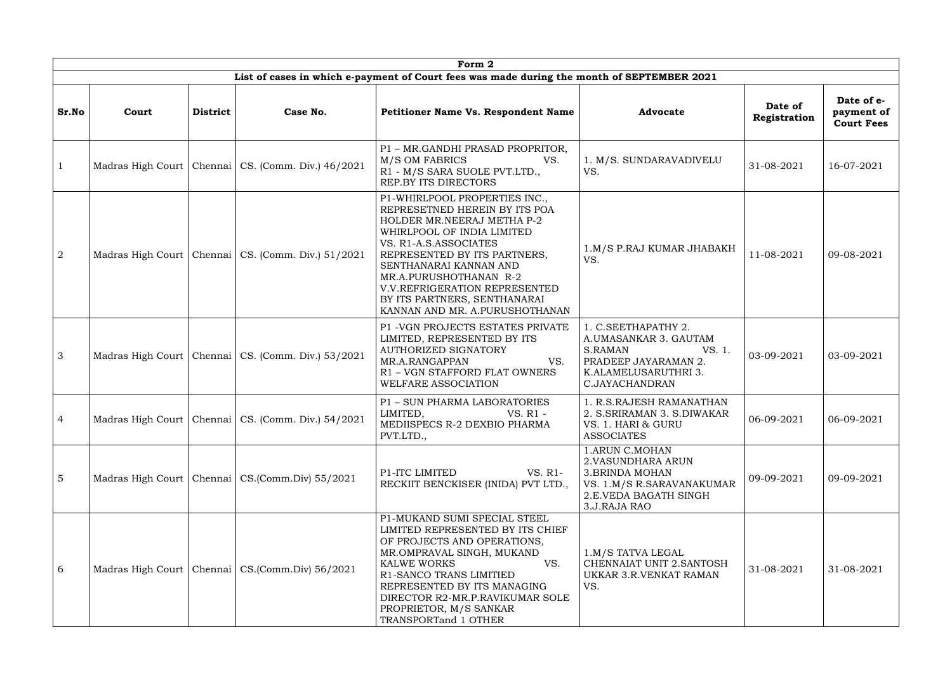|                 |       |                 |                                                        | Form 2                                                                                                                                                                                                                                                                                                                                            |                                                                                                                                     |                         |                                               |
|-----------------|-------|-----------------|--------------------------------------------------------|---------------------------------------------------------------------------------------------------------------------------------------------------------------------------------------------------------------------------------------------------------------------------------------------------------------------------------------------------|-------------------------------------------------------------------------------------------------------------------------------------|-------------------------|-----------------------------------------------|
|                 |       |                 |                                                        | List of cases in which e-payment of Court fees was made during the month of SEPTEMBER 2021                                                                                                                                                                                                                                                        |                                                                                                                                     |                         |                                               |
| Sr.No           | Court | <b>District</b> | Case No.                                               | <b>Petitioner Name Vs. Respondent Name</b>                                                                                                                                                                                                                                                                                                        | <b>Advocate</b>                                                                                                                     | Date of<br>Registration | Date of e-<br>payment of<br><b>Court Fees</b> |
| $\mathbf{1}$    |       |                 | Madras High Court   Chennai   CS. (Comm. Div.) 46/2021 | P1 - MR.GANDHI PRASAD PROPRITOR,<br>M/S OM FABRICS<br>VS.<br>R1 - M/S SARA SUOLE PVT.LTD.,<br>REP.BY ITS DIRECTORS                                                                                                                                                                                                                                | 1. M/S. SUNDARAVADIVELU<br>VS.                                                                                                      | 31-08-2021              | 16-07-2021                                    |
| 2               |       |                 | Madras High Court   Chennai   CS. (Comm. Div.) 51/2021 | P1-WHIRLPOOL PROPERTIES INC.,<br>REPRESETNED HEREIN BY ITS POA<br>HOLDER MR.NEERAJ METHA P-2<br>WHIRLPOOL OF INDIA LIMITED<br>VS. R1-A.S.ASSOCIATES<br>REPRESENTED BY ITS PARTNERS,<br>SENTHANARAI KANNAN AND<br>MR.A.PURUSHOTHANAN R-2<br><b>V.V.REFRIGERATION REPRESENTED</b><br>BY ITS PARTNERS, SENTHANARAI<br>KANNAN AND MR. A.PURUSHOTHANAN | 1.M/S P.RAJ KUMAR JHABAKH<br>VS.                                                                                                    | 11-08-2021              | 09-08-2021                                    |
| $\overline{3}$  |       |                 | Madras High Court   Chennai   CS. (Comm. Div.) 53/2021 | P1 - VGN PROJECTS ESTATES PRIVATE<br>LIMITED, REPRESENTED BY ITS<br>AUTHORIZED SIGNATORY<br>MR.A.RANGAPPAN<br>VS.<br>R1 - VGN STAFFORD FLAT OWNERS<br>WELFARE ASSOCIATION                                                                                                                                                                         | 1. C.SEETHAPATHY 2.<br>A.UMASANKAR 3. GAUTAM<br>S.RAMAN<br>VS. 1.<br>PRADEEP JAYARAMAN 2.<br>K.ALAMELUSARUTHRI 3.<br>C.JAYACHANDRAN | 03-09-2021              | 03-09-2021                                    |
| $\overline{4}$  |       |                 | Madras High Court   Chennai   CS. (Comm. Div.) 54/2021 | P1 - SUN PHARMA LABORATORIES<br>LIMITED,<br>VS. R1 -<br>MEDIISPECS R-2 DEXBIO PHARMA<br>PVT.LTD.,                                                                                                                                                                                                                                                 | 1. R.S.RAJESH RAMANATHAN<br>2. S. SRIRAMAN 3. S. DIWAKAR<br>VS. 1. HARI & GURU<br><b>ASSOCIATES</b>                                 | 06-09-2021              | 06-09-2021                                    |
| $5\overline{)}$ |       |                 | Madras High Court   Chennai   CS. (Comm. Div) 55/2021  | P1-ITC LIMITED<br>VS. R1-<br>RECKIIT BENCKISER (INIDA) PVT LTD.,                                                                                                                                                                                                                                                                                  | 1.ARUN C.MOHAN<br>2. VASUNDHARA ARUN<br><b>3.BRINDA MOHAN</b><br>VS. 1.M/S R.SARAVANAKUMAR<br>2.E.VEDA BAGATH SINGH<br>3.J.RAJA RAO | 09-09-2021              | 09-09-2021                                    |
| 6               |       |                 | Madras High Court   Chennai   CS. (Comm. Div) 56/2021  | P1-MUKAND SUMI SPECIAL STEEL<br>LIMITED REPRESENTED BY ITS CHIEF<br>OF PROJECTS AND OPERATIONS,<br>MR.OMPRAVAL SINGH, MUKAND<br>VS.<br><b>KALWE WORKS</b><br>R1-SANCO TRANS LIMITIED<br>REPRESENTED BY ITS MANAGING<br>DIRECTOR R2-MR.P.RAVIKUMAR SOLE<br>PROPRIETOR, M/S SANKAR<br>TRANSPORTand 1 OTHER                                          | 1.M/S TATVA LEGAL<br>CHENNAIAT UNIT 2.SANTOSH<br>UKKAR 3.R.VENKAT RAMAN<br>VS.                                                      | 31-08-2021              | 31-08-2021                                    |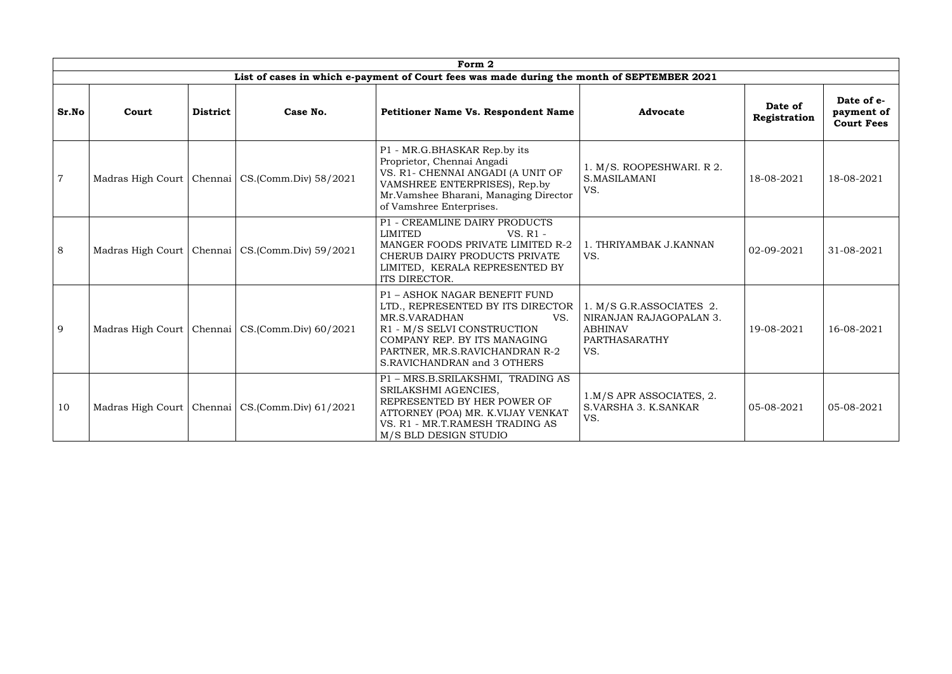|                | Form 2 |                 |                                                       |                                                                                                                                                                                                                            |                                                                                               |                         |                                               |  |  |  |  |
|----------------|--------|-----------------|-------------------------------------------------------|----------------------------------------------------------------------------------------------------------------------------------------------------------------------------------------------------------------------------|-----------------------------------------------------------------------------------------------|-------------------------|-----------------------------------------------|--|--|--|--|
|                |        |                 |                                                       | List of cases in which e-payment of Court fees was made during the month of SEPTEMBER 2021                                                                                                                                 |                                                                                               |                         |                                               |  |  |  |  |
| Sr.No          | Court  | <b>District</b> | Case No.                                              | Petitioner Name Vs. Respondent Name                                                                                                                                                                                        | <b>Advocate</b>                                                                               | Date of<br>Registration | Date of e-<br>payment of<br><b>Court Fees</b> |  |  |  |  |
| $\overline{7}$ |        |                 | Madras High Court   Chennai   CS. (Comm. Div) 58/2021 | P1 - MR.G.BHASKAR Rep.by its<br>Proprietor, Chennai Angadi<br>VS. R1- CHENNAI ANGADI (A UNIT OF<br>VAMSHREE ENTERPRISES), Rep.by<br>Mr.Vamshee Bharani, Managing Director<br>of Vamshree Enterprises.                      | 1. M/S. ROOPESHWARI. R 2.<br>S.MASILAMANI<br>VS.                                              | 18-08-2021              | 18-08-2021                                    |  |  |  |  |
| 8              |        |                 | Madras High Court   Chennai   CS. (Comm. Div) 59/2021 | P1 - CREAMLINE DAIRY PRODUCTS<br>LIMITED<br>VS. R1 -<br>MANGER FOODS PRIVATE LIMITED R-2<br>CHERUB DAIRY PRODUCTS PRIVATE<br>LIMITED, KERALA REPRESENTED BY<br>ITS DIRECTOR.                                               | 1. THRIYAMBAK J.KANNAN<br>VS.                                                                 | 02-09-2021              | 31-08-2021                                    |  |  |  |  |
| 9              |        |                 | Madras High Court   Chennai   CS. (Comm. Div) 60/2021 | P1 - ASHOK NAGAR BENEFIT FUND<br>LTD., REPRESENTED BY ITS DIRECTOR<br>MR.S.VARADHAN<br>VS.<br>R1 - M/S SELVI CONSTRUCTION<br>COMPANY REP. BY ITS MANAGING<br>PARTNER, MR.S.RAVICHANDRAN R-2<br>S.RAVICHANDRAN and 3 OTHERS | 1. M/S G.R.ASSOCIATES 2.<br>NIRANJAN RAJAGOPALAN 3.<br><b>ABHINAV</b><br>PARTHASARATHY<br>VS. | 19-08-2021              | 16-08-2021                                    |  |  |  |  |
| 10             |        |                 | Madras High Court   Chennai   CS. (Comm. Div) 61/2021 | P1 - MRS.B.SRILAKSHMI, TRADING AS<br>SRILAKSHMI AGENCIES,<br>REPRESENTED BY HER POWER OF<br>ATTORNEY (POA) MR. K.VIJAY VENKAT<br>VS. R1 - MR.T.RAMESH TRADING AS<br>M/S BLD DESIGN STUDIO                                  | 1.M/S APR ASSOCIATES, 2.<br>S.VARSHA 3. K.SANKAR<br>VS.                                       | 05-08-2021              | 05-08-2021                                    |  |  |  |  |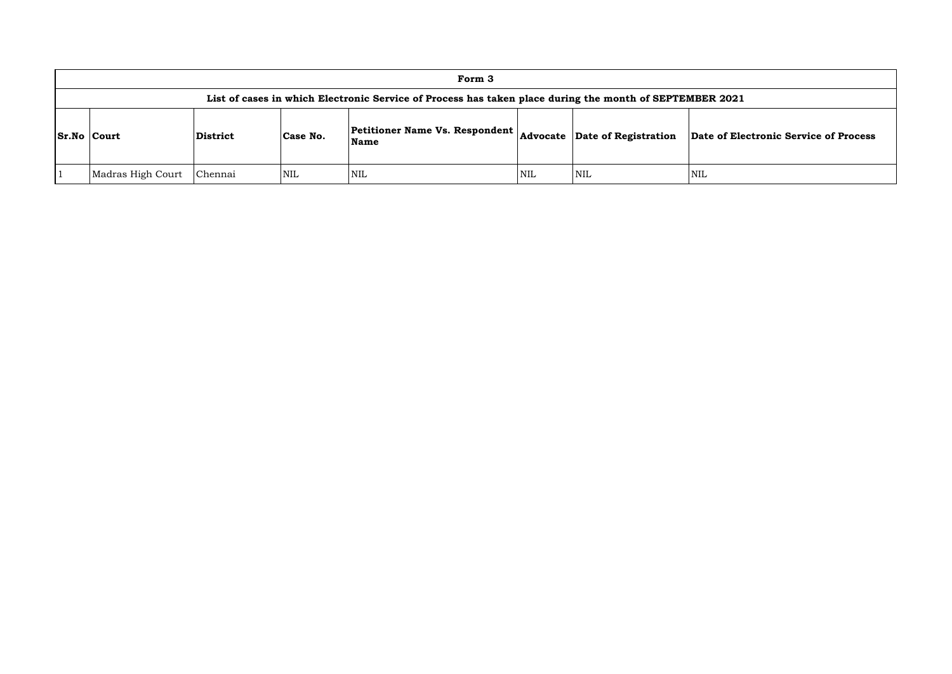|                                                                                                         |                 |          | Form 3                                        |            |                               |             |  |  |
|---------------------------------------------------------------------------------------------------------|-----------------|----------|-----------------------------------------------|------------|-------------------------------|-------------|--|--|
| List of cases in which Electronic Service of Process has taken place during the month of SEPTEMBER 2021 |                 |          |                                               |            |                               |             |  |  |
| <b>Sr.No Court</b>                                                                                      | <b>District</b> | Case No. | <b>Petitioner Name Vs. Respondent</b><br>Name |            | Advocate Date of Registration | Date of Ele |  |  |
| Madras High Court                                                                                       | Chennai         | NIL      | <b>NIL</b>                                    | <b>NIL</b> | <b>NIL</b>                    | <b>NIL</b>  |  |  |

## **Name Advocate Date of Registration Date of Electronic Service of Process**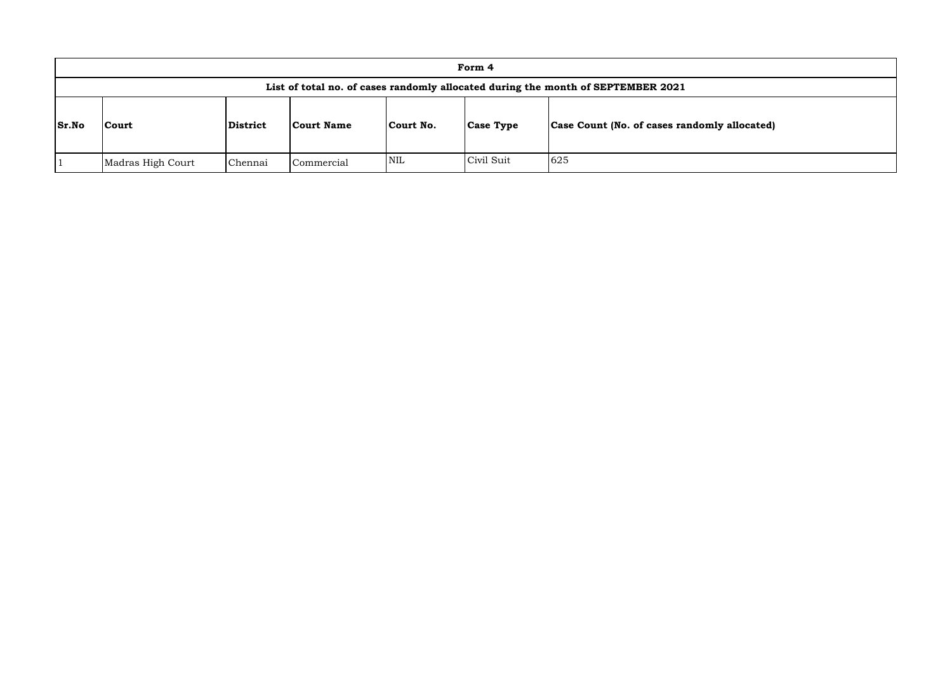|                                                                                  |                   |          |                   |            | Form 4           |                                              |  |
|----------------------------------------------------------------------------------|-------------------|----------|-------------------|------------|------------------|----------------------------------------------|--|
| List of total no. of cases randomly allocated during the month of SEPTEMBER 2021 |                   |          |                   |            |                  |                                              |  |
| <b>Sr.No</b>                                                                     | <b>Court</b>      | District | <b>Court Name</b> | Court No.  | <b>Case Type</b> | Case Count (No. of cases randomly allocated) |  |
|                                                                                  | Madras High Court | Chennai  | Commercial        | <b>NIL</b> | Civil Suit       | 625                                          |  |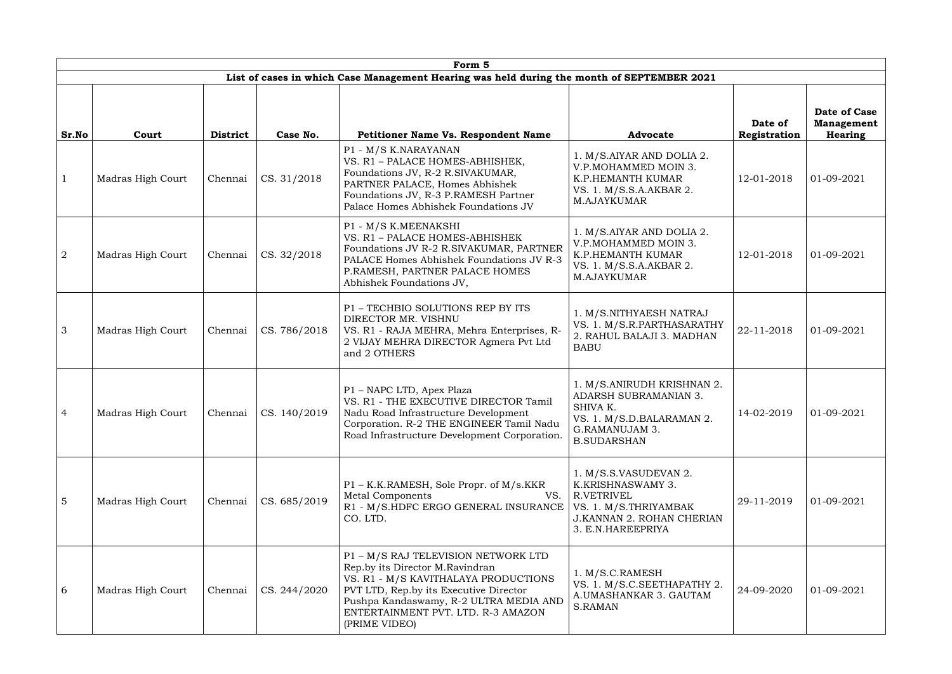|                 | Form 5            |                 |                              |                                                                                                                                                                                                                                                           |                                                                                                                                             |                         |                                                     |  |  |
|-----------------|-------------------|-----------------|------------------------------|-----------------------------------------------------------------------------------------------------------------------------------------------------------------------------------------------------------------------------------------------------------|---------------------------------------------------------------------------------------------------------------------------------------------|-------------------------|-----------------------------------------------------|--|--|
|                 |                   |                 |                              | List of cases in which Case Management Hearing was held during the month of SEPTEMBER 2021                                                                                                                                                                |                                                                                                                                             |                         |                                                     |  |  |
| Sr.No           | Court             | <b>District</b> | Case No.                     | Petitioner Name Vs. Respondent Name                                                                                                                                                                                                                       | <b>Advocate</b>                                                                                                                             | Date of<br>Registration | Date of Case<br><b>Management</b><br><b>Hearing</b> |  |  |
| $\mathbf{1}$    | Madras High Court | Chennai         | CS. 31/2018                  | P1 - M/S K.NARAYANAN<br>VS. R1 - PALACE HOMES-ABHISHEK,<br>Foundations JV, R-2 R.SIVAKUMAR,<br>PARTNER PALACE, Homes Abhishek<br>Foundations JV, R-3 P.RAMESH Partner<br>Palace Homes Abhishek Foundations JV                                             | 1. M/S.AIYAR AND DOLIA 2.<br>V.P.MOHAMMED MOIN 3.<br>K.P.HEMANTH KUMAR<br>VS. 1. M/S.S.A.AKBAR 2.<br>M.AJAYKUMAR                            | 12-01-2018              | 01-09-2021                                          |  |  |
| $\overline{2}$  | Madras High Court | Chennai         | CS. 32/2018                  | P1 - M/S K.MEENAKSHI<br>VS. R1 - PALACE HOMES-ABHISHEK<br>Foundations JV R-2 R.SIVAKUMAR, PARTNER<br>PALACE Homes Abhishek Foundations JV R-3<br>P.RAMESH, PARTNER PALACE HOMES<br>Abhishek Foundations JV,                                               | 1. M/S.AIYAR AND DOLIA 2.<br>V.P.MOHAMMED MOIN 3.<br>K.P.HEMANTH KUMAR<br>VS. 1. M/S.S.A.AKBAR 2.<br>M.AJAYKUMAR                            | 12-01-2018              | 01-09-2021                                          |  |  |
| $\mathcal{S}$   | Madras High Court | Chennai         | CS. 786/2018                 | P1 - TECHBIO SOLUTIONS REP BY ITS<br>DIRECTOR MR. VISHNU<br>VS. R1 - RAJA MEHRA, Mehra Enterprises, R-<br>2 VIJAY MEHRA DIRECTOR Agmera Pvt Ltd<br>and 2 OTHERS                                                                                           | 1. M/S.NITHYAESH NATRAJ<br>VS. 1. M/S.R.PARTHASARATHY<br>2. RAHUL BALAJI 3. MADHAN<br><b>BABU</b>                                           | 22-11-2018              | 01-09-2021                                          |  |  |
| $\overline{4}$  | Madras High Court |                 | Chennai $\vert$ CS. 140/2019 | P1 - NAPC LTD, Apex Plaza<br>VS. R1 - THE EXECUTIVE DIRECTOR Tamil<br>Nadu Road Infrastructure Development<br>Corporation. R-2 THE ENGINEER Tamil Nadu<br>Road Infrastructure Development Corporation.                                                    | 1. M/S.ANIRUDH KRISHNAN 2.<br><b>ADARSH SUBRAMANIAN 3.</b><br>SHIVA K.<br>VS. 1. M/S.D.BALARAMAN 2.<br>G.RAMANUJAM 3.<br><b>B.SUDARSHAN</b> | 14-02-2019              | 01-09-2021                                          |  |  |
| $5\overline{5}$ | Madras High Court | Chennai         | CS. 685/2019                 | P1 - K.K.RAMESH, Sole Propr. of M/s.KKR<br>Metal Components<br>VS.<br>R1 - M/S.HDFC ERGO GENERAL INSURANCE<br>CO. LTD.                                                                                                                                    | 1. M/S.S.VASUDEVAN 2.<br>K.KRISHNASWAMY 3.<br>R.VETRIVEL<br>VS. 1. M/S.THRIYAMBAK<br><b>J.KANNAN 2. ROHAN CHERIAN</b><br>3. E.N.HAREEPRIYA  | 29-11-2019              | 01-09-2021                                          |  |  |
| 6               | Madras High Court | Chennai         | CS. 244/2020                 | P1 - M/S RAJ TELEVISION NETWORK LTD<br>Rep.by its Director M.Ravindran<br>VS. R1 - M/S KAVITHALAYA PRODUCTIONS<br>PVT LTD, Rep.by its Executive Director<br>Pushpa Kandaswamy, R-2 ULTRA MEDIA AND<br>ENTERTAINMENT PVT. LTD. R-3 AMAZON<br>(PRIME VIDEO) | 1. M/S.C.RAMESH<br>VS. 1. M/S.C.SEETHAPATHY 2.<br>A.UMASHANKAR 3. GAUTAM<br><b>S.RAMAN</b>                                                  | 24-09-2020              | 01-09-2021                                          |  |  |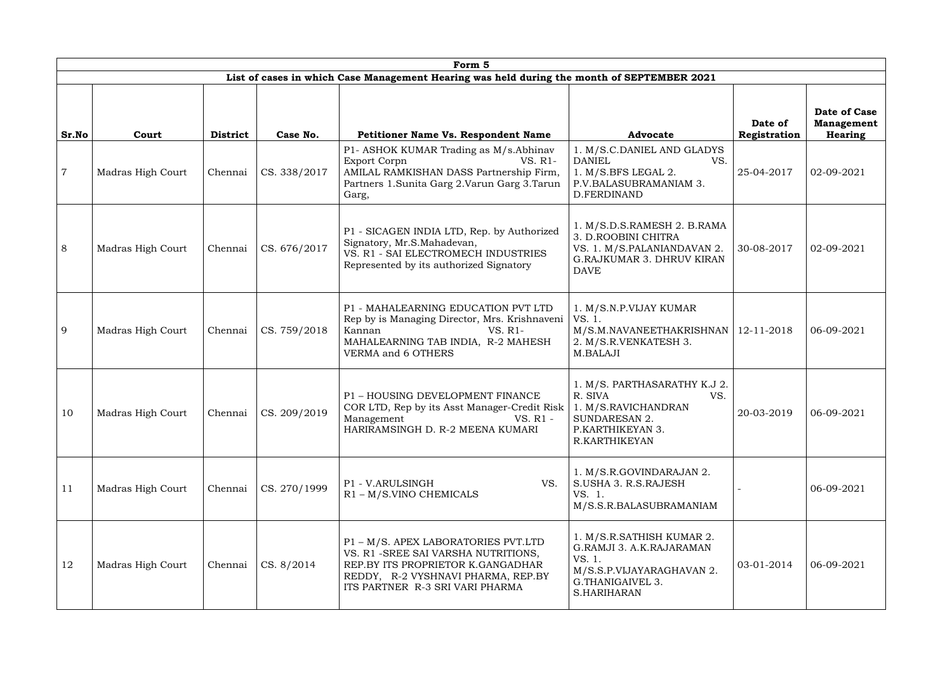|                | Form 5            |                 |              |                                                                                                                                                                                           |                                                                                                                                      |                         |                                                     |  |  |  |
|----------------|-------------------|-----------------|--------------|-------------------------------------------------------------------------------------------------------------------------------------------------------------------------------------------|--------------------------------------------------------------------------------------------------------------------------------------|-------------------------|-----------------------------------------------------|--|--|--|
|                |                   |                 |              | List of cases in which Case Management Hearing was held during the month of SEPTEMBER 2021                                                                                                |                                                                                                                                      |                         |                                                     |  |  |  |
| Sr.No          | Court             | <b>District</b> | Case No.     | Petitioner Name Vs. Respondent Name                                                                                                                                                       | <b>Advocate</b>                                                                                                                      | Date of<br>Registration | Date of Case<br><b>Management</b><br><b>Hearing</b> |  |  |  |
| $\overline{7}$ | Madras High Court | Chennai         | CS. 338/2017 | P1- ASHOK KUMAR Trading as M/s.Abhinav<br><b>Export Corpn</b><br>VS. R1-<br>AMILAL RAMKISHAN DASS Partnership Firm,<br>Partners 1. Sunita Garg 2. Varun Garg 3. Tarun<br>Garg,            | 1. M/S.C.DANIEL AND GLADYS<br><b>DANIEL</b><br>VS.<br>1. M/S.BFS LEGAL 2.<br>P.V.BALASUBRAMANIAM 3.<br>D.FERDINAND                   | 25-04-2017              | 02-09-2021                                          |  |  |  |
| 8              | Madras High Court | Chennai         | CS. 676/2017 | P1 - SICAGEN INDIA LTD, Rep. by Authorized<br>Signatory, Mr.S.Mahadevan,<br>VS. R1 - SAI ELECTROMECH INDUSTRIES<br>Represented by its authorized Signatory                                | 1. M/S.D.S.RAMESH 2. B.RAMA<br>3. D.ROOBINI CHITRA<br>VS. 1. M/S.PALANIANDAVAN 2.<br><b>G.RAJKUMAR 3. DHRUV KIRAN</b><br><b>DAVE</b> | 30-08-2017              | 02-09-2021                                          |  |  |  |
| 9              | Madras High Court | Chennai         | CS. 759/2018 | P1 - MAHALEARNING EDUCATION PVT LTD<br>Rep by is Managing Director, Mrs. Krishnaveni<br>Kannan<br>VS. R1-<br>MAHALEARNING TAB INDIA, R-2 MAHESH<br>VERMA and 6 OTHERS                     | 1. M/S.N.P.VIJAY KUMAR<br>VS. 1.<br>M/S.M.NAVANEETHAKRISHNAN<br>2. M/S.R.VENKATESH 3.<br>M.BALAJI                                    | 12-11-2018              | 06-09-2021                                          |  |  |  |
| 10             | Madras High Court | Chennai         | CS. 209/2019 | P1 - HOUSING DEVELOPMENT FINANCE<br>COR LTD, Rep by its Asst Manager-Credit Risk<br>Management<br>VS. R1 -<br>HARIRAMSINGH D. R-2 MEENA KUMARI                                            | 1. M/S. PARTHASARATHY K.J 2.<br>R. SIVA<br>VS.<br>1. M/S.RAVICHANDRAN<br><b>SUNDARESAN 2.</b><br>P.KARTHIKEYAN 3.<br>R.KARTHIKEYAN   | 20-03-2019              | 06-09-2021                                          |  |  |  |
| 11             | Madras High Court | Chennai         | CS. 270/1999 | VS.<br>P1 - V.ARULSINGH<br>$R1 - M/S$ . VINO CHEMICALS                                                                                                                                    | 1. M/S.R.GOVINDARAJAN 2.<br>S.USHA 3. R.S.RAJESH<br>VS. 1.<br>M/S.S.R.BALASUBRAMANIAM                                                |                         | 06-09-2021                                          |  |  |  |
| 12             | Madras High Court | Chennai         | CS. 8/2014   | P1 - M/S. APEX LABORATORIES PVT.LTD<br>VS. R1 - SREE SAI VARSHA NUTRITIONS,<br>REP.BY ITS PROPRIETOR K.GANGADHAR<br>REDDY, R-2 VYSHNAVI PHARMA, REP.BY<br>ITS PARTNER R-3 SRI VARI PHARMA | 1. M/S.R.SATHISH KUMAR 2.<br>G.RAMJI 3. A.K.RAJARAMAN<br>VS. 1.<br>M/S.S.P.VIJAYARAGHAVAN 2.<br>G.THANIGAIVEL 3.<br>S.HARIHARAN      | 03-01-2014              | 06-09-2021                                          |  |  |  |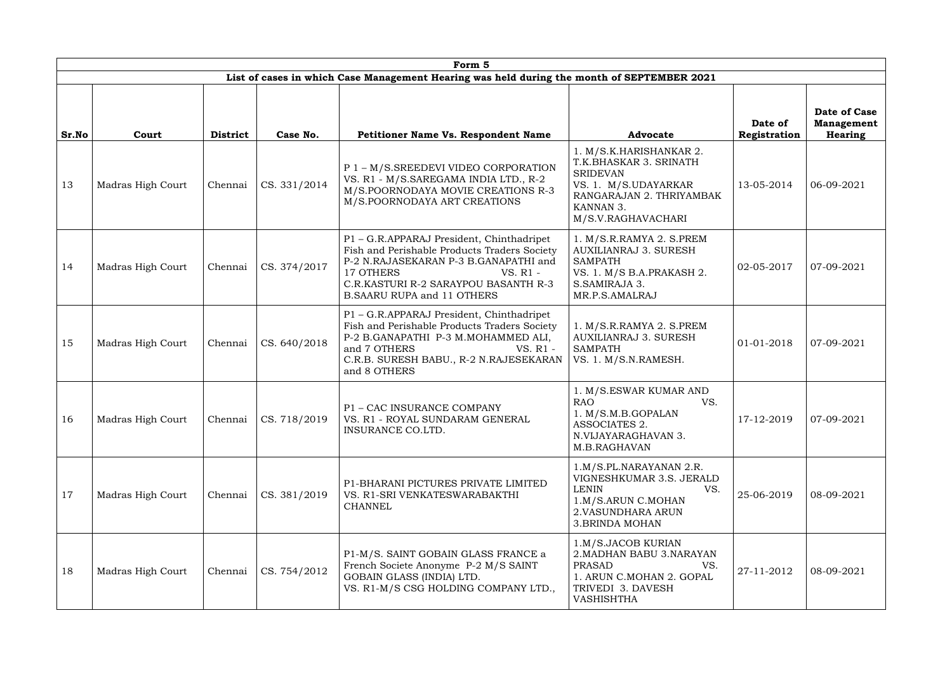|       |                   |                 |              | Form 5                                                                                                                                                                                                                                   |                                                                                                                                                             |                         |                                                     |
|-------|-------------------|-----------------|--------------|------------------------------------------------------------------------------------------------------------------------------------------------------------------------------------------------------------------------------------------|-------------------------------------------------------------------------------------------------------------------------------------------------------------|-------------------------|-----------------------------------------------------|
|       |                   |                 |              | List of cases in which Case Management Hearing was held during the month of SEPTEMBER 2021                                                                                                                                               |                                                                                                                                                             |                         |                                                     |
| Sr.No | Court             | <b>District</b> | Case No.     | Petitioner Name Vs. Respondent Name                                                                                                                                                                                                      | <b>Advocate</b>                                                                                                                                             | Date of<br>Registration | Date of Case<br><b>Management</b><br><b>Hearing</b> |
| 13    | Madras High Court | Chennai         | CS. 331/2014 | P 1 - M/S.SREEDEVI VIDEO CORPORATION<br>VS. R1 - M/S.SAREGAMA INDIA LTD., R-2<br>M/S.POORNODAYA MOVIE CREATIONS R-3<br>M/S.POORNODAYA ART CREATIONS                                                                                      | 1. M/S.K.HARISHANKAR 2.<br>T.K.BHASKAR 3. SRINATH<br><b>SRIDEVAN</b><br>VS. 1. M/S.UDAYARKAR<br>RANGARAJAN 2. THRIYAMBAK<br>KANNAN 3.<br>M/S.V.RAGHAVACHARI | 13-05-2014              | 06-09-2021                                          |
| 14    | Madras High Court | Chennai         | CS. 374/2017 | P1 - G.R.APPARAJ President, Chinthadripet<br>Fish and Perishable Products Traders Society<br>P-2 N.RAJASEKARAN P-3 B.GANAPATHI and<br>17 OTHERS<br>VS. R1 -<br>C.R.KASTURI R-2 SARAYPOU BASANTH R-3<br><b>B.SAARU RUPA and 11 OTHERS</b> | 1. M/S.R.RAMYA 2. S.PREM<br><b>AUXILIANRAJ 3. SURESH</b><br><b>SAMPATH</b><br>VS. 1. M/S B.A.PRAKASH 2.<br>S.SAMIRAJA 3.<br>MR.P.S.AMALRAJ                  | 02-05-2017              | 07-09-2021                                          |
| 15    | Madras High Court | Chennai         | CS. 640/2018 | P1 - G.R.APPARAJ President, Chinthadripet<br>Fish and Perishable Products Traders Society<br>P-2 B.GANAPATHI P-3 M.MOHAMMED ALI,<br>and 7 OTHERS<br>VS. R1 -<br>C.R.B. SURESH BABU., R-2 N.RAJESEKARAN<br>and 8 OTHERS                   | 1. M/S.R.RAMYA 2. S.PREM<br>AUXILIANRAJ 3. SURESH<br><b>SAMPATH</b><br>VS. 1. M/S.N.RAMESH.                                                                 | 01-01-2018              | 07-09-2021                                          |
| 16    | Madras High Court | Chennai         | CS. 718/2019 | P1 - CAC INSURANCE COMPANY<br>VS. R1 - ROYAL SUNDARAM GENERAL<br>INSURANCE CO.LTD.                                                                                                                                                       | 1. M/S.ESWAR KUMAR AND<br><b>RAO</b><br>VS.<br>1. M/S.M.B.GOPALAN<br>ASSOCIATES 2.<br>N.VIJAYARAGHAVAN 3.<br>M.B.RAGHAVAN                                   | 17-12-2019              | 07-09-2021                                          |
| 17    | Madras High Court | Chennai         | CS. 381/2019 | P1-BHARANI PICTURES PRIVATE LIMITED<br>VS. R1-SRI VENKATESWARABAKTHI<br><b>CHANNEL</b>                                                                                                                                                   | 1.M/S.PL.NARAYANAN 2.R.<br>VIGNESHKUMAR 3.S. JERALD<br><b>LENIN</b><br>VS.<br>1.M/S.ARUN C.MOHAN<br>2. VASUNDHARA ARUN<br><b>3.BRINDA MOHAN</b>             | 25-06-2019              | 08-09-2021                                          |
| 18    | Madras High Court | Chennai         | CS. 754/2012 | P1-M/S. SAINT GOBAIN GLASS FRANCE a<br>French Societe Anonyme P-2 M/S SAINT<br>GOBAIN GLASS (INDIA) LTD.<br>VS. R1-M/S CSG HOLDING COMPANY LTD.,                                                                                         | 1.M/S.JACOB KURIAN<br>2. MADHAN BABU 3. NARAYAN<br>VS.<br><b>PRASAD</b><br>1. ARUN C.MOHAN 2. GOPAL<br>TRIVEDI 3. DAVESH<br>VASHISHTHA                      | 27-11-2012              | 08-09-2021                                          |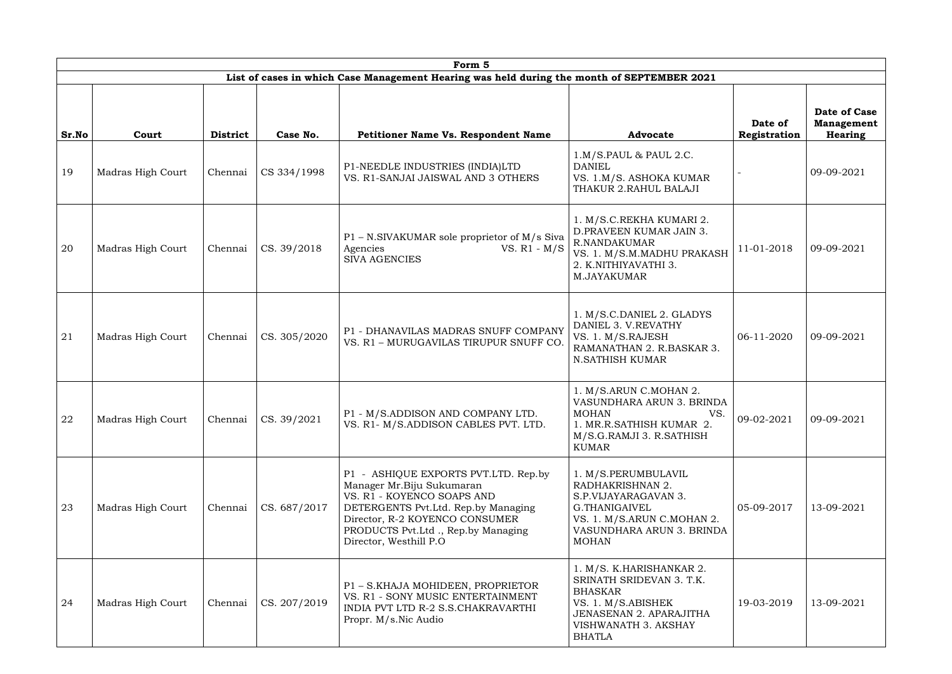| Form 5 |                   |                 |                             |                                                                                                                                                                                                                                              |                                                                                                                                                                         |                         |                                              |  |
|--------|-------------------|-----------------|-----------------------------|----------------------------------------------------------------------------------------------------------------------------------------------------------------------------------------------------------------------------------------------|-------------------------------------------------------------------------------------------------------------------------------------------------------------------------|-------------------------|----------------------------------------------|--|
|        |                   |                 |                             | List of cases in which Case Management Hearing was held during the month of SEPTEMBER 2021                                                                                                                                                   |                                                                                                                                                                         |                         |                                              |  |
| Sr.No  | Court             | <b>District</b> | Case No.                    | <b>Petitioner Name Vs. Respondent Name</b>                                                                                                                                                                                                   | <b>Advocate</b>                                                                                                                                                         | Date of<br>Registration | Date of Case<br><b>Management</b><br>Hearing |  |
| 19     | Madras High Court | Chennai         | CS 334/1998                 | P1-NEEDLE INDUSTRIES (INDIA)LTD<br>VS. R1-SANJAI JAISWAL AND 3 OTHERS                                                                                                                                                                        | 1.M/S.PAUL & PAUL 2.C.<br><b>DANIEL</b><br>VS. 1.M/S. ASHOKA KUMAR<br>THAKUR 2.RAHUL BALAJI                                                                             |                         | 09-09-2021                                   |  |
| 20     | Madras High Court | Chennai         | CS. 39/2018                 | P1 - N.SIVAKUMAR sole proprietor of M/s Siva<br>VS. $R1 - M/S$<br>Agencies<br><b>SIVA AGENCIES</b>                                                                                                                                           | 1. M/S.C.REKHA KUMARI 2.<br>D.PRAVEEN KUMAR JAIN 3.<br><b>R.NANDAKUMAR</b><br>VS. 1. M/S.M.MADHU PRAKASH<br>2. K.NITHIYAVATHI 3.<br><b>M.JAYAKUMAR</b>                  | 11-01-2018              | 09-09-2021                                   |  |
| 21     | Madras High Court | Chennai         | CS. 305/2020                | P1 - DHANAVILAS MADRAS SNUFF COMPANY<br>VS. R1 - MURUGAVILAS TIRUPUR SNUFF CO.                                                                                                                                                               | 1. M/S.C.DANIEL 2. GLADYS<br>DANIEL 3. V.REVATHY<br>VS. 1. M/S.RAJESH<br>RAMANATHAN 2. R.BASKAR 3.<br><b>N.SATHISH KUMAR</b>                                            | 06-11-2020              | 09-09-2021                                   |  |
| 22     | Madras High Court |                 | Chennai $\vert$ CS. 39/2021 | P1 - M/S.ADDISON AND COMPANY LTD.<br>VS. R1- M/S.ADDISON CABLES PVT. LTD.                                                                                                                                                                    | 1. M/S.ARUN C.MOHAN 2.<br>VASUNDHARA ARUN 3. BRINDA<br>MOHAN<br>VS.<br>1. MR.R.SATHISH KUMAR 2.<br>M/S.G.RAMJI 3. R.SATHISH<br><b>KUMAR</b>                             | 09-02-2021              | 09-09-2021                                   |  |
| 23     | Madras High Court | Chennai         | CS. 687/2017                | P1 - ASHIQUE EXPORTS PVT.LTD. Rep.by<br>Manager Mr.Biju Sukumaran<br>VS. R1 - KOYENCO SOAPS AND<br>DETERGENTS Pvt. Ltd. Rep. by Managing<br>Director, R-2 KOYENCO CONSUMER<br>PRODUCTS Pvt.Ltd ., Rep.by Managing<br>Director, Westhill P.O. | 1. M/S.PERUMBULAVIL<br>RADHAKRISHNAN 2.<br>S.P.VIJAYARAGAVAN 3.<br>G.THANIGAIVEL<br>VS. 1. M/S.ARUN C.MOHAN 2.<br>VASUNDHARA ARUN 3. BRINDA<br><b>MOHAN</b>             | 05-09-2017              | 13-09-2021                                   |  |
| 24     | Madras High Court | Chennai         | CS. 207/2019                | P1 - S.KHAJA MOHIDEEN, PROPRIETOR<br>VS. R1 - SONY MUSIC ENTERTAINMENT<br>INDIA PVT LTD R-2 S.S.CHAKRAVARTHI<br>Propr. M/s.Nic Audio                                                                                                         | 1. M/S. K.HARISHANKAR 2.<br>SRINATH SRIDEVAN 3. T.K.<br><b>BHASKAR</b><br>VS. 1. M/S.ABISHEK<br><b>JENASENAN 2. APARAJITHA</b><br>VISHWANATH 3. AKSHAY<br><b>BHATLA</b> | 19-03-2019              | 13-09-2021                                   |  |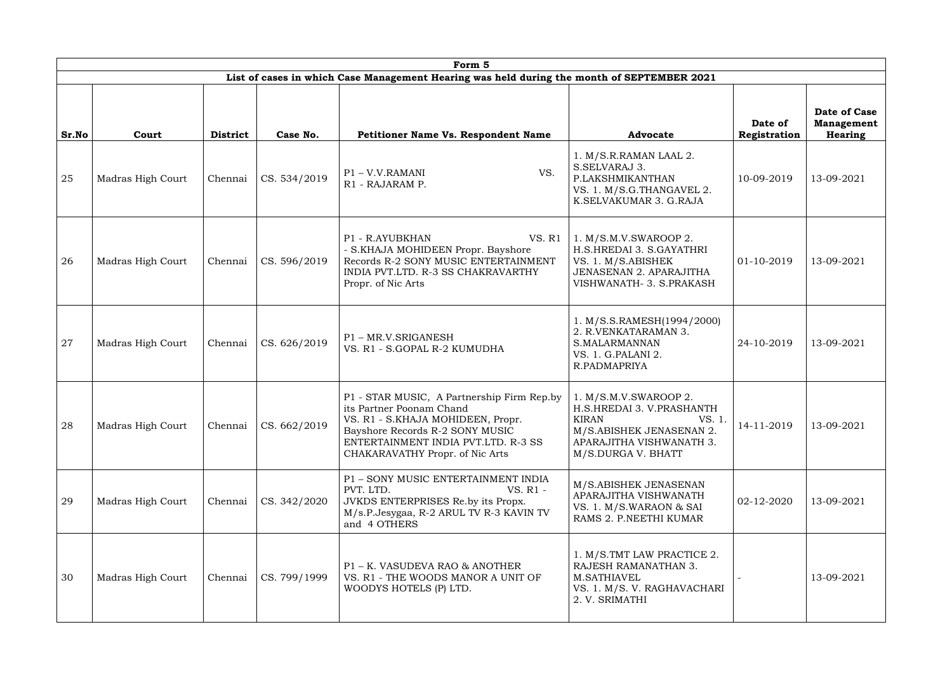|       | Form 5            |                 |              |                                                                                                                                                                                                                          |                                                                                                                                                            |                         |                                                     |  |  |  |  |
|-------|-------------------|-----------------|--------------|--------------------------------------------------------------------------------------------------------------------------------------------------------------------------------------------------------------------------|------------------------------------------------------------------------------------------------------------------------------------------------------------|-------------------------|-----------------------------------------------------|--|--|--|--|
|       |                   |                 |              | List of cases in which Case Management Hearing was held during the month of SEPTEMBER 2021                                                                                                                               |                                                                                                                                                            |                         |                                                     |  |  |  |  |
| Sr.No | Court             | <b>District</b> | Case No.     | Petitioner Name Vs. Respondent Name                                                                                                                                                                                      | <b>Advocate</b>                                                                                                                                            | Date of<br>Registration | Date of Case<br><b>Management</b><br><b>Hearing</b> |  |  |  |  |
| 25    | Madras High Court | Chennai         | CS. 534/2019 | VS.<br>P1 - V.V.RAMANI<br>R1 - RAJARAM P.                                                                                                                                                                                | 1. M/S.R.RAMAN LAAL 2.<br>S.SELVARAJ 3.<br>P.LAKSHMIKANTHAN<br>VS. 1. M/S.G.THANGAVEL 2.<br>K.SELVAKUMAR 3. G.RAJA                                         | 10-09-2019              | 13-09-2021                                          |  |  |  |  |
| 26    | Madras High Court | Chennai         | CS. 596/2019 | <b>VS. R1</b><br>P1 - R.AYUBKHAN<br>- S.KHAJA MOHIDEEN Propr. Bayshore<br>Records R-2 SONY MUSIC ENTERTAINMENT<br>INDIA PVT.LTD. R-3 SS CHAKRAVARTHY<br>Propr. of Nic Arts                                               | 1. M/S.M.V.SWAROOP 2.<br>H.S.HREDAI 3. S.GAYATHRI<br>VS. 1. M/S.ABISHEK<br><b>JENASENAN 2. APARAJITHA</b><br>VISHWANATH- 3. S.PRAKASH                      | 01-10-2019              | 13-09-2021                                          |  |  |  |  |
| 27    | Madras High Court | Chennai         | CS. 626/2019 | P1-MR.V.SRIGANESH<br>VS. R1 - S.GOPAL R-2 KUMUDHA                                                                                                                                                                        | 1. M/S.S.RAMESH(1994/2000)<br>2. R.VENKATARAMAN 3.<br>S.MALARMANNAN<br>VS. 1. G.PALANI 2.<br>R.PADMAPRIYA                                                  | 24-10-2019              | 13-09-2021                                          |  |  |  |  |
| 28    | Madras High Court | Chennai         | CS. 662/2019 | P1 - STAR MUSIC, A Partnership Firm Rep.by<br>its Partner Poonam Chand<br>VS. R1 - S.KHAJA MOHIDEEN, Propr.<br>Bayshore Records R-2 SONY MUSIC<br>ENTERTAINMENT INDIA PVT.LTD. R-3 SS<br>CHAKARAVATHY Propr. of Nic Arts | 1. M/S.M.V.SWAROOP 2.<br>H.S.HREDAI 3. V.PRASHANTH<br><b>KIRAN</b><br>VS. 1.<br>M/S.ABISHEK JENASENAN 2.<br>APARAJITHA VISHWANATH 3.<br>M/S.DURGA V. BHATT | 14-11-2019              | 13-09-2021                                          |  |  |  |  |
| 29    | Madras High Court | Chennai         | CS. 342/2020 | P1 - SONY MUSIC ENTERTAINMENT INDIA<br>PVT. LTD.<br>VS. R1 -<br>JVKDS ENTERPRISES Re.by its Propx.<br>M/s.P.Jesygaa, R-2 ARUL TV R-3 KAVIN TV<br>and 4 OTHERS                                                            | M/S.ABISHEK JENASENAN<br>APARAJITHA VISHWANATH<br>VS. 1. M/S.WARAON & SAI<br>RAMS 2. P.NEETHI KUMAR                                                        | 02-12-2020              | 13-09-2021                                          |  |  |  |  |
| 30    | Madras High Court | Chennai         | CS. 799/1999 | P1 – K. VASUDEVA RAO & ANOTHER<br>VS. R1 - THE WOODS MANOR A UNIT OF<br>WOODYS HOTELS (P) LTD.                                                                                                                           | 1. M/S.TMT LAW PRACTICE 2.<br>RAJESH RAMANATHAN 3.<br>M.SATHIAVEL<br>VS. 1. M/S. V. RAGHAVACHARI<br>2. V. SRIMATHI                                         |                         | 13-09-2021                                          |  |  |  |  |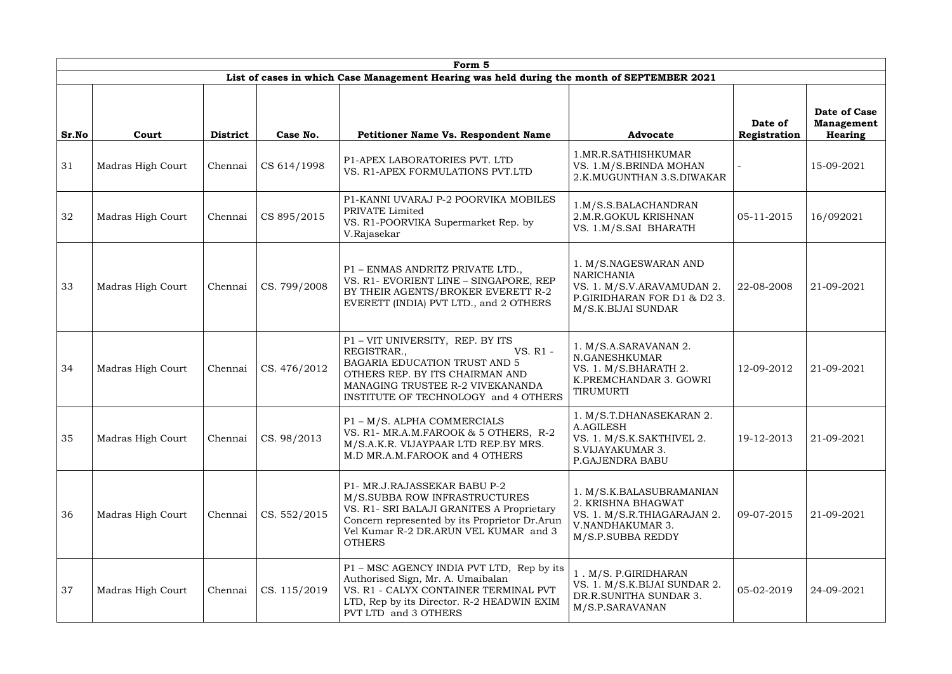|       | Form 5            |                 |              |                                                                                                                                                                                                                       |                                                                                                                               |                         |                                                     |  |  |  |
|-------|-------------------|-----------------|--------------|-----------------------------------------------------------------------------------------------------------------------------------------------------------------------------------------------------------------------|-------------------------------------------------------------------------------------------------------------------------------|-------------------------|-----------------------------------------------------|--|--|--|
|       |                   |                 |              | List of cases in which Case Management Hearing was held during the month of SEPTEMBER 2021                                                                                                                            |                                                                                                                               |                         |                                                     |  |  |  |
| Sr.No | Court             | <b>District</b> | Case No.     | Petitioner Name Vs. Respondent Name                                                                                                                                                                                   | <b>Advocate</b>                                                                                                               | Date of<br>Registration | Date of Case<br><b>Management</b><br><b>Hearing</b> |  |  |  |
| 31    | Madras High Court | Chennai         | CS 614/1998  | P1-APEX LABORATORIES PVT. LTD<br>VS. R1-APEX FORMULATIONS PVT.LTD                                                                                                                                                     | 1. MR.R. SATHISHKUMAR<br>VS. 1.M/S.BRINDA MOHAN<br>2.K.MUGUNTHAN 3.S.DIWAKAR                                                  |                         | 15-09-2021                                          |  |  |  |
| 32    | Madras High Court | Chennai         | CS 895/2015  | P1-KANNI UVARAJ P-2 POORVIKA MOBILES<br>PRIVATE Limited<br>VS. R1-POORVIKA Supermarket Rep. by<br>V.Rajasekar                                                                                                         | 1.M/S.S.BALACHANDRAN<br>2.M.R.GOKUL KRISHNAN<br>VS. 1.M/S.SAI BHARATH                                                         | 05-11-2015              | 16/092021                                           |  |  |  |
| 33    | Madras High Court | Chennai         | CS. 799/2008 | P1 - ENMAS ANDRITZ PRIVATE LTD.,<br>VS. R1- EVORIENT LINE - SINGAPORE, REP<br>BY THEIR AGENTS/BROKER EVERETT R-2<br>EVERETT (INDIA) PVT LTD., and 2 OTHERS                                                            | 1. M/S.NAGESWARAN AND<br><b>NARICHANIA</b><br>VS. 1. M/S.V.ARAVAMUDAN 2.<br>P.GIRIDHARAN FOR D1 & D2 3.<br>M/S.K.BIJAI SUNDAR | 22-08-2008              | 21-09-2021                                          |  |  |  |
| 34    | Madras High Court | Chennai         | CS. 476/2012 | P1 - VIT UNIVERSITY, REP. BY ITS<br>REGISTRAR.,<br>VS. R1 -<br>BAGARIA EDUCATION TRUST AND 5<br>OTHERS REP. BY ITS CHAIRMAN AND<br>MANAGING TRUSTEE R-2 VIVEKANANDA<br>INSTITUTE OF TECHNOLOGY and 4 OTHERS           | 1. M/S.A.SARAVANAN 2.<br>N.GANESHKUMAR<br>VS. 1. M/S.BHARATH 2.<br>K.PREMCHANDAR 3. GOWRI<br>TIRUMURTI                        | 12-09-2012              | 21-09-2021                                          |  |  |  |
| 35    | Madras High Court | Chennai         | CS. 98/2013  | P1 - M/S. ALPHA COMMERCIALS<br>VS. R1- MR.A.M.FAROOK & 5 OTHERS, R-2<br>M/S.A.K.R. VIJAYPAAR LTD REP.BY MRS.<br>M.D MR.A.M.FAROOK and 4 OTHERS                                                                        | 1. M/S.T.DHANASEKARAN 2.<br>A.AGILESH<br>VS. 1. M/S.K.SAKTHIVEL 2.<br>S.VIJAYAKUMAR 3.<br>P.GAJENDRA BABU                     | 19-12-2013              | 21-09-2021                                          |  |  |  |
| 36    | Madras High Court | Chennai         | CS. 552/2015 | P1- MR.J.RAJASSEKAR BABU P-2<br>M/S.SUBBA ROW INFRASTRUCTURES<br>VS. R1- SRI BALAJI GRANITES A Proprietary<br>Concern represented by its Proprietor Dr.Arun<br>Vel Kumar R-2 DR.ARUN VEL KUMAR and 3<br><b>OTHERS</b> | 1. M/S.K.BALASUBRAMANIAN<br>2. KRISHNA BHAGWAT<br>VS. 1. M/S.R.THIAGARAJAN 2.<br>V.NANDHAKUMAR 3.<br>M/S.P.SUBBA REDDY        | 09-07-2015              | 21-09-2021                                          |  |  |  |
| 37    | Madras High Court | Chennai         | CS. 115/2019 | P1 - MSC AGENCY INDIA PVT LTD, Rep by its<br>Authorised Sign, Mr. A. Umaibalan<br>VS. R1 - CALYX CONTAINER TERMINAL PVT<br>LTD, Rep by its Director. R-2 HEADWIN EXIM<br>PVT LTD and 3 OTHERS                         | 1. M/S. P.GIRIDHARAN<br>VS. 1. M/S.K.BIJAI SUNDAR 2.<br>DR.R.SUNITHA SUNDAR 3.<br>M/S.P.SARAVANAN                             | 05-02-2019              | 24-09-2021                                          |  |  |  |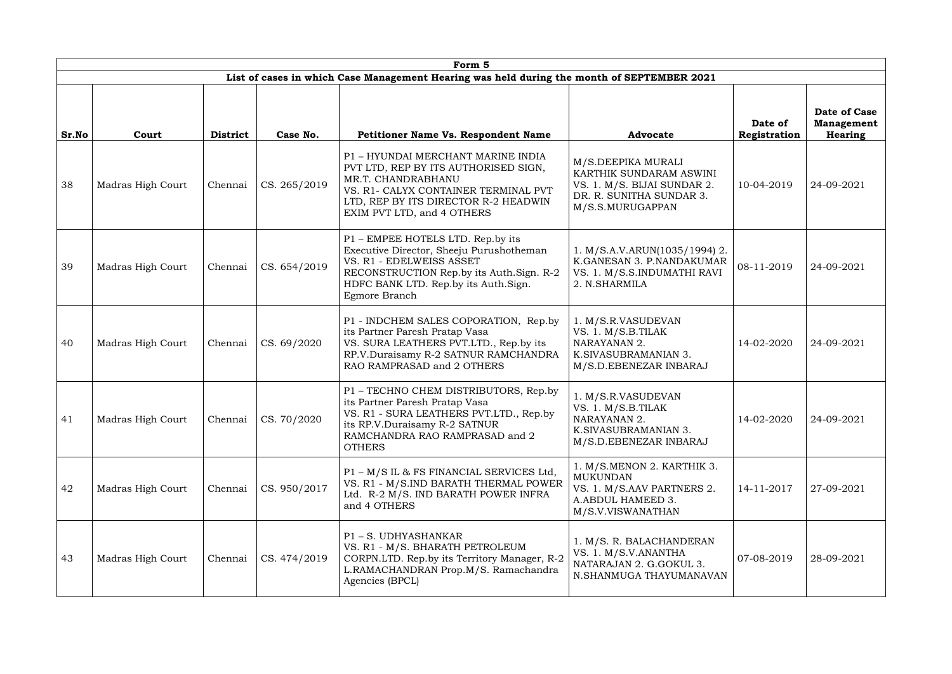| Form 5 |                   |                 |                             |                                                                                                                                                                                                                  |                                                                                                                              |                         |                                                            |
|--------|-------------------|-----------------|-----------------------------|------------------------------------------------------------------------------------------------------------------------------------------------------------------------------------------------------------------|------------------------------------------------------------------------------------------------------------------------------|-------------------------|------------------------------------------------------------|
|        |                   |                 |                             | List of cases in which Case Management Hearing was held during the month of SEPTEMBER 2021                                                                                                                       |                                                                                                                              |                         |                                                            |
| Sr.No  | Court             | <b>District</b> | Case No.                    | Petitioner Name Vs. Respondent Name                                                                                                                                                                              | <b>Advocate</b>                                                                                                              | Date of<br>Registration | <b>Date of Case</b><br><b>Management</b><br><b>Hearing</b> |
| 38     | Madras High Court | Chennai         | CS. 265/2019                | P1 - HYUNDAI MERCHANT MARINE INDIA<br>PVT LTD, REP BY ITS AUTHORISED SIGN,<br>MR.T. CHANDRABHANU<br>VS. R1- CALYX CONTAINER TERMINAL PVT<br>LTD, REP BY ITS DIRECTOR R-2 HEADWIN<br>EXIM PVT LTD, and 4 OTHERS   | M/S.DEEPIKA MURALI<br>KARTHIK SUNDARAM ASWINI<br>VS. 1. M/S. BIJAI SUNDAR 2.<br>DR. R. SUNITHA SUNDAR 3.<br>M/S.S.MURUGAPPAN | 10-04-2019              | 24-09-2021                                                 |
| 39     | Madras High Court | Chennai         | CS. 654/2019                | P1 – EMPEE HOTELS LTD. Rep.by its<br>Executive Director, Sheeju Purushotheman<br>VS. R1 - EDELWEISS ASSET<br>RECONSTRUCTION Rep.by its Auth. Sign. R-2<br>HDFC BANK LTD. Rep.by its Auth. Sign.<br>Egmore Branch | 1. M/S.A.V.ARUN(1035/1994) 2.<br>K.GANESAN 3. P.NANDAKUMAR<br>VS. 1. M/S.S. INDUMATHI RAVI<br>2. N.SHARMILA                  | 08-11-2019              | 24-09-2021                                                 |
| 40     | Madras High Court | Chennai         | CS. 69/2020                 | P1 - INDCHEM SALES COPORATION, Rep.by<br>its Partner Paresh Pratap Vasa<br>VS. SURA LEATHERS PVT.LTD., Rep.by its<br>RP.V.Duraisamy R-2 SATNUR RAMCHANDRA<br>RAO RAMPRASAD and 2 OTHERS                          | 1. M/S.R.VASUDEVAN<br>VS. 1. M/S.B.TILAK<br>NARAYANAN 2.<br>K.SIVASUBRAMANIAN 3.<br>M/S.D.EBENEZAR INBARAJ                   | 14-02-2020              | 24-09-2021                                                 |
| 41     | Madras High Court |                 | Chennai $\vert$ CS. 70/2020 | P1 - TECHNO CHEM DISTRIBUTORS, Rep.by<br>its Partner Paresh Pratap Vasa<br>VS. R1 - SURA LEATHERS PVT.LTD., Rep.by<br>its RP.V.Duraisamy R-2 SATNUR<br>RAMCHANDRA RAO RAMPRASAD and 2<br><b>OTHERS</b>           | 1. M/S.R.VASUDEVAN<br>VS. 1. M/S.B.TILAK<br>NARAYANAN 2.<br>K.SIVASUBRAMANIAN 3.<br>M/S.D.EBENEZAR INBARAJ                   | 14-02-2020              | 24-09-2021                                                 |
| 42     | Madras High Court | Chennai         | CS. 950/2017                | P1 - M/S IL & FS FINANCIAL SERVICES Ltd,<br>VS. R1 - M/S.IND BARATH THERMAL POWER<br>Ltd. R-2 M/S. IND BARATH POWER INFRA<br>and 4 OTHERS                                                                        | 1. M/S.MENON 2. KARTHIK 3.<br><b>MUKUNDAN</b><br>VS. 1. M/S.AAV PARTNERS 2.<br>A.ABDUL HAMEED 3.<br>M/S.V.VISWANATHAN        | 14-11-2017              | 27-09-2021                                                 |
| 43     | Madras High Court | Chennai         | CS. 474/2019                | P1-S. UDHYASHANKAR<br>VS. R1 - M/S. BHARATH PETROLEUM<br>CORPN.LTD. Rep.by its Territory Manager, R-2<br>L.RAMACHANDRAN Prop.M/S. Ramachandra<br>Agencies (BPCL)                                                 | 1. M/S. R. BALACHANDERAN<br>VS. 1. M/S.V.ANANTHA<br>NATARAJAN 2. G.GOKUL 3.<br>N.SHANMUGA THAYUMANAVAN                       | 07-08-2019              | 28-09-2021                                                 |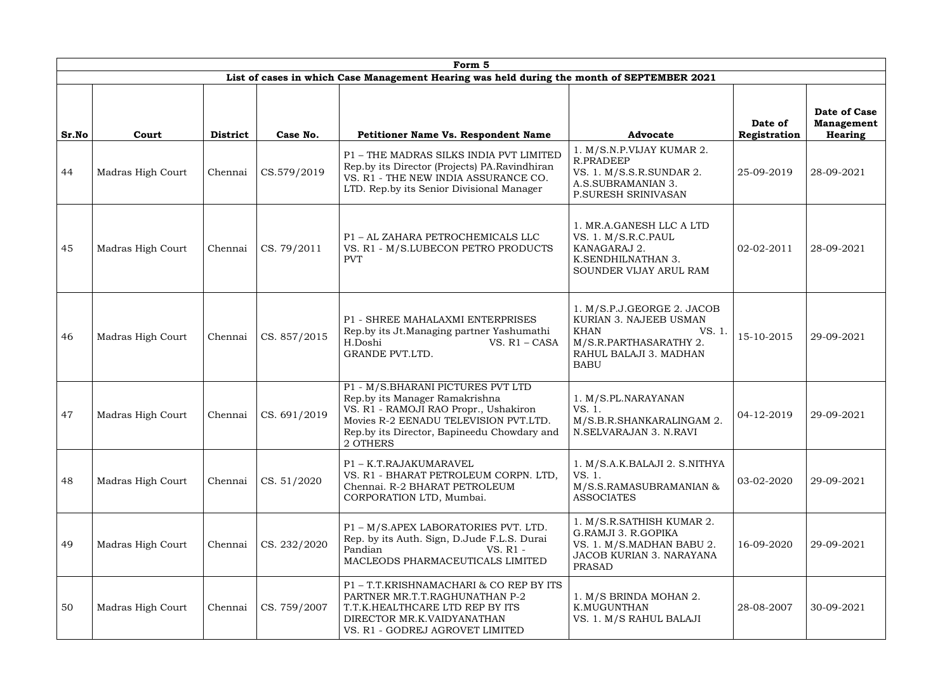| Form 5 |                   |                 |              |                                                                                                                                                                                                                  |                                                                                                                                                 |                         |                                                     |
|--------|-------------------|-----------------|--------------|------------------------------------------------------------------------------------------------------------------------------------------------------------------------------------------------------------------|-------------------------------------------------------------------------------------------------------------------------------------------------|-------------------------|-----------------------------------------------------|
|        |                   |                 |              | List of cases in which Case Management Hearing was held during the month of SEPTEMBER 2021                                                                                                                       |                                                                                                                                                 |                         |                                                     |
| Sr.No  | Court             | <b>District</b> | Case No.     | Petitioner Name Vs. Respondent Name                                                                                                                                                                              | <b>Advocate</b>                                                                                                                                 | Date of<br>Registration | Date of Case<br><b>Management</b><br><b>Hearing</b> |
| 44     | Madras High Court | Chennai         | CS.579/2019  | P1 - THE MADRAS SILKS INDIA PVT LIMITED<br>Rep.by its Director (Projects) PA. Ravindhiran<br>VS. R1 - THE NEW INDIA ASSURANCE CO.<br>LTD. Rep.by its Senior Divisional Manager                                   | 1. M/S.N.P.VIJAY KUMAR 2.<br><b>R.PRADEEP</b><br>VS. 1. M/S.S.R.SUNDAR 2.<br>A.S.SUBRAMANIAN 3.<br>P.SURESH SRINIVASAN                          | 25-09-2019              | 28-09-2021                                          |
| 45     | Madras High Court | Chennai         | CS. 79/2011  | P1 - AL ZAHARA PETROCHEMICALS LLC<br>VS. R1 - M/S.LUBECON PETRO PRODUCTS<br><b>PVT</b>                                                                                                                           | 1. MR.A.GANESH LLC A LTD<br>VS. 1. M/S.R.C.PAUL<br>KANAGARAJ 2.<br>K.SENDHILNATHAN 3.<br>SOUNDER VIJAY ARUL RAM                                 | 02-02-2011              | 28-09-2021                                          |
| 46     | Madras High Court | Chennai         | CS. 857/2015 | P1 - SHREE MAHALAXMI ENTERPRISES<br>Rep.by its Jt.Managing partner Yashumathi<br>H.Doshi<br>$VS. R1 - CASA$<br>GRANDE PVT.LTD.                                                                                   | 1. M/S.P.J.GEORGE 2. JACOB<br>KURIAN 3. NAJEEB USMAN<br><b>KHAN</b><br>VS. 1<br>M/S.R.PARTHASARATHY 2.<br>RAHUL BALAJI 3. MADHAN<br><b>BABU</b> | 15-10-2015              | 29-09-2021                                          |
| 47     |                   |                 |              | P1 - M/S.BHARANI PICTURES PVT LTD<br>Rep.by its Manager Ramakrishna<br>VS. R1 - RAMOJI RAO Propr., Ushakiron<br>Movies R-2 EENADU TELEVISION PVT.LTD.<br>Rep.by its Director, Bapineedu Chowdary and<br>2 OTHERS | 1. M/S.PL.NARAYANAN<br>VS. 1.<br>M/S.B.R.SHANKARALINGAM 2.<br>N.SELVARAJAN 3. N.RAVI                                                            | 04-12-2019              | 29-09-2021                                          |
| 48     | Madras High Court | Chennai         | CS. 51/2020  | P1 - K.T.RAJAKUMARAVEL<br>VS. R1 - BHARAT PETROLEUM CORPN. LTD,<br>Chennai. R-2 BHARAT PETROLEUM<br>CORPORATION LTD, Mumbai.                                                                                     | 1. M/S.A.K.BALAJI 2. S.NITHYA<br>VS. 1.<br>M/S.S.RAMASUBRAMANIAN &<br><b>ASSOCIATES</b>                                                         | 03-02-2020              | 29-09-2021                                          |
| 49     | Madras High Court | Chennai         | CS. 232/2020 | P1 - M/S.APEX LABORATORIES PVT. LTD.<br>Rep. by its Auth. Sign, D.Jude F.L.S. Durai<br>Pandian<br>VS. R1 -<br>MACLEODS PHARMACEUTICALS LIMITED                                                                   | 1. M/S.R.SATHISH KUMAR 2.<br>G.RAMJI 3. R.GOPIKA<br>VS. 1. M/S.MADHAN BABU 2.<br><b>JACOB KURIAN 3. NARAYANA</b><br><b>PRASAD</b>               | 16-09-2020              | 29-09-2021                                          |
| 50     | Madras High Court | Chennai         | CS. 759/2007 | P1-T.T.KRISHNAMACHARI & CO REP BY ITS<br>PARTNER MR.T.T.RAGHUNATHAN P-2<br>T.T.K.HEALTHCARE LTD REP BY ITS<br>DIRECTOR MR.K.VAIDYANATHAN<br>VS. R1 - GODREJ AGROVET LIMITED                                      | 1. M/S BRINDA MOHAN 2.<br>K.MUGUNTHAN<br>VS. 1. M/S RAHUL BALAJI                                                                                | 28-08-2007              | 30-09-2021                                          |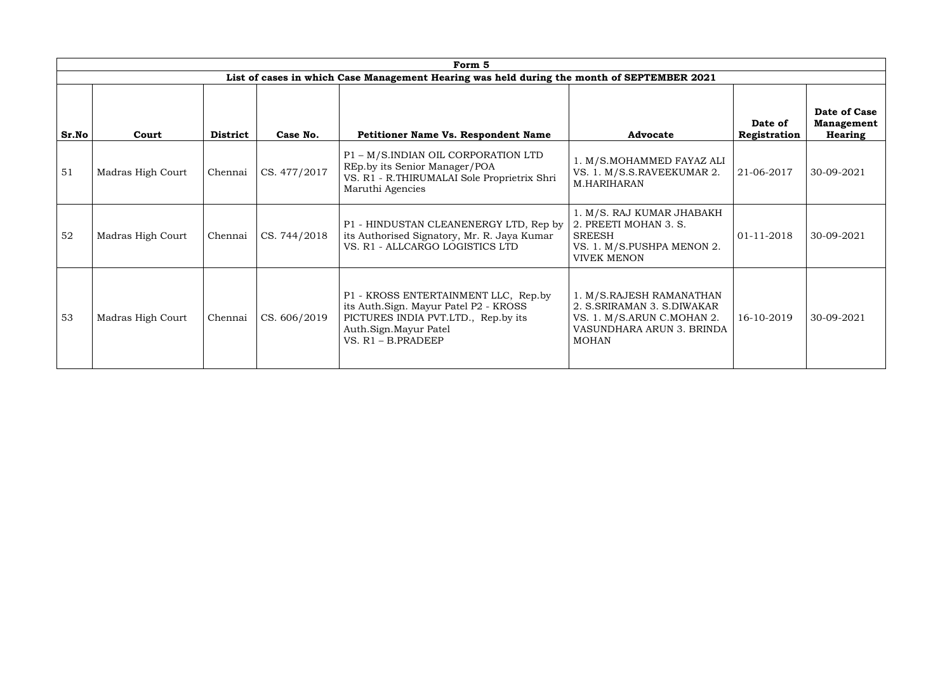| Form 5 |                   |                 |              |                                                                                                                                                                       |                                                                                                                                   |                         |                                              |  |  |
|--------|-------------------|-----------------|--------------|-----------------------------------------------------------------------------------------------------------------------------------------------------------------------|-----------------------------------------------------------------------------------------------------------------------------------|-------------------------|----------------------------------------------|--|--|
|        |                   |                 |              | List of cases in which Case Management Hearing was held during the month of SEPTEMBER 2021                                                                            |                                                                                                                                   |                         |                                              |  |  |
| Sr.No  | Court             | <b>District</b> | Case No.     | <b>Petitioner Name Vs. Respondent Name</b>                                                                                                                            | <b>Advocate</b>                                                                                                                   | Date of<br>Registration | Date of Case<br><b>Management</b><br>Hearing |  |  |
| 51     | Madras High Court | Chennai         | CS. 477/2017 | P1 - M/S.INDIAN OIL CORPORATION LTD<br>REp.by its Senior Manager/POA<br>VS. R1 - R.THIRUMALAI Sole Proprietrix Shri<br>Maruthi Agencies                               | 1. M/S.MOHAMMED FAYAZ ALI<br>VS. 1. M/S.S.RAVEEKUMAR 2.<br>M.HARIHARAN                                                            | 21-06-2017              | 30-09-2021                                   |  |  |
| 52     | Madras High Court | Chennai         | CS. 744/2018 | P1 - HINDUSTAN CLEANENERGY LTD, Rep by<br>its Authorised Signatory, Mr. R. Jaya Kumar<br>VS. R1 - ALLCARGO LOGISTICS LTD                                              | 1. M/S. RAJ KUMAR JHABAKH<br>2. PREETI MOHAN 3. S.<br><b>SREESH</b><br>VS. 1. M/S.PUSHPA MENON 2.<br><b>VIVEK MENON</b>           | 01-11-2018              | 30-09-2021                                   |  |  |
| 53     | Madras High Court | Chennai         | CS. 606/2019 | P1 - KROSS ENTERTAINMENT LLC, Rep.by<br>its Auth.Sign. Mayur Patel P2 - KROSS<br>PICTURES INDIA PVT.LTD., Rep.by its<br>Auth.Sign.Mayur Patel<br>$VS. R1 - B.PRADEEP$ | 1. M/S.RAJESH RAMANATHAN<br>2. S.SRIRAMAN 3. S.DIWAKAR<br>VS. 1. M/S.ARUN C.MOHAN 2.<br>VASUNDHARA ARUN 3. BRINDA<br><b>MOHAN</b> | 16-10-2019              | 30-09-2021                                   |  |  |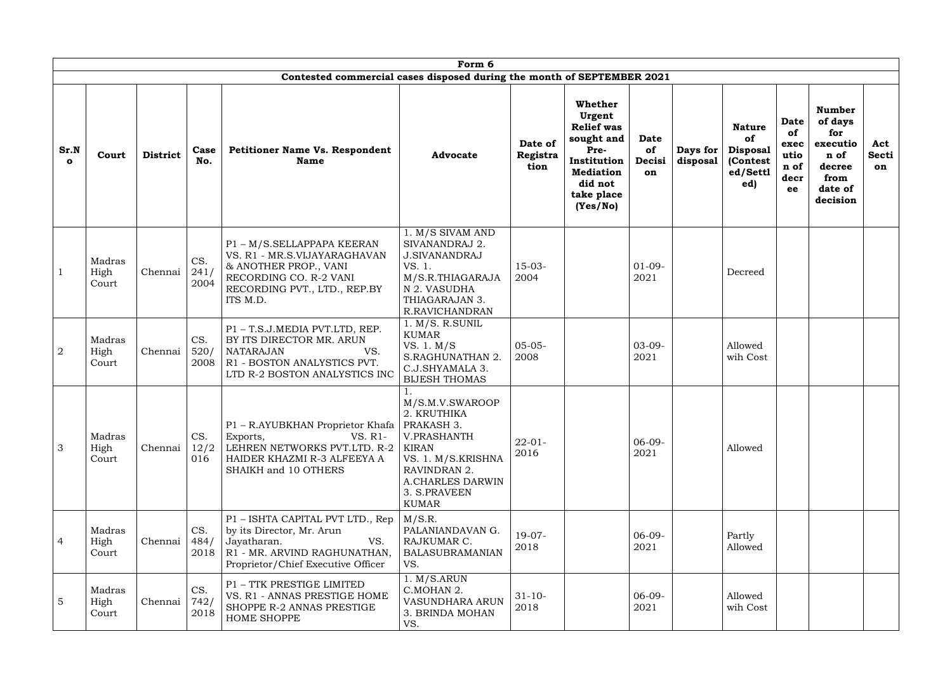|                      | Form 6<br>Contested commercial cases disposed during the month of SEPTEMBER 2021 |                 |                     |                                                                                                                                                           |                                                                                                                                                                                    |                             |                                                                                                                                      |                                   |                      |                                                                       |                                                         |                                                                                              |                           |
|----------------------|----------------------------------------------------------------------------------|-----------------|---------------------|-----------------------------------------------------------------------------------------------------------------------------------------------------------|------------------------------------------------------------------------------------------------------------------------------------------------------------------------------------|-----------------------------|--------------------------------------------------------------------------------------------------------------------------------------|-----------------------------------|----------------------|-----------------------------------------------------------------------|---------------------------------------------------------|----------------------------------------------------------------------------------------------|---------------------------|
|                      |                                                                                  |                 |                     |                                                                                                                                                           |                                                                                                                                                                                    |                             |                                                                                                                                      |                                   |                      |                                                                       |                                                         |                                                                                              |                           |
| Sr.N<br>$\mathbf{o}$ | Court                                                                            | <b>District</b> | Case<br>No.         | <b>Petitioner Name Vs. Respondent</b><br><b>Name</b>                                                                                                      | <b>Advocate</b>                                                                                                                                                                    | Date of<br>Registra<br>tion | Whether<br>Urgent<br><b>Relief was</b><br>sought and<br>Pre-<br>Institution<br><b>Mediation</b><br>did not<br>take place<br>(Yes/No) | <b>Date</b><br>of<br>Decisi<br>on | Days for<br>disposal | <b>Nature</b><br>of<br><b>Disposal</b><br>(Contest<br>ed/Settl<br>ed) | <b>Date</b><br>of<br>exec<br>utio<br>n of<br>decr<br>ee | <b>Number</b><br>of days<br>for<br>executio<br>n of<br>decree<br>from<br>date of<br>decision | Act<br><b>Secti</b><br>on |
|                      | Madras<br>High<br>Court                                                          | Chennai         | CS.<br>241/<br>2004 | P1 - M/S.SELLAPPAPA KEERAN<br>VS. R1 - MR.S.VIJAYARAGHAVAN<br>& ANOTHER PROP., VANI<br>RECORDING CO. R-2 VANI<br>RECORDING PVT., LTD., REP.BY<br>ITS M.D. | 1. M/S SIVAM AND<br>SIVANANDRAJ 2.<br><b>J.SIVANANDRAJ</b><br>VS. 1.<br>M/S.R.THIAGARAJA<br>N 2. VASUDHA<br>THIAGARAJAN 3.<br>R.RAVICHANDRAN                                       | $15-03-$<br>2004            |                                                                                                                                      | $01-09-$<br>2021                  |                      | Decreed                                                               |                                                         |                                                                                              |                           |
| $\overline{2}$       | Madras<br>High<br>Court                                                          | Chennai         | CS.<br>520/<br>2008 | P1 - T.S.J.MEDIA PVT.LTD, REP.<br>BY ITS DIRECTOR MR. ARUN<br><b>NATARAJAN</b><br>VS.<br>R1 - BOSTON ANALYSTICS PVT.<br>LTD R-2 BOSTON ANALYSTICS INC     | 1. M/S. R.SUNIL<br><b>KUMAR</b><br>VS. 1. M/S<br>S.RAGHUNATHAN 2.<br>C.J.SHYAMALA 3.<br><b>BIJESH THOMAS</b>                                                                       | $05 - 05 -$<br>2008         |                                                                                                                                      | $03-09-$<br>2021                  |                      | Allowed<br>wih Cost                                                   |                                                         |                                                                                              |                           |
| 3                    | Madras<br>High<br>Court                                                          | Chennai         | CS.<br>12/2<br>016  | P1 - R.AYUBKHAN Proprietor Khafa<br>VS. R1-<br>Exports,<br>LEHREN NETWORKS PVT.LTD. R-2<br>HAIDER KHAZMI R-3 ALFEEYA A<br>SHAIKH and 10 OTHERS            | 1.<br>M/S.M.V.SWAROOP<br>2. KRUTHIKA<br>PRAKASH 3.<br>V.PRASHANTH<br><b>KIRAN</b><br>VS. 1. M/S.KRISHNA<br>RAVINDRAN 2.<br><b>A.CHARLES DARWIN</b><br>3. S.PRAVEEN<br><b>KUMAR</b> | $22 - 01 -$<br>2016         |                                                                                                                                      | $06-09-$<br>2021                  |                      | Allowed                                                               |                                                         |                                                                                              |                           |
| $\overline{4}$       | Madras<br>High<br>Court                                                          | Chennai         | CS.<br>484/<br>2018 | P1 - ISHTA CAPITAL PVT LTD., Rep<br>by its Director, Mr. Arun<br>VS.<br>Jayatharan.<br>R1 - MR. ARVIND RAGHUNATHAN,<br>Proprietor/Chief Executive Officer | M/S.R.<br>PALANIANDAVAN G.<br>RAJKUMAR C.<br><b>BALASUBRAMANIAN</b><br>VS.                                                                                                         | $19-07-$<br>2018            |                                                                                                                                      | $06-09-$<br>2021                  |                      | Partly<br>Allowed                                                     |                                                         |                                                                                              |                           |
| 5                    | Madras<br>High<br>Court                                                          | Chennai         | CS.<br>742/<br>2018 | P1 - TTK PRESTIGE LIMITED<br>VS. R1 - ANNAS PRESTIGE HOME<br>SHOPPE R-2 ANNAS PRESTIGE<br><b>HOME SHOPPE</b>                                              | 1. M/S.ARUN<br>C.MOHAN 2.<br><b>VASUNDHARA ARUN</b><br>3. BRINDA MOHAN<br>VS.                                                                                                      | $31 - 10$<br>2018           |                                                                                                                                      | $06-09-$<br>2021                  |                      | Allowed<br>wih Cost                                                   |                                                         |                                                                                              |                           |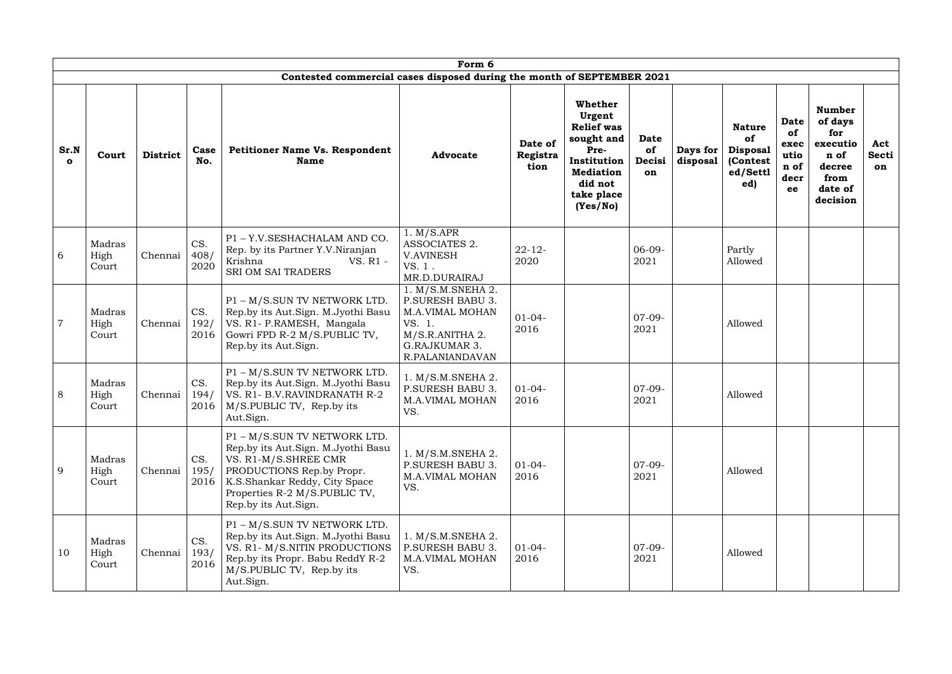|                      | Form 6                  |                 |                     |                                                                                                                                                                                                                          |                                                                                                                                         |                             |                                                                                                                                      |                                          |                      |                                                                               |                                                         |                                                                                              |                           |
|----------------------|-------------------------|-----------------|---------------------|--------------------------------------------------------------------------------------------------------------------------------------------------------------------------------------------------------------------------|-----------------------------------------------------------------------------------------------------------------------------------------|-----------------------------|--------------------------------------------------------------------------------------------------------------------------------------|------------------------------------------|----------------------|-------------------------------------------------------------------------------|---------------------------------------------------------|----------------------------------------------------------------------------------------------|---------------------------|
|                      |                         |                 |                     | Contested commercial cases disposed during the month of SEPTEMBER 2021                                                                                                                                                   |                                                                                                                                         |                             |                                                                                                                                      |                                          |                      |                                                                               |                                                         |                                                                                              |                           |
| Sr.N<br>$\mathbf{o}$ | Court                   | <b>District</b> | Case<br>No.         | <b>Petitioner Name Vs. Respondent</b><br><b>Name</b>                                                                                                                                                                     | <b>Advocate</b>                                                                                                                         | Date of<br>Registra<br>tion | Whether<br>Urgent<br><b>Relief was</b><br>sought and<br>Pre-<br>Institution<br><b>Mediation</b><br>did not<br>take place<br>(Yes/No) | <b>Date</b><br>of<br><b>Decisi</b><br>on | Days for<br>disposal | <b>Nature</b><br><b>of</b><br><b>Disposal</b><br>(Contest)<br>ed/Settl<br>ed) | <b>Date</b><br>of<br>exec<br>utio<br>n of<br>decr<br>ee | <b>Number</b><br>of days<br>for<br>executio<br>n of<br>decree<br>from<br>date of<br>decision | Act<br><b>Secti</b><br>on |
| 6                    | Madras<br>High<br>Court | Chennai         | CS.<br>408/<br>2020 | P1 - Y.V.SESHACHALAM AND CO.<br>Rep. by its Partner Y.V.Niranjan<br>Krishna<br>VS. R1 -<br><b>SRI OM SAI TRADERS</b>                                                                                                     | 1. M/SAPR<br><b>ASSOCIATES 2.</b><br><b>V.AVINESH</b><br>VS. 1.<br>MR.D.DURAIRAJ                                                        | $22 - 12$<br>2020           |                                                                                                                                      | $06-09-$<br>2021                         |                      | Partly<br>Allowed                                                             |                                                         |                                                                                              |                           |
| $\overline{7}$       | Madras<br>High<br>Court | Chennai         | CS.<br>192/<br>2016 | P1 - M/S.SUN TV NETWORK LTD.<br>Rep.by its Aut.Sign. M.Jyothi Basu<br>VS. R1- P.RAMESH, Mangala<br>Gowri FPD R-2 M/S.PUBLIC TV,<br>Rep.by its Aut.Sign.                                                                  | 1. M/S.M.SNEHA 2.<br><b>P.SURESH BABU 3.</b><br><b>M.A.VIMAL MOHAN</b><br>VS. 1.<br>M/S.R.ANITHA 2.<br>G.RAJKUMAR 3.<br>R.PALANIANDAVAN | $01 - 04 -$<br>2016         |                                                                                                                                      | $07-09-$<br>2021                         |                      | Allowed                                                                       |                                                         |                                                                                              |                           |
| 8                    | Madras<br>High<br>Court | Chennai         | CS.<br>194/<br>2016 | P1 - M/S.SUN TV NETWORK LTD.<br>Rep.by its Aut.Sign. M.Jyothi Basu<br>VS. R1- B.V. RAVINDRANATH R-2<br>$\vert$ M/S.PUBLIC TV, Rep.by its<br>Aut.Sign.                                                                    | 1. M/S.M.SNEHA 2.<br>P.SURESH BABU 3.<br><b>M.A.VIMAL MOHAN</b><br>VS.                                                                  | $01-04-$<br>2016            |                                                                                                                                      | $07-09-$<br>2021                         |                      | Allowed                                                                       |                                                         |                                                                                              |                           |
| 9                    | Madras<br>High<br>Court | Chennai         | CS.<br>195/         | P1 - M/S.SUN TV NETWORK LTD.<br>Rep.by its Aut.Sign. M.Jyothi Basu<br>VS. R1-M/S.SHREE CMR<br>PRODUCTIONS Rep.by Propr.<br>2016   K.S.Shankar Reddy, City Space<br>Properties R-2 M/S.PUBLIC TV,<br>Rep.by its Aut.Sign. | 1. M/S.M.SNEHA 2.<br><b>P.SURESH BABU 3.</b><br><b>M.A.VIMAL MOHAN</b><br>VS.                                                           | $01-04-$<br>2016            |                                                                                                                                      | $07-09-$<br>2021                         |                      | Allowed                                                                       |                                                         |                                                                                              |                           |
| 10                   | Madras<br>High<br>Court | Chennai         | CS.<br>193/<br>2016 | P1 - M/S.SUN TV NETWORK LTD.<br>Rep.by its Aut.Sign. M.Jyothi Basu<br>VS. R1- M/S.NITIN PRODUCTIONS<br>Rep.by its Propr. Babu ReddY R-2<br>M/S.PUBLIC TV, Rep.by its<br>Aut.Sign.                                        | 1. M/S.M.SNEHA 2.<br>P.SURESH BABU 3.<br><b>M.A.VIMAL MOHAN</b><br>VS.                                                                  | $01-04-$<br>2016            |                                                                                                                                      | $07-09-$<br>2021                         |                      | Allowed                                                                       |                                                         |                                                                                              |                           |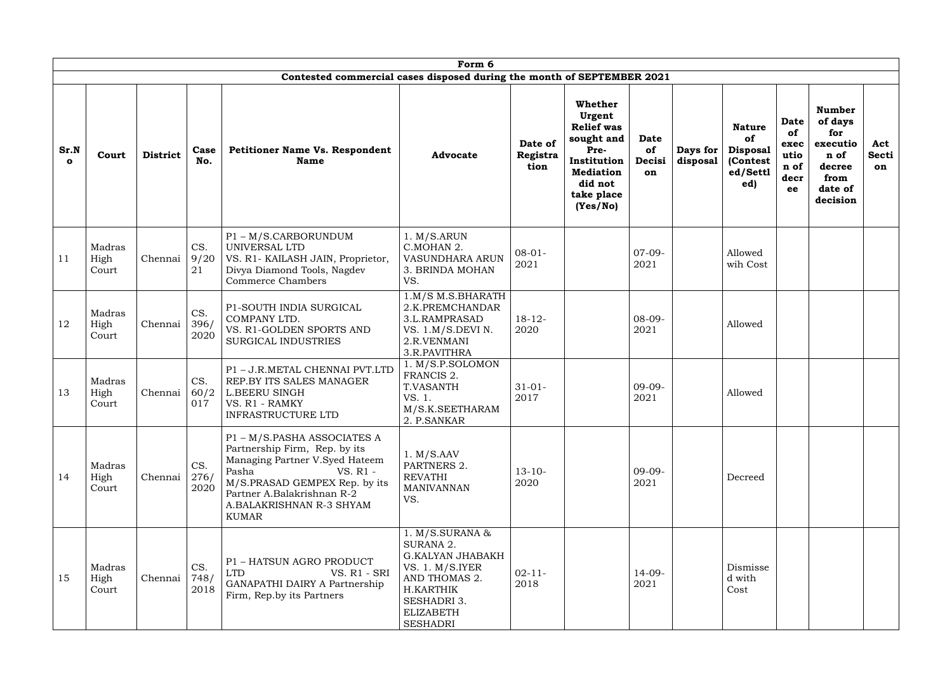|                      |                         |                 |                     |                                                                                                                                                                                                                                | Form 6                                                                                                                                                             |                             |                                                                                                                                      |                                   |                      |                                                                       |                                                         |                                                                                              |                           |
|----------------------|-------------------------|-----------------|---------------------|--------------------------------------------------------------------------------------------------------------------------------------------------------------------------------------------------------------------------------|--------------------------------------------------------------------------------------------------------------------------------------------------------------------|-----------------------------|--------------------------------------------------------------------------------------------------------------------------------------|-----------------------------------|----------------------|-----------------------------------------------------------------------|---------------------------------------------------------|----------------------------------------------------------------------------------------------|---------------------------|
|                      |                         |                 |                     | Contested commercial cases disposed during the month of SEPTEMBER 2021                                                                                                                                                         |                                                                                                                                                                    |                             |                                                                                                                                      |                                   |                      |                                                                       |                                                         |                                                                                              |                           |
| Sr.N<br>$\mathbf{o}$ | Court                   | <b>District</b> | Case<br>No.         | <b>Petitioner Name Vs. Respondent</b><br><b>Name</b>                                                                                                                                                                           | <b>Advocate</b>                                                                                                                                                    | Date of<br>Registra<br>tion | Whether<br>Urgent<br><b>Relief was</b><br>sought and<br>Pre-<br>Institution<br><b>Mediation</b><br>did not<br>take place<br>(Yes/No) | <b>Date</b><br>of<br>Decisi<br>on | Days for<br>disposal | <b>Nature</b><br>of<br><b>Disposal</b><br>(Contest<br>ed/Settl<br>ed) | <b>Date</b><br>of<br>exec<br>utio<br>n of<br>decr<br>ee | <b>Number</b><br>of days<br>for<br>executio<br>n of<br>decree<br>from<br>date of<br>decision | Act<br><b>Secti</b><br>on |
| 11                   | Madras<br>High<br>Court | Chennai         | CS.<br>9/20<br>21   | P1-M/S.CARBORUNDUM<br>UNIVERSAL LTD<br>VS. R1- KAILASH JAIN, Proprietor,<br>Divya Diamond Tools, Nagdev<br><b>Commerce Chambers</b>                                                                                            | 1. M/S.ARUN<br>C.MOHAN 2.<br>VASUNDHARA ARUN<br>3. BRINDA MOHAN<br>VS.                                                                                             | $08 - 01 -$<br>2021         |                                                                                                                                      | $07-09-$<br>2021                  |                      | Allowed<br>wih Cost                                                   |                                                         |                                                                                              |                           |
| 12                   | Madras<br>High<br>Court | Chennai         | CS.<br>396/<br>2020 | P1-SOUTH INDIA SURGICAL<br>COMPANY LTD.<br>VS. R1-GOLDEN SPORTS AND<br><b>SURGICAL INDUSTRIES</b>                                                                                                                              | $1.M/S$ M.S.BHARATH<br>2.K.PREMCHANDAR<br>3.L.RAMPRASAD<br>VS. 1.M/S.DEVI N.<br>2.R.VENMANI<br>3.R.PAVITHRA                                                        | $18 - 12$<br>2020           |                                                                                                                                      | $08-09-$<br>2021                  |                      | Allowed                                                               |                                                         |                                                                                              |                           |
| 13                   | Madras<br>High<br>Court | Chennai         | CS.<br>60/2<br>017  | P1-J.R.METAL CHENNAI PVT.LTD<br>REP.BY ITS SALES MANAGER<br><b>L.BEERU SINGH</b><br>VS. R1 - RAMKY<br><b>INFRASTRUCTURE LTD</b>                                                                                                | 1. M/S.P.SOLOMON<br>FRANCIS 2.<br><b>T.VASANTH</b><br>VS. 1.<br>M/S.K.SEETHARAM<br>2. P.SANKAR                                                                     | $31 - 01 -$<br>2017         |                                                                                                                                      | $09-09-$<br>2021                  |                      | Allowed                                                               |                                                         |                                                                                              |                           |
| 14                   | Madras<br>High<br>Court | Chennai         | CS.<br>276/<br>2020 | P1 - M/S.PASHA ASSOCIATES A<br>Partnership Firm, Rep. by its<br>Managing Partner V.Syed Hateem<br>Pasha<br>VS. R1 -<br>M/S.PRASAD GEMPEX Rep. by its<br>Partner A.Balakrishnan R-2<br>A.BALAKRISHNAN R-3 SHYAM<br><b>KUMAR</b> | 1. M/S.AAV<br>PARTNERS 2.<br><b>REVATHI</b><br><b>MANIVANNAN</b><br>VS.                                                                                            | $13 - 10 -$<br>2020         |                                                                                                                                      | $09-09-$<br>2021                  |                      | Decreed                                                               |                                                         |                                                                                              |                           |
| 15                   | Madras<br>High<br>Court | Chennai         | CS.<br>748/<br>2018 | P1 - HATSUN AGRO PRODUCT<br><b>LTD</b><br>VS. R1 - SRI<br>GANAPATHI DAIRY A Partnership<br>Firm, Rep.by its Partners                                                                                                           | 1. $M/S.SURANA &$<br>SURANA 2.<br><b>G.KALYAN JHABAKH</b><br>VS. $1. M/S.IYER$<br>AND THOMAS 2.<br>H.KARTHIK<br><b>SESHADRI 3.</b><br><b>ELIZABETH</b><br>SESHADRI | $02 - 11 -$<br>2018         |                                                                                                                                      | $14-09-$<br>2021                  |                      | Dismisse<br>d with<br>Cost                                            |                                                         |                                                                                              |                           |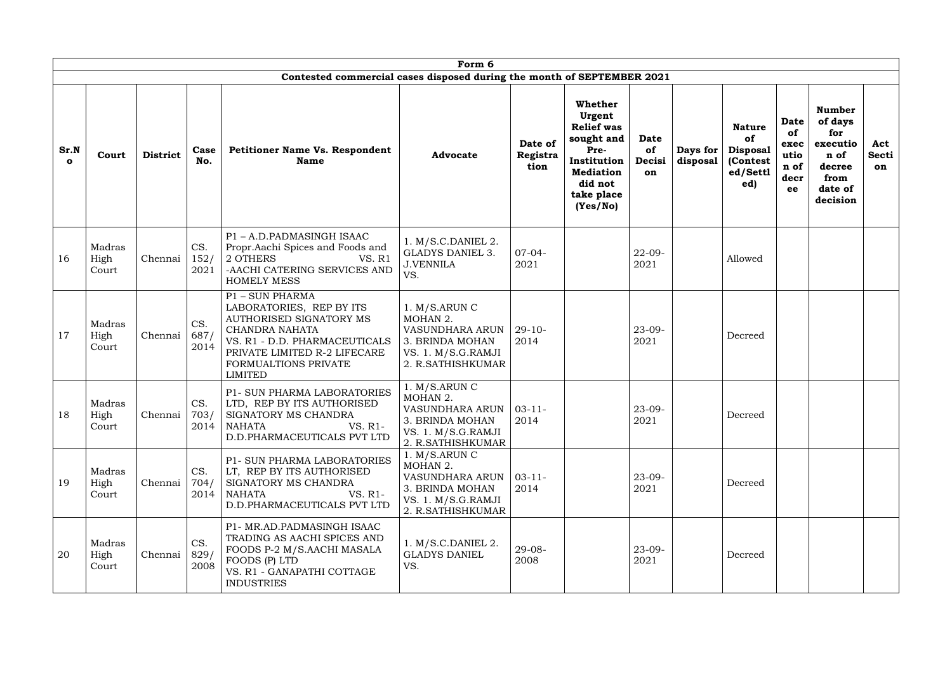|                      | Form 6                  |                 |                     |                                                                                                                                                                                                     |                                                                                                                     |                             |                                                                                                                                             |                                          |                      |                                                                       |                                                  |                                                                                              |                                  |
|----------------------|-------------------------|-----------------|---------------------|-----------------------------------------------------------------------------------------------------------------------------------------------------------------------------------------------------|---------------------------------------------------------------------------------------------------------------------|-----------------------------|---------------------------------------------------------------------------------------------------------------------------------------------|------------------------------------------|----------------------|-----------------------------------------------------------------------|--------------------------------------------------|----------------------------------------------------------------------------------------------|----------------------------------|
|                      |                         |                 |                     | Contested commercial cases disposed during the month of SEPTEMBER 2021                                                                                                                              |                                                                                                                     |                             |                                                                                                                                             |                                          |                      |                                                                       |                                                  |                                                                                              |                                  |
| Sr.N<br>$\mathbf{o}$ | Court                   | <b>District</b> | Case<br>No.         | <b>Petitioner Name Vs. Respondent</b><br><b>Name</b>                                                                                                                                                | <b>Advocate</b>                                                                                                     | Date of<br>Registra<br>tion | <b>Whether</b><br>Urgent<br><b>Relief was</b><br>sought and<br>Pre-<br>Institution<br><b>Mediation</b><br>did not<br>take place<br>(Yes/No) | <b>Date</b><br>of<br>Decisi<br><b>on</b> | Days for<br>disposal | <b>Nature</b><br>of<br><b>Disposal</b><br>(Contest<br>ed/Settl<br>ed) | Date<br>of<br>exec<br>utio<br>n of<br>decr<br>ee | <b>Number</b><br>of days<br>for<br>executio<br>n of<br>decree<br>from<br>date of<br>decision | Act<br><b>Secti</b><br><b>on</b> |
| 16                   | Madras<br>High<br>Court | Chennai         | CS.<br>152/<br>2021 | P1-A.D.PADMASINGH ISAAC<br>Propr.Aachi Spices and Foods and<br>2 OTHERS<br><b>VS. R1</b><br>-AACHI CATERING SERVICES AND<br><b>HOMELY MESS</b>                                                      | $1. M/S.C.DANIEL$ 2.<br><b>GLADYS DANIEL 3.</b><br><b>J.VENNILA</b><br>VS.                                          | $07-04-$<br>2021            |                                                                                                                                             | $22 - 09$<br>2021                        |                      | Allowed                                                               |                                                  |                                                                                              |                                  |
| 17                   | Madras<br>High<br>Court | Chennai         | CS.<br>687/<br>2014 | P1 - SUN PHARMA<br>LABORATORIES, REP BY ITS<br>AUTHORISED SIGNATORY MS<br>CHANDRA NAHATA<br>VS. R1 - D.D. PHARMACEUTICALS<br>PRIVATE LIMITED R-2 LIFECARE<br>FORMUALTIONS PRIVATE<br><b>LIMITED</b> | 1. M/S.ARUNC<br>MOHAN 2.<br>VASUNDHARA ARUN<br>3. BRINDA MOHAN<br>VS. 1. M/S.G.RAMJI<br>2. R.SATHISHKUMAR           | $29-10-$<br>2014            |                                                                                                                                             | $23 - 09$<br>2021                        |                      | Decreed                                                               |                                                  |                                                                                              |                                  |
| 18                   | Madras<br>High<br>Court | Chennai $ 703/$ | CS.                 | P1- SUN PHARMA LABORATORIES<br>LTD, REP BY ITS AUTHORISED<br>SIGNATORY MS CHANDRA<br>VS. R1-<br>$2014$   NAHATA<br>D.D.PHARMACEUTICALS PVT LTD                                                      | 1. M/S.ARUN C<br>MOHAN 2.<br>VASUNDHARA ARUN   03-11-<br>3. BRINDA MOHAN<br>VS. 1. M/S.G.RAMJI<br>2. R.SATHISHKUMAR | 2014                        |                                                                                                                                             | $23 - 09 -$<br>2021                      |                      | Decreed                                                               |                                                  |                                                                                              |                                  |
| 19                   | Madras<br>High<br>Court | Chennai         | CS.<br>704/         | P1- SUN PHARMA LABORATORIES<br>LT, REP BY ITS AUTHORISED<br>SIGNATORY MS CHANDRA<br>$2014$   NAHATA<br>VS. R1-<br>D.D.PHARMACEUTICALS PVT LTD                                                       | 1. M/S.ARUNC<br>MOHAN 2.<br>VASUNDHARA ARUN<br>3. BRINDA MOHAN<br>VS. 1. M/S.G.RAMJI<br>2. R.SATHISHKUMAR           | $03-11-$<br>2014            |                                                                                                                                             | $23-09-$<br>2021                         |                      | Decreed                                                               |                                                  |                                                                                              |                                  |
| 20                   | Madras<br>High<br>Court | Chennai         | CS.<br>829/<br>2008 | P1- MR.AD.PADMASINGH ISAAC<br>TRADING AS AACHI SPICES AND<br>FOODS P-2 M/S.AACHI MASALA<br>FOODS (P) LTD<br>VS. R1 - GANAPATHI COTTAGE<br><b>INDUSTRIES</b>                                         | $1. M/S.C.DANIEL$ 2.<br><b>GLADYS DANIEL</b><br>VS.                                                                 | $29 - 08 -$<br>2008         |                                                                                                                                             | $23-09-$<br>2021                         |                      | Decreed                                                               |                                                  |                                                                                              |                                  |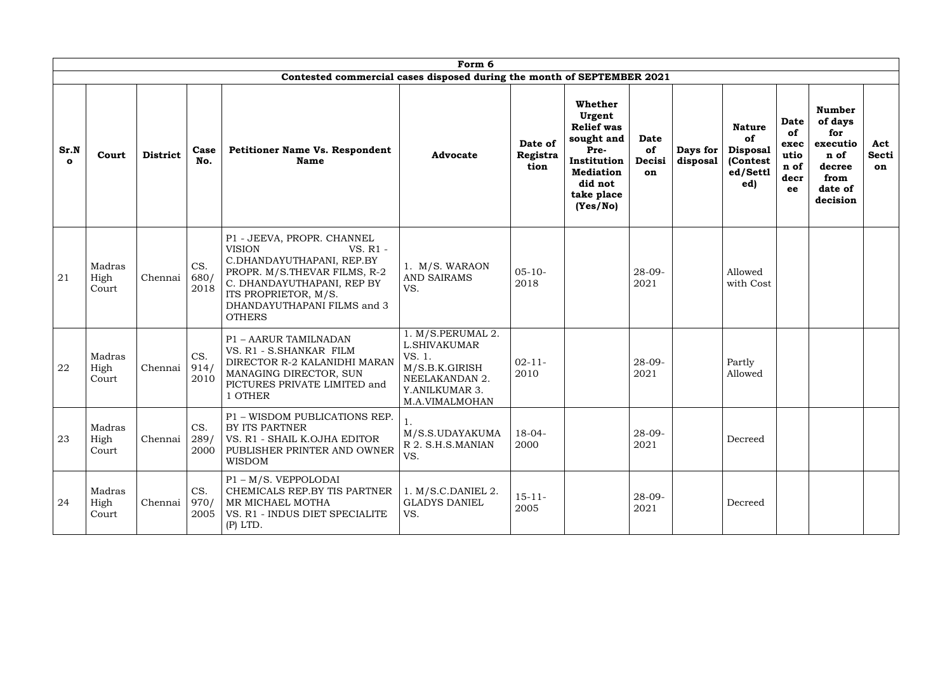|                      | Form 6                  |                 |                     |                                                                                                                                                                                                                            |                                                                                                                            |                             |                                                                                                                                             |                                   |                      |                                                                       |                                                         |                                                                                              |                           |
|----------------------|-------------------------|-----------------|---------------------|----------------------------------------------------------------------------------------------------------------------------------------------------------------------------------------------------------------------------|----------------------------------------------------------------------------------------------------------------------------|-----------------------------|---------------------------------------------------------------------------------------------------------------------------------------------|-----------------------------------|----------------------|-----------------------------------------------------------------------|---------------------------------------------------------|----------------------------------------------------------------------------------------------|---------------------------|
|                      |                         |                 |                     | Contested commercial cases disposed during the month of SEPTEMBER 2021                                                                                                                                                     |                                                                                                                            |                             |                                                                                                                                             |                                   |                      |                                                                       |                                                         |                                                                                              |                           |
| Sr.N<br>$\mathbf{o}$ | Court                   | <b>District</b> | Case<br>No.         | <b>Petitioner Name Vs. Respondent</b><br><b>Name</b>                                                                                                                                                                       | <b>Advocate</b>                                                                                                            | Date of<br>Registra<br>tion | <b>Whether</b><br>Urgent<br><b>Relief</b> was<br>sought and<br>Pre-<br>Institution<br><b>Mediation</b><br>did not<br>take place<br>(Yes/No) | <b>Date</b><br>of<br>Decisi<br>on | Days for<br>disposal | <b>Nature</b><br>of<br><b>Disposal</b><br>(Contest<br>ed/Settl<br>ed) | <b>Date</b><br>of<br>exec<br>utio<br>n of<br>decr<br>ee | <b>Number</b><br>of days<br>for<br>executio<br>n of<br>decree<br>from<br>date of<br>decision | Act<br><b>Secti</b><br>on |
| 21                   | Madras<br>High<br>Court | Chennai         | CS.<br>680/<br>2018 | P1 - JEEVA, PROPR. CHANNEL<br><b>VISION</b><br>VS. R1 -<br>C.DHANDAYUTHAPANI, REP.BY<br>PROPR. M/S.THEVAR FILMS, R-2<br>C. DHANDAYUTHAPANI, REP BY<br>ITS PROPRIETOR, M/S.<br>DHANDAYUTHAPANI FILMS and 3<br><b>OTHERS</b> | 1. M/S. WARAON<br><b>AND SAIRAMS</b><br>VS.                                                                                | $05-10-$<br>2018            |                                                                                                                                             | $28 - 09$<br>2021                 |                      | Allowed<br>with Cost                                                  |                                                         |                                                                                              |                           |
| 22                   | Madras<br>High<br>Court | Chennai         | CS.<br>914/<br>2010 | <b>P1 - AARUR TAMILNADAN</b><br>VS. R1 - S.SHANKAR FILM<br>DIRECTOR R-2 KALANIDHI MARAN<br>MANAGING DIRECTOR, SUN<br>PICTURES PRIVATE LIMITED and<br>1 OTHER                                                               | 1. M/S.PERUMAL 2.<br><b>L.SHIVAKUMAR</b><br>VS. 1.<br>M/S.B.K.GIRISH<br>NEELAKANDAN 2.<br>Y.ANILKUMAR 3.<br>M.A.VIMALMOHAN | $02 - 11 -$<br>2010         |                                                                                                                                             | $28 - 09 -$<br>2021               |                      | Partly<br>Allowed                                                     |                                                         |                                                                                              |                           |
| 23                   | Madras<br>High<br>Court | Chennai         | CS.<br>289/         | P1 - WISDOM PUBLICATIONS REP.<br>BY ITS PARTNER<br>  VS. R1 - SHAIL K.OJHA EDITOR<br>2000   PUBLISHER PRINTER AND OWNER<br><b>WISDOM</b>                                                                                   | M/S.S.UDAYAKUMA<br>R 2. S.H.S.MANIAN<br>VS.                                                                                | $18-04-$<br>2000            |                                                                                                                                             | $28 - 09 -$<br>2021               |                      | Decreed                                                               |                                                         |                                                                                              |                           |
| 24                   | Madras<br>High<br>Court | Chennai         | CS.<br>970/         | $P1 - M/S$ . VEPPOLODAI<br>CHEMICALS REP.BY TIS PARTNER<br>MR MICHAEL MOTHA<br>2005   VS. R1 - INDUS DIET SPECIALITE<br>$(P)$ LTD.                                                                                         | $1. M/S.C.DANIEL$ 2.<br><b>GLADYS DANIEL</b><br>VS.                                                                        | $15 - 11 -$<br>2005         |                                                                                                                                             | $28-09-$<br>2021                  |                      | Decreed                                                               |                                                         |                                                                                              |                           |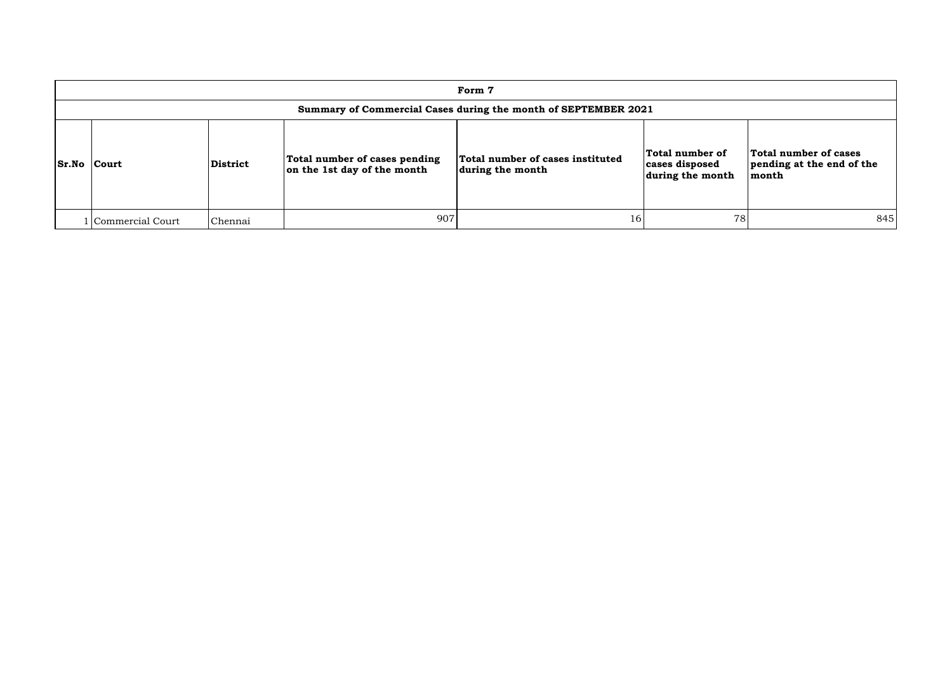|                    | Form 7             |                 |                                                              |                                                                |                                                       |                                                             |  |  |  |  |  |  |  |
|--------------------|--------------------|-----------------|--------------------------------------------------------------|----------------------------------------------------------------|-------------------------------------------------------|-------------------------------------------------------------|--|--|--|--|--|--|--|
|                    |                    |                 |                                                              | Summary of Commercial Cases during the month of SEPTEMBER 2021 |                                                       |                                                             |  |  |  |  |  |  |  |
| <b>Sr.No Court</b> |                    | <b>District</b> | Total number of cases pending<br>on the 1st day of the month | Total number of cases instituted<br>during the month           | Total number of<br>cases disposed<br>during the month | Total number of cases<br>pending at the end of the<br>month |  |  |  |  |  |  |  |
|                    | l Commercial Court | Chennai         | 907                                                          | 16                                                             | 78                                                    | 845                                                         |  |  |  |  |  |  |  |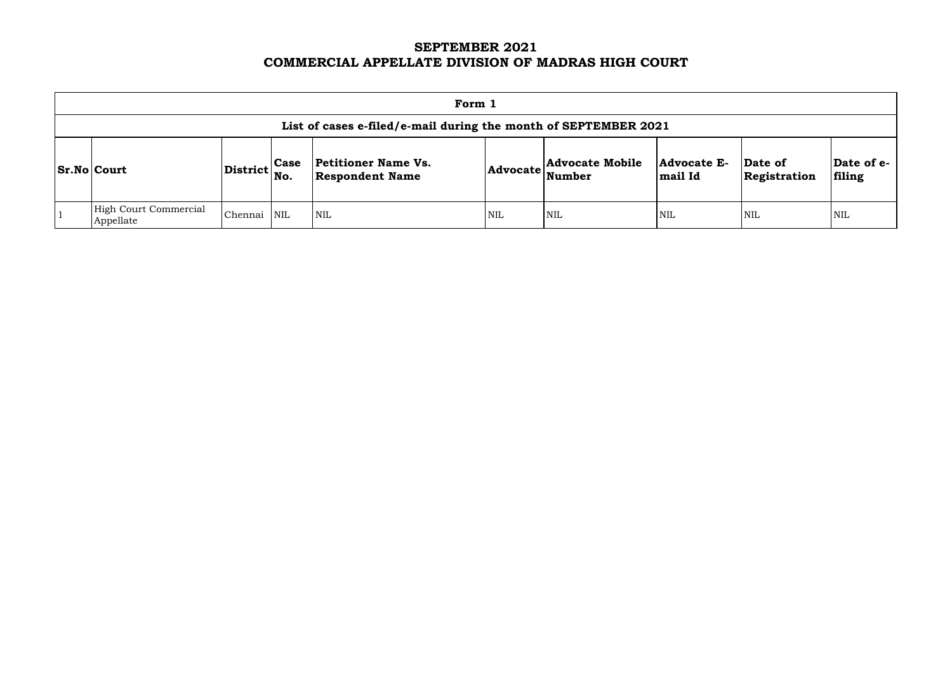# **SEPTEMBER 2021 COMMERCIAL APPELLATE DIVISION OF MADRAS HIGH COURT**

| Form 1                                                          |                                   |             |                                                      |                 |                                  |                        |                         |                      |  |  |
|-----------------------------------------------------------------|-----------------------------------|-------------|------------------------------------------------------|-----------------|----------------------------------|------------------------|-------------------------|----------------------|--|--|
| List of cases e-filed/e-mail during the month of SEPTEMBER 2021 |                                   |             |                                                      |                 |                                  |                        |                         |                      |  |  |
| <b>Sr.No Court</b>                                              | $ {\rm District} \Big  {\rm No}.$ | <b>Case</b> | <b>Petitioner Name Vs.</b><br><b>Respondent Name</b> | <b>Advocate</b> | <b>Advocate Mobile</b><br>Number | Advocate E-<br>mail Id | Date of<br>Registration | Date of e-<br>filing |  |  |
| <b>High Court Commercial</b><br>Appellate                       | Chennai                           | <b>NIL</b>  | $\mathsf{I}_{\text{NIL}}$                            | <b>NIL</b>      | <b>NIL</b>                       | <b>NIL</b>             | <b>NIL</b>              | <b>NIL</b>           |  |  |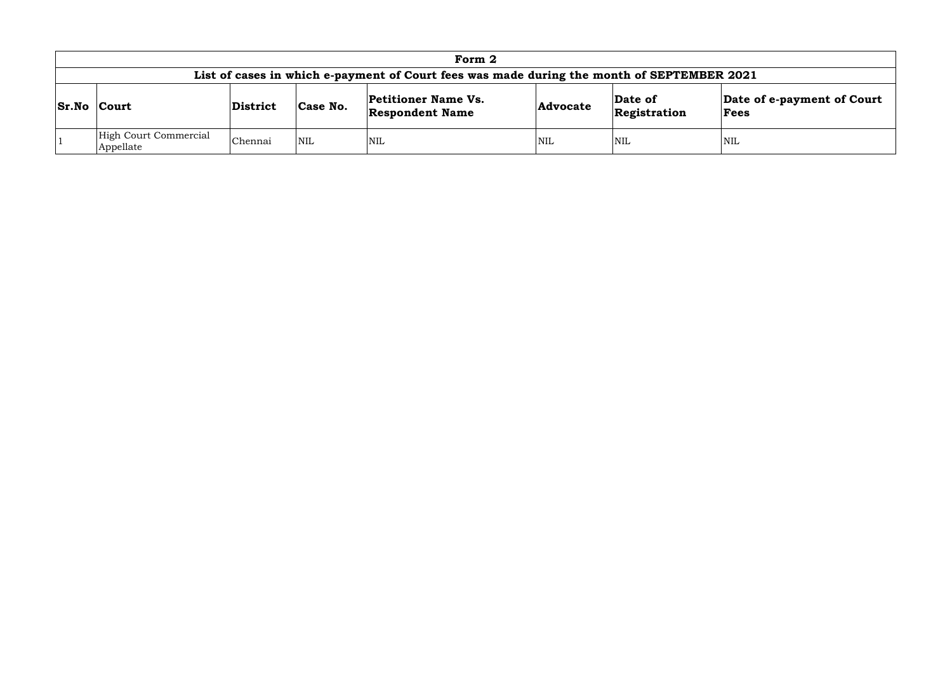| Form 2                             |                 |            |                                                                                            |                 |                         |                                    |  |  |  |
|------------------------------------|-----------------|------------|--------------------------------------------------------------------------------------------|-----------------|-------------------------|------------------------------------|--|--|--|
|                                    |                 |            | List of cases in which e-payment of Court fees was made during the month of SEPTEMBER 2021 |                 |                         |                                    |  |  |  |
| <b>Sr.No Court</b>                 | <b>District</b> | Case No.   | <b>Petitioner Name Vs.</b><br><b>Respondent Name</b>                                       | <b>Advocate</b> | Date of<br>Registration | Date of e-payment of Court<br>Fees |  |  |  |
| High Court Commercial<br>Appellate | Chennai         | <b>NIL</b> | <b>NIL</b>                                                                                 | <b>NIL</b>      | <b>NIL</b>              | <b>NIL</b>                         |  |  |  |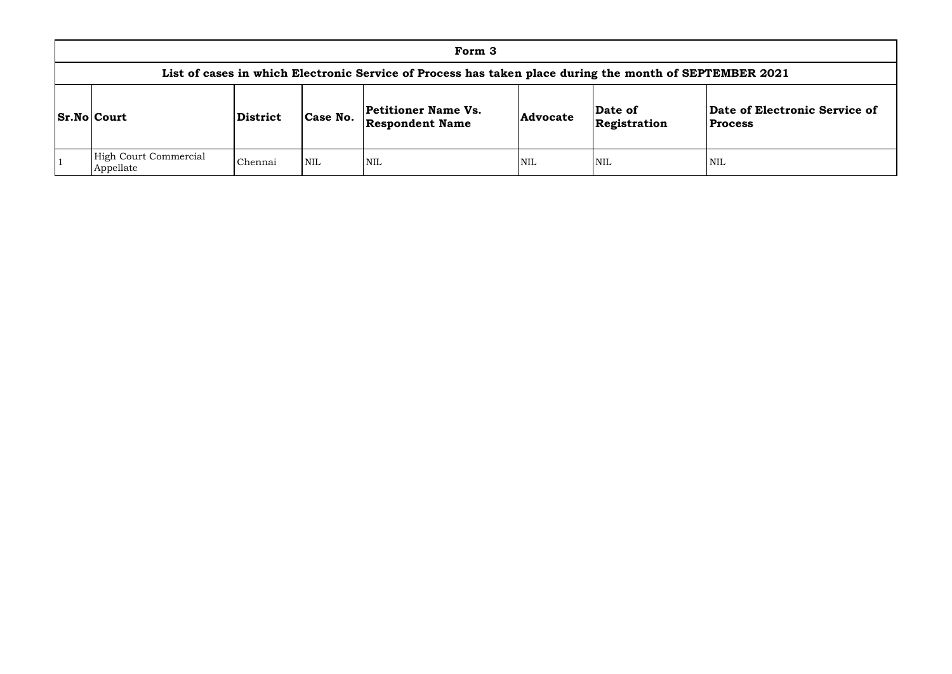|                                                                                                         |                         |                                  | Form 3     |            |      |     |  |  |  |  |  |
|---------------------------------------------------------------------------------------------------------|-------------------------|----------------------------------|------------|------------|------|-----|--|--|--|--|--|
| List of cases in which Electronic Service of Process has taken place during the month of SEPTEMBER 2021 |                         |                                  |            |            |      |     |  |  |  |  |  |
| <b>Sr.No Court</b>                                                                                      | Date of<br>Registration | Date of Electi<br><b>Process</b> |            |            |      |     |  |  |  |  |  |
| High Court Commercial<br>Appellate                                                                      | Chennai                 | <b>NIL</b>                       | <b>NIL</b> | <b>NIL</b> | NIL) | NIL |  |  |  |  |  |

## **Date of Electronic Service of Process**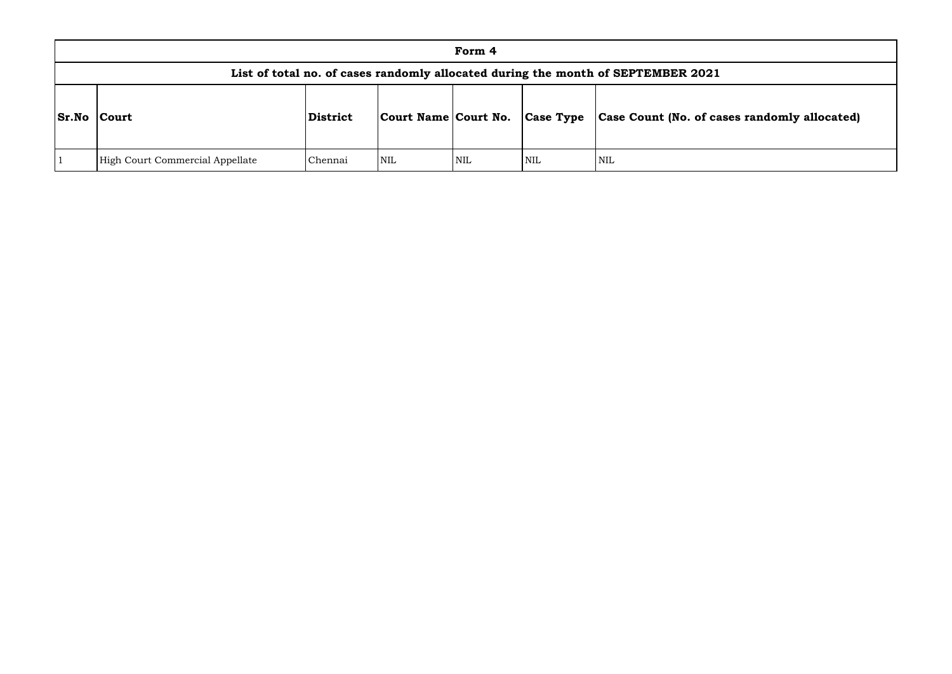|              |                                 |          |                                | Form 4 |     |                                                                                  |
|--------------|---------------------------------|----------|--------------------------------|--------|-----|----------------------------------------------------------------------------------|
|              |                                 |          |                                |        |     | List of total no. of cases randomly allocated during the month of SEPTEMBER 2021 |
| <b>Sr.No</b> | Court                           | District | Court Name Court No. Case Type |        |     | <b>Case Count (No. of can</b>                                                    |
|              | High Court Commercial Appellate | Chennai  | NIL                            | NIL    | NIL | NIL                                                                              |

# **Sr.No Court District Court Name Court No. Case Type Case Count (No. of cases randomly allocated)**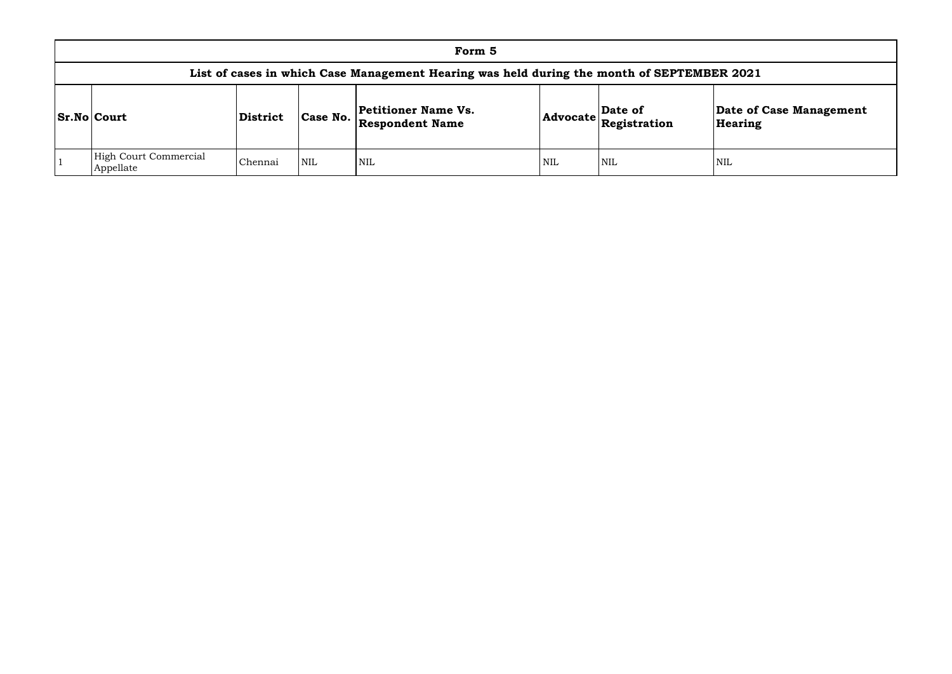| Form 5                                                                                     |                 |          |                                               |     |                                               |                    |  |  |  |  |  |  |  |
|--------------------------------------------------------------------------------------------|-----------------|----------|-----------------------------------------------|-----|-----------------------------------------------|--------------------|--|--|--|--|--|--|--|
| List of cases in which Case Management Hearing was held during the month of SEPTEMBER 2021 |                 |          |                                               |     |                                               |                    |  |  |  |  |  |  |  |
| <b>Sr.No Court</b>                                                                         | <b>District</b> | Case No. | Petitioner Name Vs.<br><b>Respondent Name</b> |     | $\left  \text{Advocate} \right $ Registration | Date of<br>Hearing |  |  |  |  |  |  |  |
| High Court Commercial<br>Appellate                                                         | Chennai         | NIL      | <b>NIL</b>                                    | NIL | NIL                                           | <b>NIL</b>         |  |  |  |  |  |  |  |

# **Date of Case Management Hearing**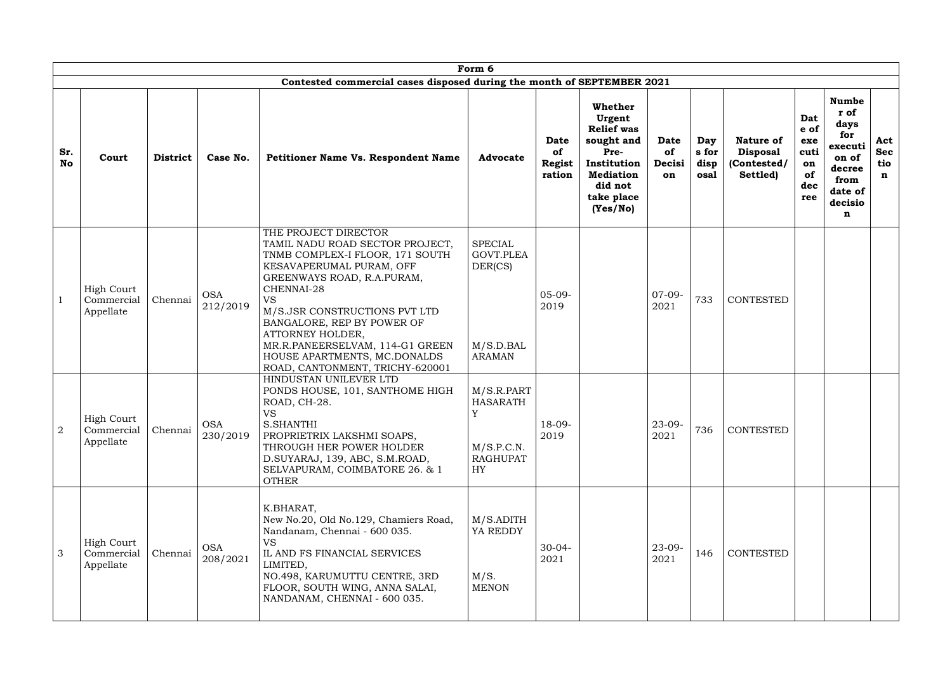|                  |                                              |                 |                        |                                                                                                                                                                                                                                                                                                                                                                          | Form 6                                                                    |                                              |                                                                                                                                      |                            |                              |                                                                |                                                      |                                                                                                      |                                         |
|------------------|----------------------------------------------|-----------------|------------------------|--------------------------------------------------------------------------------------------------------------------------------------------------------------------------------------------------------------------------------------------------------------------------------------------------------------------------------------------------------------------------|---------------------------------------------------------------------------|----------------------------------------------|--------------------------------------------------------------------------------------------------------------------------------------|----------------------------|------------------------------|----------------------------------------------------------------|------------------------------------------------------|------------------------------------------------------------------------------------------------------|-----------------------------------------|
| Sr.<br><b>No</b> | Court                                        | <b>District</b> | Case No.               | Contested commercial cases disposed during the month of SEPTEMBER 2021<br><b>Petitioner Name Vs. Respondent Name</b>                                                                                                                                                                                                                                                     | <b>Advocate</b>                                                           | <b>Date</b><br>of<br><b>Regist</b><br>ration | Whether<br>Urgent<br><b>Relief was</b><br>sought and<br>Pre-<br>Institution<br><b>Mediation</b><br>did not<br>take place<br>(Yes/No) | Date<br>of<br>Decisi<br>on | Day<br>s for<br>disp<br>osal | <b>Nature of</b><br><b>Disposal</b><br>(Contested/<br>Settled) | Dat<br>e of<br>exe<br>cuti<br>on<br>of<br>dec<br>ree | <b>Numbe</b><br>r of<br>days<br>for<br>executi<br>on of<br>decree<br>from<br>date of<br>decisio<br>n | Act<br><b>Sec</b><br>tio<br>$\mathbf n$ |
|                  | <b>High Court</b><br>Commercial<br>Appellate | Chennai         | <b>OSA</b><br>212/2019 | THE PROJECT DIRECTOR<br>TAMIL NADU ROAD SECTOR PROJECT,<br>TNMB COMPLEX-I FLOOR, 171 SOUTH<br>KESAVAPERUMAL PURAM, OFF<br>GREENWAYS ROAD, R.A.PURAM,<br>CHENNAI-28<br><b>VS</b><br>M/S.JSR CONSTRUCTIONS PVT LTD<br>BANGALORE, REP BY POWER OF<br>ATTORNEY HOLDER,<br>MR.R.PANEERSELVAM, 114-G1 GREEN<br>HOUSE APARTMENTS, MC.DONALDS<br>ROAD, CANTONMENT, TRICHY-620001 | <b>SPECIAL</b><br>GOVT.PLEA<br>DER(CS)<br>M/S.D.BAL<br><b>ARAMAN</b>      | $05-09-$<br>2019                             |                                                                                                                                      | $07-09-$<br>2021           | 733                          | <b>CONTESTED</b>                                               |                                                      |                                                                                                      |                                         |
| $\overline{2}$   | <b>High Court</b><br>Commercial<br>Appellate | Chennai         | <b>OSA</b><br>230/2019 | HINDUSTAN UNILEVER LTD<br>PONDS HOUSE, 101, SANTHOME HIGH<br>ROAD, CH-28.<br><b>VS</b><br><b>S.SHANTHI</b><br>PROPRIETRIX LAKSHMI SOAPS,<br>THROUGH HER POWER HOLDER<br>D.SUYARAJ, 139, ABC, S.M.ROAD,<br>SELVAPURAM, COIMBATORE 26. & 1<br><b>OTHER</b>                                                                                                                 | M/S.R.PART<br><b>HASARATH</b><br>Y<br>M/S.P.C.N.<br><b>RAGHUPAT</b><br>HY | $18-09-$<br>2019                             |                                                                                                                                      | $23-09-$<br>2021           | 736                          | <b>CONTESTED</b>                                               |                                                      |                                                                                                      |                                         |
| $\mathcal{S}$    | <b>High Court</b><br>Commercial<br>Appellate | Chennai         | <b>OSA</b><br>208/2021 | K.BHARAT,<br>New No.20, Old No.129, Chamiers Road,<br>Nandanam, Chennai - 600 035.<br><b>VS</b><br>IL AND FS FINANCIAL SERVICES<br>LIMITED,<br>NO.498, KARUMUTTU CENTRE, 3RD<br>FLOOR, SOUTH WING, ANNA SALAI,<br>NANDANAM, CHENNAI - 600 035.                                                                                                                           | $M/S$ .ADITH<br>YA REDDY<br>M/S.<br><b>MENON</b>                          | $30-04-$<br>2021                             |                                                                                                                                      | $23 - 09 -$<br>2021        | 146                          | <b>CONTESTED</b>                                               |                                                      |                                                                                                      |                                         |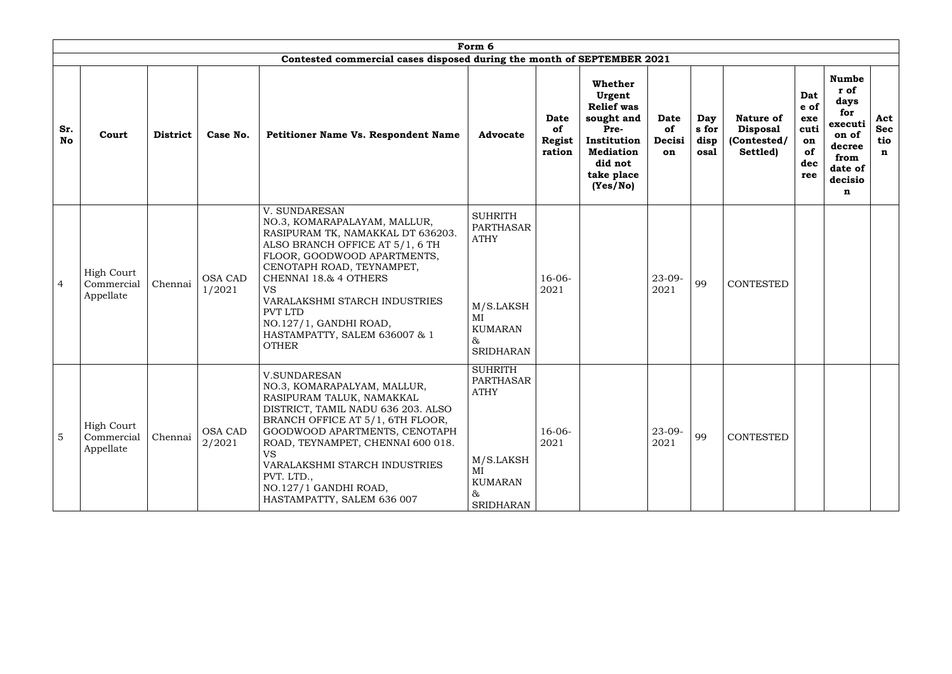|                  |                                              |                 |                          |                                                                                                                                                                                                                                                                                                                                                       | Form 6                                                                                            |                                              |                                                                                                                                      |                                   |                              |                                                                |                                                      |                                                                                                      |                                         |
|------------------|----------------------------------------------|-----------------|--------------------------|-------------------------------------------------------------------------------------------------------------------------------------------------------------------------------------------------------------------------------------------------------------------------------------------------------------------------------------------------------|---------------------------------------------------------------------------------------------------|----------------------------------------------|--------------------------------------------------------------------------------------------------------------------------------------|-----------------------------------|------------------------------|----------------------------------------------------------------|------------------------------------------------------|------------------------------------------------------------------------------------------------------|-----------------------------------------|
|                  |                                              |                 |                          | Contested commercial cases disposed during the month of SEPTEMBER 2021                                                                                                                                                                                                                                                                                |                                                                                                   |                                              |                                                                                                                                      |                                   |                              |                                                                |                                                      |                                                                                                      |                                         |
| Sr.<br><b>No</b> | Court                                        | <b>District</b> | Case No.                 | Petitioner Name Vs. Respondent Name                                                                                                                                                                                                                                                                                                                   | <b>Advocate</b>                                                                                   | <b>Date</b><br>of<br><b>Regist</b><br>ration | Whether<br>Urgent<br><b>Relief</b> was<br>sought and<br>Pre-<br>Institution<br><b>Mediation</b><br>did not<br>take place<br>(Yes/No) | Date<br><b>of</b><br>Decisi<br>on | Day<br>s for<br>disp<br>osal | <b>Nature of</b><br><b>Disposal</b><br>(Contested/<br>Settled) | Dat<br>e of<br>exe<br>cuti<br>on<br>of<br>dec<br>ree | <b>Numbe</b><br>r of<br>days<br>for<br>executi<br>on of<br>decree<br>from<br>date of<br>decisio<br>n | Act<br><b>Sec</b><br>tio<br>$\mathbf n$ |
| $\overline{4}$   | <b>High Court</b><br>Commercial<br>Appellate | Chennai         | <b>OSA CAD</b><br>1/2021 | V. SUNDARESAN<br>NO.3, KOMARAPALAYAM, MALLUR,<br>RASIPURAM TK, NAMAKKAL DT 636203.<br>ALSO BRANCH OFFICE AT 5/1, 6 TH<br>FLOOR, GOODWOOD APARTMENTS,<br>CENOTAPH ROAD, TEYNAMPET,<br>CHENNAI 18.& 4 OTHERS<br><b>VS</b><br>VARALAKSHMI STARCH INDUSTRIES<br><b>PVT LTD</b><br>NO.127/1, GANDHI ROAD,<br>HASTAMPATTY, SALEM 636007 & 1<br><b>OTHER</b> | <b>SUHRITH</b><br>PARTHASAR<br><b>ATHY</b><br>M/S.LAKSH<br>MI<br><b>KUMARAN</b><br>&<br>SRIDHARAN | $16-06-$<br>2021                             |                                                                                                                                      | $23 - 09 -$<br>2021               | 99                           | <b>CONTESTED</b>                                               |                                                      |                                                                                                      |                                         |
| 5                | <b>High Court</b><br>Commercial<br>Appellate | Chennai         | <b>OSA CAD</b><br>2/2021 | <b>V.SUNDARESAN</b><br>NO.3, KOMARAPALYAM, MALLUR,<br>RASIPURAM TALUK, NAMAKKAL<br>DISTRICT, TAMIL NADU 636 203. ALSO<br>BRANCH OFFICE AT 5/1, 6TH FLOOR,<br>GOODWOOD APARTMENTS, CENOTAPH<br>ROAD, TEYNAMPET, CHENNAI 600 018.<br><b>VS</b><br>VARALAKSHMI STARCH INDUSTRIES<br>PVT. LTD.,<br>NO.127/1 GANDHI ROAD,<br>HASTAMPATTY, SALEM 636 007    | <b>SUHRITH</b><br>PARTHASAR<br><b>ATHY</b><br>M/S.LAKSH<br>MI<br><b>KUMARAN</b><br>&<br>SRIDHARAN | $16-06-$<br>2021                             |                                                                                                                                      | $23 - 09 -$<br>2021               | 99                           | <b>CONTESTED</b>                                               |                                                      |                                                                                                      |                                         |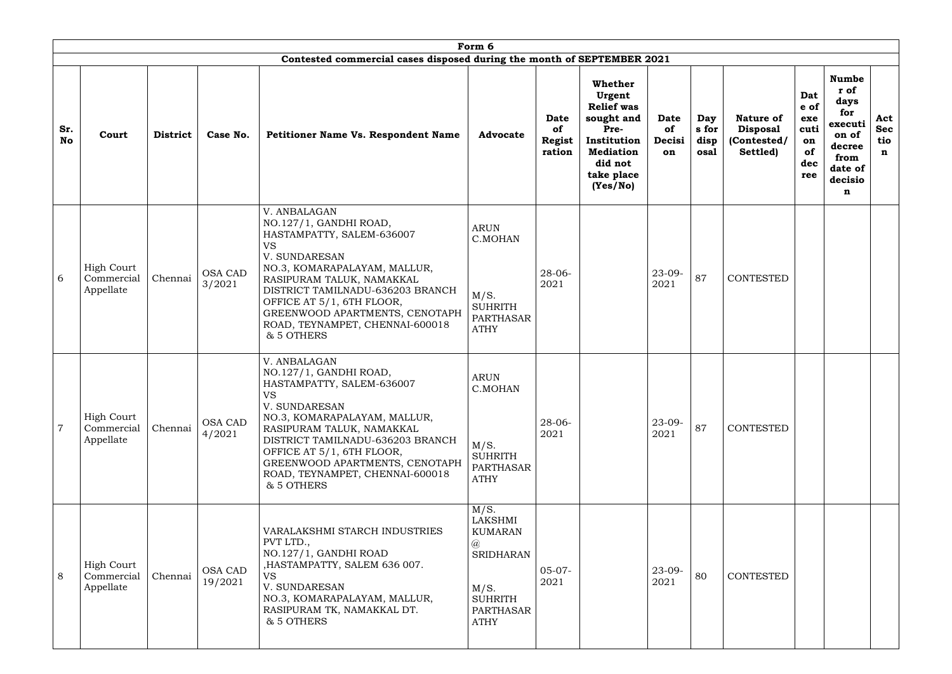|                  |                                              |                 |                           |                                                                                                                                                                                                                                                                                                                    | Form 6                                                                                                                     |                                              |                                                                                                                                             |                                   |                              |                                                                |                                                      |                                                                                                      |                                         |
|------------------|----------------------------------------------|-----------------|---------------------------|--------------------------------------------------------------------------------------------------------------------------------------------------------------------------------------------------------------------------------------------------------------------------------------------------------------------|----------------------------------------------------------------------------------------------------------------------------|----------------------------------------------|---------------------------------------------------------------------------------------------------------------------------------------------|-----------------------------------|------------------------------|----------------------------------------------------------------|------------------------------------------------------|------------------------------------------------------------------------------------------------------|-----------------------------------------|
| Sr.<br><b>No</b> | Court                                        | <b>District</b> | Case No.                  | Contested commercial cases disposed during the month of SEPTEMBER 2021<br><b>Petitioner Name Vs. Respondent Name</b>                                                                                                                                                                                               | <b>Advocate</b>                                                                                                            | <b>Date</b><br>of<br><b>Regist</b><br>ration | <b>Whether</b><br>Urgent<br><b>Relief was</b><br>sought and<br>Pre-<br>Institution<br><b>Mediation</b><br>did not<br>take place<br>(Yes/No) | <b>Date</b><br>of<br>Decisi<br>on | Day<br>s for<br>disp<br>osal | <b>Nature of</b><br><b>Disposal</b><br>(Contested/<br>Settled) | Dat<br>e of<br>exe<br>cuti<br>on<br>of<br>dec<br>ree | <b>Numbe</b><br>r of<br>days<br>for<br>executi<br>on of<br>decree<br>from<br>date of<br>decisio<br>n | Act<br><b>Sec</b><br>tio<br>$\mathbf n$ |
| 6                | <b>High Court</b><br>Commercial<br>Appellate | Chennai         | <b>OSA CAD</b><br>3/2021  | V. ANBALAGAN<br>NO.127/1, GANDHI ROAD,<br>HASTAMPATTY, SALEM-636007<br><b>VS</b><br>V. SUNDARESAN<br>NO.3, KOMARAPALAYAM, MALLUR,<br>RASIPURAM TALUK, NAMAKKAL<br>DISTRICT TAMILNADU-636203 BRANCH<br>OFFICE AT 5/1, 6TH FLOOR,<br>GREENWOOD APARTMENTS, CENOTAPH<br>ROAD, TEYNAMPET, CHENNAI-600018<br>& 5 OTHERS | <b>ARUN</b><br>C.MOHAN<br>M/S.<br><b>SUHRITH</b><br>PARTHASAR<br><b>ATHY</b>                                               | $28 - 06 -$<br>2021                          |                                                                                                                                             | $23-09-$<br>2021                  | 87                           | <b>CONTESTED</b>                                               |                                                      |                                                                                                      |                                         |
| $\overline{7}$   | <b>High Court</b><br>Commercial<br>Appellate | Chennai         | <b>OSA CAD</b><br>4/2021  | V. ANBALAGAN<br>NO.127/1, GANDHI ROAD,<br>HASTAMPATTY, SALEM-636007<br><b>VS</b><br>V. SUNDARESAN<br>NO.3, KOMARAPALAYAM, MALLUR,<br>RASIPURAM TALUK, NAMAKKAL<br>DISTRICT TAMILNADU-636203 BRANCH<br>OFFICE AT 5/1, 6TH FLOOR,<br>GREENWOOD APARTMENTS, CENOTAPH<br>ROAD, TEYNAMPET, CHENNAI-600018<br>& 5 OTHERS | <b>ARUN</b><br>C.MOHAN<br>M/S.<br><b>SUHRITH</b><br>PARTHASAR<br><b>ATHY</b>                                               | $28 - 06 -$<br>2021                          |                                                                                                                                             | $23 - 09 -$<br>2021               | 87                           | CONTESTED                                                      |                                                      |                                                                                                      |                                         |
| 8                | <b>High Court</b><br>Commercial<br>Appellate | Chennai         | <b>OSA CAD</b><br>19/2021 | VARALAKSHMI STARCH INDUSTRIES<br>PVT LTD.,<br>NO.127/1, GANDHI ROAD<br>, HASTAMPATTY, SALEM 636 007.<br><b>VS</b><br>V. SUNDARESAN<br>NO.3, KOMARAPALAYAM, MALLUR,<br>RASIPURAM TK, NAMAKKAL DT.<br>& 5 OTHERS                                                                                                     | M/S.<br>LAKSHMI<br><b>KUMARAN</b><br>$\circleda$<br><b>SRIDHARAN</b><br>M/S.<br><b>SUHRITH</b><br>PARTHASAR<br><b>ATHY</b> | $05-07-$<br>2021                             |                                                                                                                                             | $23-09-$<br>2021                  | 80                           | CONTESTED                                                      |                                                      |                                                                                                      |                                         |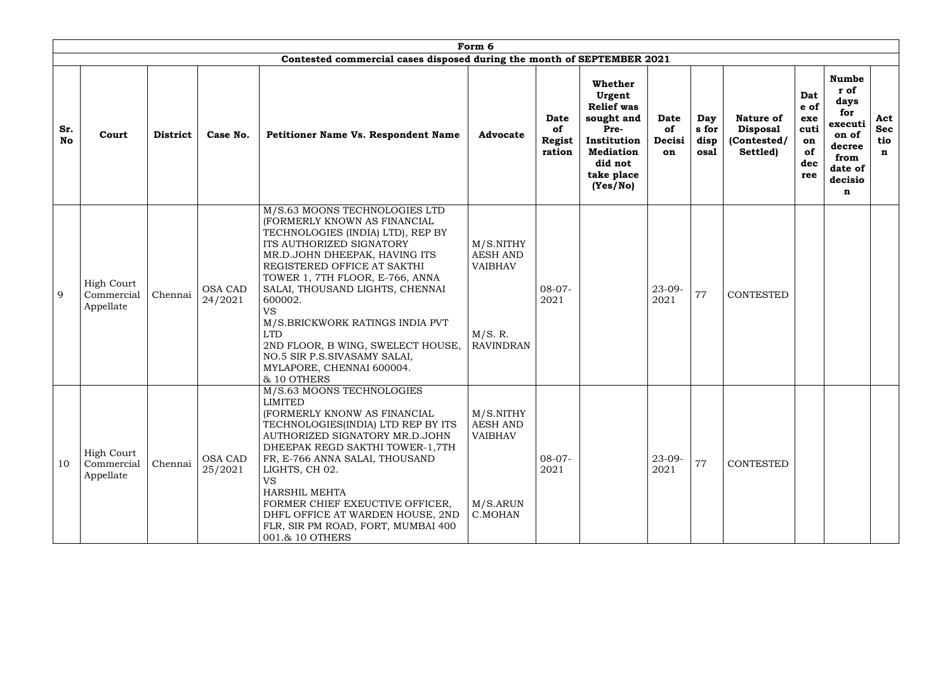|                  |                                              |                 |                           |                                                                                                                                                                                                                                                                                                                                                                                                                                                                | Form 6                                                                        |                                              |                                                                                                                                      |                                   |                              |                                                                |                                                      |                                                                                                      |                                         |
|------------------|----------------------------------------------|-----------------|---------------------------|----------------------------------------------------------------------------------------------------------------------------------------------------------------------------------------------------------------------------------------------------------------------------------------------------------------------------------------------------------------------------------------------------------------------------------------------------------------|-------------------------------------------------------------------------------|----------------------------------------------|--------------------------------------------------------------------------------------------------------------------------------------|-----------------------------------|------------------------------|----------------------------------------------------------------|------------------------------------------------------|------------------------------------------------------------------------------------------------------|-----------------------------------------|
| Sr.<br><b>No</b> | Court                                        | <b>District</b> | Case No.                  | Contested commercial cases disposed during the month of SEPTEMBER 2021<br>Petitioner Name Vs. Respondent Name                                                                                                                                                                                                                                                                                                                                                  | <b>Advocate</b>                                                               | <b>Date</b><br>of<br><b>Regist</b><br>ration | Whether<br>Urgent<br><b>Relief</b> was<br>sought and<br>Pre-<br>Institution<br><b>Mediation</b><br>did not<br>take place<br>(Yes/No) | Date<br><b>of</b><br>Decisi<br>on | Day<br>s for<br>disp<br>osal | <b>Nature of</b><br><b>Disposal</b><br>(Contested/<br>Settled) | Dat<br>e of<br>exe<br>cuti<br>on<br>of<br>dec<br>ree | <b>Numbe</b><br>r of<br>days<br>for<br>executi<br>on of<br>decree<br>from<br>date of<br>decisio<br>n | Act<br><b>Sec</b><br>tio<br>$\mathbf n$ |
| 9                | <b>High Court</b><br>Commercial<br>Appellate | Chennai         | <b>OSA CAD</b><br>24/2021 | M/S.63 MOONS TECHNOLOGIES LTD<br>(FORMERLY KNOWN AS FINANCIAL<br>TECHNOLOGIES (INDIA) LTD), REP BY<br>ITS AUTHORIZED SIGNATORY<br>MR.D.JOHN DHEEPAK, HAVING ITS<br>REGISTERED OFFICE AT SAKTHI<br>TOWER 1, 7TH FLOOR, E-766, ANNA<br>SALAI, THOUSAND LIGHTS, CHENNAI<br>600002.<br><b>VS</b><br>M/S.BRICKWORK RATINGS INDIA PVT<br><b>LTD</b><br>2ND FLOOR, B WING, SWELECT HOUSE,<br>NO.5 SIR P.S.SIVASAMY SALAI,<br>MYLAPORE, CHENNAI 600004.<br>& 10 OTHERS | M/S.NITHY<br><b>AESH AND</b><br><b>VAIBHAV</b><br>M/S. R.<br><b>RAVINDRAN</b> | $08-07-$<br>2021                             |                                                                                                                                      | $23 - 09 -$<br>2021               | 77                           | <b>CONTESTED</b>                                               |                                                      |                                                                                                      |                                         |
| 10               | <b>High Court</b><br>Commercial<br>Appellate | Chennai         | <b>OSA CAD</b><br>25/2021 | M/S.63 MOONS TECHNOLOGIES<br><b>LIMITED</b><br>(FORMERLY KNONW AS FINANCIAL<br>TECHNOLOGIES(INDIA) LTD REP BY ITS<br>AUTHORIZED SIGNATORY MR.D.JOHN<br>DHEEPAK REGD SAKTHI TOWER-1,7TH<br>FR, E-766 ANNA SALAI, THOUSAND<br>LIGHTS, CH 02.<br>VS.<br><b>HARSHIL MEHTA</b><br>FORMER CHIEF EXEUCTIVE OFFICER,<br>DHFL OFFICE AT WARDEN HOUSE, 2ND<br>FLR, SIR PM ROAD, FORT, MUMBAI 400<br>001.& 10 OTHERS                                                      | M/S.NITHY<br><b>AESH AND</b><br><b>VAIBHAV</b><br>M/S.ARUN<br>C.MOHAN         | $08-07-$<br>2021                             |                                                                                                                                      | $23-09-$<br>2021                  | 77                           | <b>CONTESTED</b>                                               |                                                      |                                                                                                      |                                         |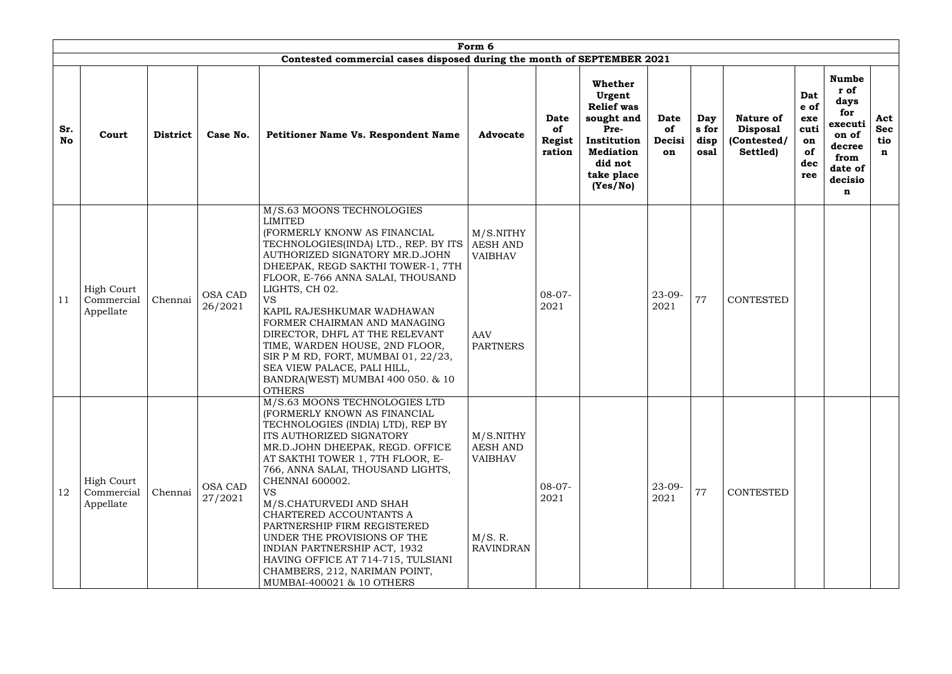|                  |                                              |                 |                           |                                                                                                                                                                                                                                                                                                                                                                                                                                                                                                                                    | Form 6                                                                          |                                       |                                                                                                                                      |                                   |                              |                                                                |                                                      |                                                                                                      |                                         |
|------------------|----------------------------------------------|-----------------|---------------------------|------------------------------------------------------------------------------------------------------------------------------------------------------------------------------------------------------------------------------------------------------------------------------------------------------------------------------------------------------------------------------------------------------------------------------------------------------------------------------------------------------------------------------------|---------------------------------------------------------------------------------|---------------------------------------|--------------------------------------------------------------------------------------------------------------------------------------|-----------------------------------|------------------------------|----------------------------------------------------------------|------------------------------------------------------|------------------------------------------------------------------------------------------------------|-----------------------------------------|
|                  |                                              |                 |                           | Contested commercial cases disposed during the month of SEPTEMBER 2021                                                                                                                                                                                                                                                                                                                                                                                                                                                             |                                                                                 |                                       |                                                                                                                                      |                                   |                              |                                                                |                                                      |                                                                                                      |                                         |
| Sr.<br><b>No</b> | Court                                        | <b>District</b> | Case No.                  | <b>Petitioner Name Vs. Respondent Name</b>                                                                                                                                                                                                                                                                                                                                                                                                                                                                                         | <b>Advocate</b>                                                                 | Date<br>of<br><b>Regist</b><br>ration | Whether<br>Urgent<br><b>Relief</b> was<br>sought and<br>Pre-<br>Institution<br><b>Mediation</b><br>did not<br>take place<br>(Yes/No) | <b>Date</b><br>of<br>Decisi<br>on | Day<br>s for<br>disp<br>osal | <b>Nature of</b><br><b>Disposal</b><br>(Contested/<br>Settled) | Dat<br>e of<br>exe<br>cuti<br>on<br>of<br>dec<br>ree | <b>Numbe</b><br>r of<br>days<br>for<br>executi<br>on of<br>decree<br>from<br>date of<br>decisio<br>n | Act<br><b>Sec</b><br>tio<br>$\mathbf n$ |
| 11               | <b>High Court</b><br>Commercial<br>Appellate | Chennai         | <b>OSA CAD</b><br>26/2021 | M/S.63 MOONS TECHNOLOGIES<br><b>LIMITED</b><br>(FORMERLY KNONW AS FINANCIAL<br>TECHNOLOGIES(INDA) LTD., REP. BY ITS<br>AUTHORIZED SIGNATORY MR.D.JOHN<br>DHEEPAK, REGD SAKTHI TOWER-1, 7TH<br>FLOOR, E-766 ANNA SALAI, THOUSAND<br>LIGHTS, CH 02.<br><b>VS</b><br>KAPIL RAJESHKUMAR WADHAWAN<br>FORMER CHAIRMAN AND MANAGING<br>DIRECTOR, DHFL AT THE RELEVANT<br>TIME, WARDEN HOUSE, 2ND FLOOR,<br>SIR P M RD, FORT, MUMBAI 01, 22/23,<br>SEA VIEW PALACE, PALI HILL,<br>BANDRA(WEST) MUMBAI 400 050. & 10<br><b>OTHERS</b>       | M/S.NITHY<br><b>AESH AND</b><br><b>VAIBHAV</b><br><b>AAV</b><br><b>PARTNERS</b> | $08-07-$<br>2021                      |                                                                                                                                      | $23 - 09 -$<br>2021               | 77                           | <b>CONTESTED</b>                                               |                                                      |                                                                                                      |                                         |
| 12               | <b>High Court</b><br>Commercial<br>Appellate | Chennai         | <b>OSA CAD</b><br>27/2021 | M/S.63 MOONS TECHNOLOGIES LTD<br>(FORMERLY KNOWN AS FINANCIAL<br>TECHNOLOGIES (INDIA) LTD), REP BY<br>ITS AUTHORIZED SIGNATORY<br>MR.D.JOHN DHEEPAK, REGD. OFFICE<br>AT SAKTHI TOWER 1, 7TH FLOOR, E-<br>766, ANNA SALAI, THOUSAND LIGHTS,<br>CHENNAI 600002.<br><b>VS</b><br>M/S.CHATURVEDI AND SHAH<br>CHARTERED ACCOUNTANTS A<br>PARTNERSHIP FIRM REGISTERED<br>UNDER THE PROVISIONS OF THE<br>INDIAN PARTNERSHIP ACT, 1932<br>HAVING OFFICE AT 714-715, TULSIANI<br>CHAMBERS, 212, NARIMAN POINT,<br>MUMBAI-400021 & 10 OTHERS | M/S.NITHY<br><b>AESH AND</b><br><b>VAIBHAV</b><br>M/S. R.<br><b>RAVINDRAN</b>   | $08-07-$<br>2021                      |                                                                                                                                      | $23 - 09 -$<br>2021               | 77                           | <b>CONTESTED</b>                                               |                                                      |                                                                                                      |                                         |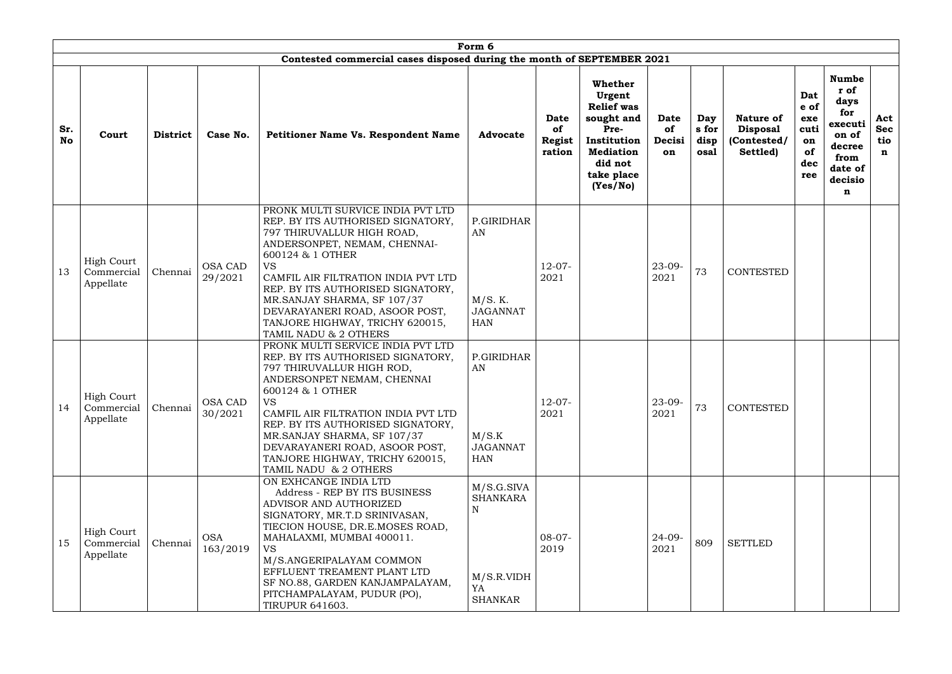|                  |                                              |                 |                           |                                                                                                                                                                                                                                                                                                                                                                                | Form 6                                                                   |                                              |                                                                                                                                      |                                   |                              |                                                                |                                                      |                                                                                                      |                                         |
|------------------|----------------------------------------------|-----------------|---------------------------|--------------------------------------------------------------------------------------------------------------------------------------------------------------------------------------------------------------------------------------------------------------------------------------------------------------------------------------------------------------------------------|--------------------------------------------------------------------------|----------------------------------------------|--------------------------------------------------------------------------------------------------------------------------------------|-----------------------------------|------------------------------|----------------------------------------------------------------|------------------------------------------------------|------------------------------------------------------------------------------------------------------|-----------------------------------------|
|                  |                                              |                 |                           | Contested commercial cases disposed during the month of SEPTEMBER 2021                                                                                                                                                                                                                                                                                                         |                                                                          |                                              |                                                                                                                                      |                                   |                              |                                                                |                                                      |                                                                                                      |                                         |
| Sr.<br><b>No</b> | Court                                        | <b>District</b> | Case No.                  | <b>Petitioner Name Vs. Respondent Name</b>                                                                                                                                                                                                                                                                                                                                     | <b>Advocate</b>                                                          | <b>Date</b><br>of<br><b>Regist</b><br>ration | Whether<br>Urgent<br><b>Relief was</b><br>sought and<br>Pre-<br>Institution<br><b>Mediation</b><br>did not<br>take place<br>(Yes/No) | <b>Date</b><br>of<br>Decisi<br>on | Day<br>s for<br>disp<br>osal | <b>Nature of</b><br><b>Disposal</b><br>(Contested/<br>Settled) | Dat<br>e of<br>exe<br>cuti<br>on<br>of<br>dec<br>ree | <b>Numbe</b><br>r of<br>days<br>for<br>executi<br>on of<br>decree<br>from<br>date of<br>decisio<br>n | Act<br><b>Sec</b><br>tio<br>$\mathbf n$ |
| 13               | High Court<br>Commercial<br>Appellate        | Chennai         | <b>OSA CAD</b><br>29/2021 | PRONK MULTI SURVICE INDIA PVT LTD<br>REP. BY ITS AUTHORISED SIGNATORY,<br>797 THIRUVALLUR HIGH ROAD,<br>ANDERSONPET, NEMAM, CHENNAI-<br>600124 & 1 OTHER<br><b>VS</b><br>CAMFIL AIR FILTRATION INDIA PVT LTD<br>REP. BY ITS AUTHORISED SIGNATORY,<br>MR.SANJAY SHARMA, SF 107/37<br>DEVARAYANERI ROAD, ASOOR POST,<br>TANJORE HIGHWAY, TRICHY 620015,<br>TAMIL NADU & 2 OTHERS | P.GIRIDHAR<br>AN<br>M/S. K.<br><b>JAGANNAT</b><br><b>HAN</b>             | $12-07-$<br>2021                             |                                                                                                                                      | $23 - 09 -$<br>2021               | 73                           | <b>CONTESTED</b>                                               |                                                      |                                                                                                      |                                         |
| 14               | <b>High Court</b><br>Commercial<br>Appellate | Chennai         | OSA CAD<br>30/2021        | PRONK MULTI SERVICE INDIA PVT LTD<br>REP. BY ITS AUTHORISED SIGNATORY,<br>797 THIRUVALLUR HIGH ROD,<br>ANDERSONPET NEMAM, CHENNAI<br>600124 & 1 OTHER<br><b>VS</b><br>CAMFIL AIR FILTRATION INDIA PVT LTD<br>REP. BY ITS AUTHORISED SIGNATORY,<br>MR.SANJAY SHARMA, SF 107/37<br>DEVARAYANERI ROAD, ASOOR POST,<br>TANJORE HIGHWAY, TRICHY 620015,<br>TAMIL NADU & 2 OTHERS    | P.GIRIDHAR<br>AN<br>M/S.K<br><b>JAGANNAT</b><br>HAN                      | $12-07-$<br>2021                             |                                                                                                                                      | $23-09-$<br>2021                  | 73                           | <b>CONTESTED</b>                                               |                                                      |                                                                                                      |                                         |
| 15               | <b>High Court</b><br>Commercial<br>Appellate | Chennai         | <b>OSA</b><br>163/2019    | ON EXHCANGE INDIA LTD<br>Address - REP BY ITS BUSINESS<br>ADVISOR AND AUTHORIZED<br>SIGNATORY, MR.T.D SRINIVASAN,<br>TIECION HOUSE, DR.E.MOSES ROAD,<br>MAHALAXMI, MUMBAI 400011.<br>VS.<br>M/S.ANGERIPALAYAM COMMON<br>EFFLUENT TREAMENT PLANT LTD<br>SF NO.88, GARDEN KANJAMPALAYAM,<br>PITCHAMPALAYAM, PUDUR (PO),<br><b>TIRUPUR 641603.</b>                                | M/S.G.SIVA<br><b>SHANKARA</b><br>N<br>M/S.R.VIDH<br>YA<br><b>SHANKAR</b> | $08-07-$<br>2019                             |                                                                                                                                      | $24 - 09 -$<br>2021               | 809                          | <b>SETTLED</b>                                                 |                                                      |                                                                                                      |                                         |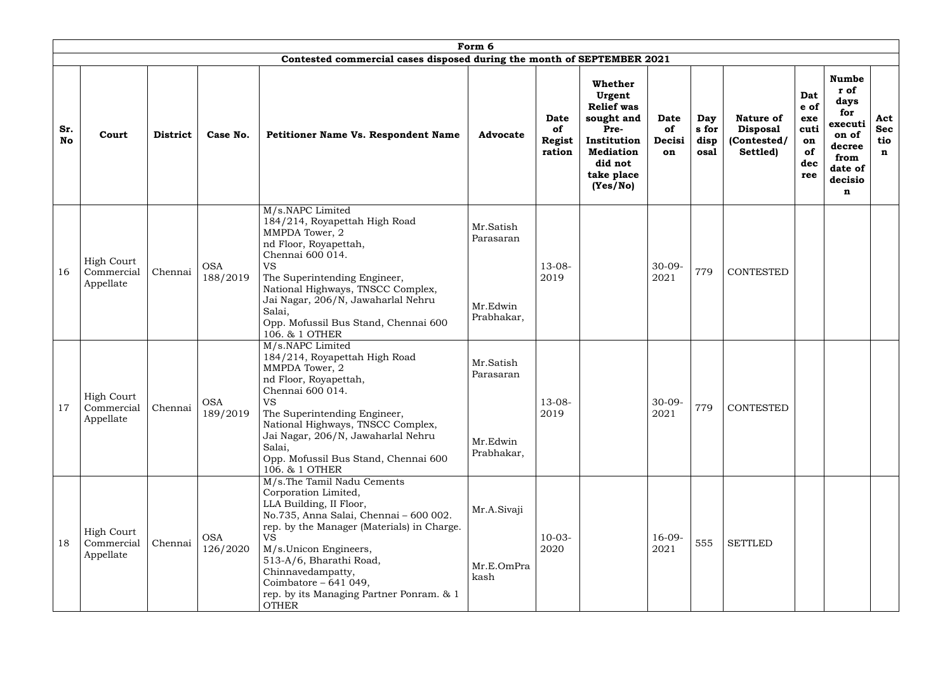|                  | Form 6<br>Contested commercial cases disposed during the month of SEPTEMBER 2021 |                 |                        |                                                                                                                                                                                                                                                                                                                                                   |                                                  |                                              |                                                                                                                                      |                            |                              |                                                                |                                                      |                                                                                                      |                                         |
|------------------|----------------------------------------------------------------------------------|-----------------|------------------------|---------------------------------------------------------------------------------------------------------------------------------------------------------------------------------------------------------------------------------------------------------------------------------------------------------------------------------------------------|--------------------------------------------------|----------------------------------------------|--------------------------------------------------------------------------------------------------------------------------------------|----------------------------|------------------------------|----------------------------------------------------------------|------------------------------------------------------|------------------------------------------------------------------------------------------------------|-----------------------------------------|
|                  |                                                                                  |                 |                        |                                                                                                                                                                                                                                                                                                                                                   |                                                  |                                              |                                                                                                                                      |                            |                              |                                                                |                                                      |                                                                                                      |                                         |
| Sr.<br><b>No</b> | Court                                                                            | <b>District</b> | Case No.               | <b>Petitioner Name Vs. Respondent Name</b>                                                                                                                                                                                                                                                                                                        | <b>Advocate</b>                                  | <b>Date</b><br>of<br><b>Regist</b><br>ration | Whether<br>Urgent<br><b>Relief was</b><br>sought and<br>Pre-<br>Institution<br><b>Mediation</b><br>did not<br>take place<br>(Yes/No) | Date<br>of<br>Decisi<br>on | Day<br>s for<br>disp<br>osal | <b>Nature of</b><br><b>Disposal</b><br>(Contested/<br>Settled) | Dat<br>e of<br>exe<br>cuti<br>on<br>of<br>dec<br>ree | <b>Numbe</b><br>r of<br>days<br>for<br>executi<br>on of<br>decree<br>from<br>date of<br>decisio<br>n | Act<br><b>Sec</b><br>tio<br>$\mathbf n$ |
| 16               | High Court<br>Commercial<br>Appellate                                            | Chennai         | <b>OSA</b><br>188/2019 | M/s.NAPC Limited<br>184/214, Royapettah High Road<br>MMPDA Tower, 2<br>nd Floor, Royapettah,<br>Chennai 600 014.<br><b>VS</b><br>The Superintending Engineer,<br>National Highways, TNSCC Complex,<br>Jai Nagar, 206/N, Jawaharlal Nehru<br>Salai,<br>Opp. Mofussil Bus Stand, Chennai 600<br>106. & 1 OTHER                                      | Mr.Satish<br>Parasaran<br>Mr.Edwin<br>Prabhakar, | $13 - 08 -$<br>2019                          |                                                                                                                                      | $30 - 09 -$<br>2021        | 779                          | <b>CONTESTED</b>                                               |                                                      |                                                                                                      |                                         |
| 17               | <b>High Court</b><br>Commercial<br>Appellate                                     | Chennai         | <b>OSA</b><br>189/2019 | M/s.NAPC Limited<br>184/214, Royapettah High Road<br>MMPDA Tower, 2<br>nd Floor, Royapettah,<br>Chennai 600 014.<br><b>VS</b><br>The Superintending Engineer,<br>National Highways, TNSCC Complex,<br>Jai Nagar, 206/N, Jawaharlal Nehru<br>Salai,<br>Opp. Mofussil Bus Stand, Chennai 600<br>106. & 1 OTHER                                      | Mr.Satish<br>Parasaran<br>Mr.Edwin<br>Prabhakar, | $13 - 08 -$<br>2019                          |                                                                                                                                      | $30 - 09 -$<br>2021        | 779                          | <b>CONTESTED</b>                                               |                                                      |                                                                                                      |                                         |
| 18               | <b>High Court</b><br>Commercial<br>Appellate                                     | Chennai         | <b>OSA</b><br>126/2020 | M/s.The Tamil Nadu Cements<br>Corporation Limited,<br>LLA Building, II Floor,<br>No.735, Anna Salai, Chennai - 600 002.<br>rep. by the Manager (Materials) in Charge.<br><b>VS</b><br>M/s.Unicon Engineers,<br>513-A/6, Bharathi Road,<br>Chinnavedampatty,<br>Coimbatore $-641049$ ,<br>rep. by its Managing Partner Ponram. & 1<br><b>OTHER</b> | Mr.A.Sivaji<br>Mr.E.OmPra<br>kash                | $10-03-$<br>2020                             |                                                                                                                                      | $16-09-$<br>2021           | 555                          | <b>SETTLED</b>                                                 |                                                      |                                                                                                      |                                         |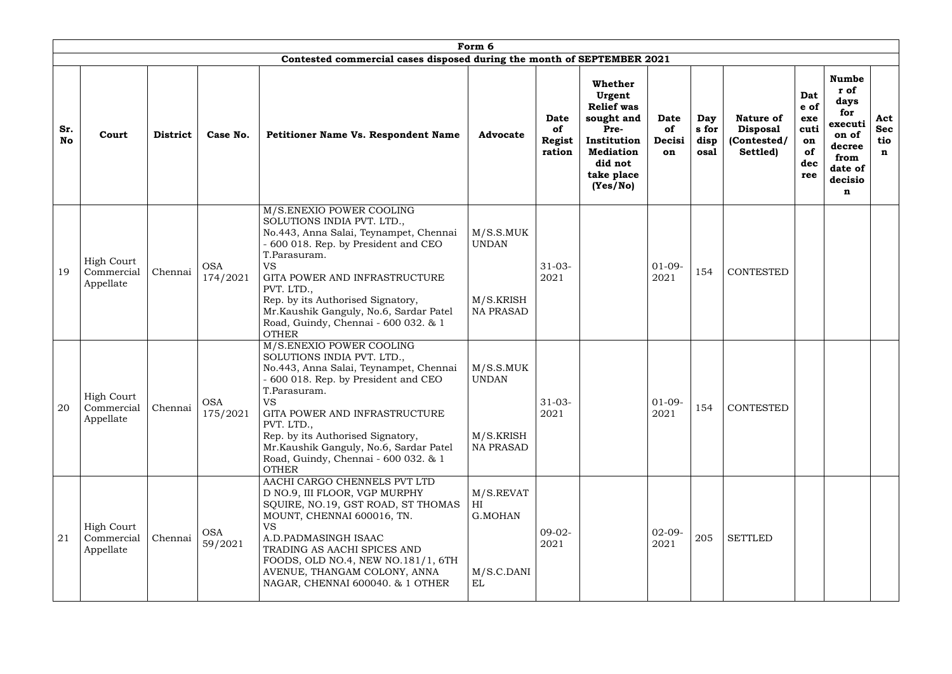|                  | Form 6<br>Contested commercial cases disposed during the month of SEPTEMBER 2021 |                 |                        |                                                                                                                                                                                                                                                                                                                                                             |                                                            |                                              |                                                                                                                                      |                            |                              |                                                         |                                                      |                                                                                                      |                                         |
|------------------|----------------------------------------------------------------------------------|-----------------|------------------------|-------------------------------------------------------------------------------------------------------------------------------------------------------------------------------------------------------------------------------------------------------------------------------------------------------------------------------------------------------------|------------------------------------------------------------|----------------------------------------------|--------------------------------------------------------------------------------------------------------------------------------------|----------------------------|------------------------------|---------------------------------------------------------|------------------------------------------------------|------------------------------------------------------------------------------------------------------|-----------------------------------------|
|                  |                                                                                  |                 |                        |                                                                                                                                                                                                                                                                                                                                                             |                                                            |                                              |                                                                                                                                      |                            |                              |                                                         |                                                      |                                                                                                      |                                         |
| Sr.<br><b>No</b> | Court                                                                            | <b>District</b> | Case No.               | <b>Petitioner Name Vs. Respondent Name</b>                                                                                                                                                                                                                                                                                                                  | <b>Advocate</b>                                            | <b>Date</b><br>of<br><b>Regist</b><br>ration | Whether<br>Urgent<br><b>Relief was</b><br>sought and<br>Pre-<br>Institution<br><b>Mediation</b><br>did not<br>take place<br>(Yes/No) | Date<br>of<br>Decisi<br>on | Day<br>s for<br>disp<br>osal | Nature of<br><b>Disposal</b><br>(Contested/<br>Settled) | Dat<br>e of<br>exe<br>cuti<br>on<br>of<br>dec<br>ree | <b>Numbe</b><br>r of<br>days<br>for<br>executi<br>on of<br>decree<br>from<br>date of<br>decisio<br>n | Act<br><b>Sec</b><br>tio<br>$\mathbf n$ |
| 19               | <b>High Court</b><br>Commercial<br>Appellate                                     | Chennai         | <b>OSA</b><br>174/2021 | M/S.ENEXIO POWER COOLING<br>SOLUTIONS INDIA PVT. LTD.,<br>No.443, Anna Salai, Teynampet, Chennai<br>- 600 018. Rep. by President and CEO<br>T.Parasuram.<br><b>VS</b><br>GITA POWER AND INFRASTRUCTURE<br>PVT. LTD.,<br>Rep. by its Authorised Signatory,<br>Mr.Kaushik Ganguly, No.6, Sardar Patel<br>Road, Guindy, Chennai - 600 032. & 1<br><b>OTHER</b> | M/S.S.MUK<br><b>UNDAN</b><br>M/S.KRISH<br><b>NA PRASAD</b> | $31 - 03 -$<br>2021                          |                                                                                                                                      | $01-09-$<br>2021           | 154                          | <b>CONTESTED</b>                                        |                                                      |                                                                                                      |                                         |
| 20               | <b>High Court</b><br>Commercial<br>Appellate                                     | Chennai         | <b>OSA</b><br>175/2021 | M/S.ENEXIO POWER COOLING<br>SOLUTIONS INDIA PVT. LTD.,<br>No.443, Anna Salai, Teynampet, Chennai<br>- 600 018. Rep. by President and CEO<br>T.Parasuram.<br><b>VS</b><br>GITA POWER AND INFRASTRUCTURE<br>PVT. LTD.,<br>Rep. by its Authorised Signatory,<br>Mr.Kaushik Ganguly, No.6, Sardar Patel<br>Road, Guindy, Chennai - 600 032. & 1<br><b>OTHER</b> | M/S.S.MUK<br><b>UNDAN</b><br>M/S.KRISH<br><b>NA PRASAD</b> | $31-03-$<br>2021                             |                                                                                                                                      | $01-09-$<br>2021           | 154                          | <b>CONTESTED</b>                                        |                                                      |                                                                                                      |                                         |
| 21               | <b>High Court</b><br>Commercial<br>Appellate                                     | Chennai         | <b>OSA</b><br>59/2021  | AACHI CARGO CHENNELS PVT LTD<br>D NO.9, III FLOOR, VGP MURPHY<br>SQUIRE, NO.19, GST ROAD, ST THOMAS<br>MOUNT, CHENNAI 600016, TN.<br><b>VS</b><br>A.D.PADMASINGH ISAAC<br>TRADING AS AACHI SPICES AND<br>FOODS, OLD NO.4, NEW NO.181/1, 6TH<br>AVENUE, THANGAM COLONY, ANNA<br>NAGAR, CHENNAI 600040. & 1 OTHER                                             | M/S.REVAT<br>HI<br>G.MOHAN<br>M/S.C.DANI<br>EL             | $09-02-$<br>2021                             |                                                                                                                                      | $02 - 09 -$<br>2021        | 205                          | <b>SETTLED</b>                                          |                                                      |                                                                                                      |                                         |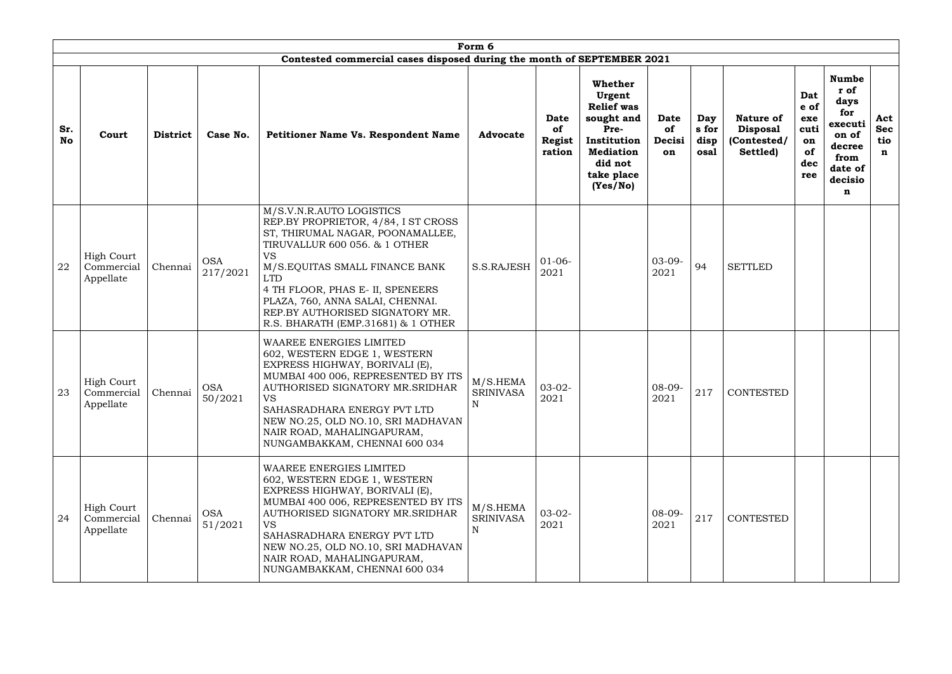|                  | Form 6                                       |                 |                        |                                                                                                                                                                                                                                                                                                                                             |                                             |                                              |                                                                                                                                      |                                   |                              |                                                         |                                                      |                                                                                                      |                                         |
|------------------|----------------------------------------------|-----------------|------------------------|---------------------------------------------------------------------------------------------------------------------------------------------------------------------------------------------------------------------------------------------------------------------------------------------------------------------------------------------|---------------------------------------------|----------------------------------------------|--------------------------------------------------------------------------------------------------------------------------------------|-----------------------------------|------------------------------|---------------------------------------------------------|------------------------------------------------------|------------------------------------------------------------------------------------------------------|-----------------------------------------|
|                  |                                              |                 |                        | Contested commercial cases disposed during the month of SEPTEMBER 2021                                                                                                                                                                                                                                                                      |                                             |                                              |                                                                                                                                      |                                   |                              |                                                         |                                                      |                                                                                                      |                                         |
| Sr.<br><b>No</b> | Court                                        | <b>District</b> | Case No.               | <b>Petitioner Name Vs. Respondent Name</b>                                                                                                                                                                                                                                                                                                  | <b>Advocate</b>                             | <b>Date</b><br>of<br><b>Regist</b><br>ration | Whether<br>Urgent<br><b>Relief</b> was<br>sought and<br>Pre-<br>Institution<br><b>Mediation</b><br>did not<br>take place<br>(Yes/No) | Date<br><b>of</b><br>Decisi<br>on | Day<br>s for<br>disp<br>osal | Nature of<br><b>Disposal</b><br>(Contested/<br>Settled) | Dat<br>e of<br>exe<br>cuti<br>on<br>of<br>dec<br>ree | <b>Numbe</b><br>r of<br>days<br>for<br>executi<br>on of<br>decree<br>from<br>date of<br>decisio<br>n | Act<br><b>Sec</b><br>tio<br>$\mathbf n$ |
| 22               | <b>High Court</b><br>Commercial<br>Appellate | Chennai         | <b>OSA</b><br>217/2021 | M/S.V.N.R.AUTO LOGISTICS<br>REP.BY PROPRIETOR, 4/84, I ST CROSS<br>ST, THIRUMAL NAGAR, POONAMALLEE,<br>TIRUVALLUR 600 056. & 1 OTHER<br>VS<br>M/S.EQUITAS SMALL FINANCE BANK<br><b>LTD</b><br>4 TH FLOOR, PHAS E- II, SPENEERS<br>PLAZA, 760, ANNA SALAI, CHENNAI.<br>REP.BY AUTHORISED SIGNATORY MR.<br>R.S. BHARATH (EMP.31681) & 1 OTHER | S.S.RAJESH                                  | $01-06-$<br>2021                             |                                                                                                                                      | $03 - 09 -$<br>2021               | 94                           | <b>SETTLED</b>                                          |                                                      |                                                                                                      |                                         |
| 23               | <b>High Court</b><br>Commercial<br>Appellate | Chennai         | <b>OSA</b><br>50/2021  | WAAREE ENERGIES LIMITED<br>602, WESTERN EDGE 1, WESTERN<br>EXPRESS HIGHWAY, BORIVALI (E),<br>MUMBAI 400 006, REPRESENTED BY ITS<br>AUTHORISED SIGNATORY MR.SRIDHAR<br><b>VS</b><br>SAHASRADHARA ENERGY PVT LTD<br>NEW NO.25, OLD NO.10, SRI MADHAVAN<br>NAIR ROAD, MAHALINGAPURAM,<br>NUNGAMBAKKAM, CHENNAI 600 034                         | M/S.HEMA<br><b>SRINIVASA</b><br>$\mathbf N$ | $03-02-$<br>2021                             |                                                                                                                                      | $08 - 09 -$<br>2021               | 217                          | CONTESTED                                               |                                                      |                                                                                                      |                                         |
| 24               | <b>High Court</b><br>Commercial<br>Appellate | Chennai         | <b>OSA</b><br>51/2021  | WAAREE ENERGIES LIMITED<br>602, WESTERN EDGE 1, WESTERN<br>EXPRESS HIGHWAY, BORIVALI (E),<br>MUMBAI 400 006, REPRESENTED BY ITS<br>AUTHORISED SIGNATORY MR.SRIDHAR<br>VS.<br>SAHASRADHARA ENERGY PVT LTD<br>NEW NO.25, OLD NO.10, SRI MADHAVAN<br>NAIR ROAD, MAHALINGAPURAM,<br>NUNGAMBAKKAM, CHENNAI 600 034                               | M/S.HEMA<br><b>SRINIVASA</b><br>N           | $03-02-$<br>2021                             |                                                                                                                                      | $08-09-$<br>2021                  | 217                          | <b>CONTESTED</b>                                        |                                                      |                                                                                                      |                                         |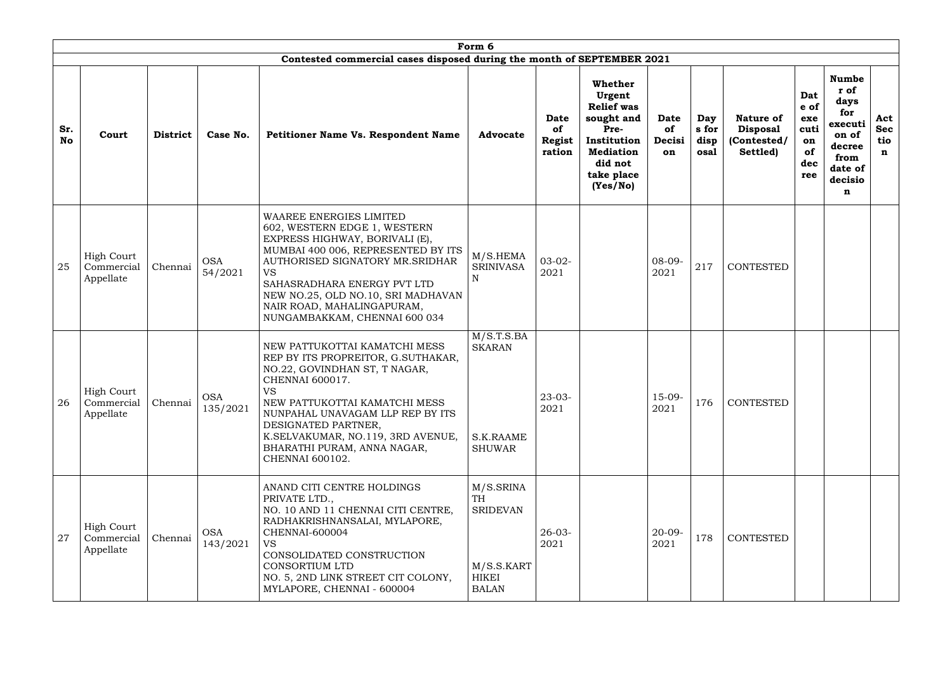|                  | Form 6                                       |                 |                        |                                                                                                                                                                                                                                                                                                                     |                                                                                         |                                              |                                                                                                                                      |                                   |                              |                                                                |                                                      |                                                                                                      |                                         |
|------------------|----------------------------------------------|-----------------|------------------------|---------------------------------------------------------------------------------------------------------------------------------------------------------------------------------------------------------------------------------------------------------------------------------------------------------------------|-----------------------------------------------------------------------------------------|----------------------------------------------|--------------------------------------------------------------------------------------------------------------------------------------|-----------------------------------|------------------------------|----------------------------------------------------------------|------------------------------------------------------|------------------------------------------------------------------------------------------------------|-----------------------------------------|
|                  |                                              |                 |                        | Contested commercial cases disposed during the month of SEPTEMBER 2021                                                                                                                                                                                                                                              |                                                                                         |                                              |                                                                                                                                      |                                   |                              |                                                                |                                                      |                                                                                                      |                                         |
| Sr.<br><b>No</b> | Court                                        | <b>District</b> | Case No.               | <b>Petitioner Name Vs. Respondent Name</b>                                                                                                                                                                                                                                                                          | <b>Advocate</b>                                                                         | <b>Date</b><br>of<br><b>Regist</b><br>ration | Whether<br>Urgent<br><b>Relief was</b><br>sought and<br>Pre-<br>Institution<br><b>Mediation</b><br>did not<br>take place<br>(Yes/No) | <b>Date</b><br>of<br>Decisi<br>on | Day<br>s for<br>disp<br>osal | <b>Nature of</b><br><b>Disposal</b><br>(Contested/<br>Settled) | Dat<br>e of<br>exe<br>cuti<br>on<br>of<br>dec<br>ree | <b>Numbe</b><br>r of<br>days<br>for<br>executi<br>on of<br>decree<br>from<br>date of<br>decisio<br>n | Act<br><b>Sec</b><br>tio<br>$\mathbf n$ |
| 25               | <b>High Court</b><br>Commercial<br>Appellate | Chennai         | <b>OSA</b><br>54/2021  | WAAREE ENERGIES LIMITED<br>602, WESTERN EDGE 1, WESTERN<br>EXPRESS HIGHWAY, BORIVALI (E),<br>MUMBAI 400 006, REPRESENTED BY ITS<br>AUTHORISED SIGNATORY MR.SRIDHAR<br><b>VS</b><br>SAHASRADHARA ENERGY PVT LTD<br>NEW NO.25, OLD NO.10, SRI MADHAVAN<br>NAIR ROAD, MAHALINGAPURAM,<br>NUNGAMBAKKAM, CHENNAI 600 034 | M/S.HEMA<br><b>SRINIVASA</b><br>N                                                       | $03-02-$<br>2021                             |                                                                                                                                      | $08 - 09 -$<br>2021               | 217                          | <b>CONTESTED</b>                                               |                                                      |                                                                                                      |                                         |
| 26               | <b>High Court</b><br>Commercial<br>Appellate | Chennai         | <b>OSA</b><br>135/2021 | NEW PATTUKOTTAI KAMATCHI MESS<br>REP BY ITS PROPREITOR, G.SUTHAKAR,<br>NO.22, GOVINDHAN ST, T NAGAR,<br>CHENNAI 600017.<br>VS<br>NEW PATTUKOTTAI KAMATCHI MESS<br>NUNPAHAL UNAVAGAM LLP REP BY ITS<br>DESIGNATED PARTNER,<br>K.SELVAKUMAR, NO.119, 3RD AVENUE,<br>BHARATHI PURAM, ANNA NAGAR,<br>CHENNAI 600102.    | M/S.T.S.BA<br><b>SKARAN</b><br>S.K.RAAME<br><b>SHUWAR</b>                               | $23-03-$<br>2021                             |                                                                                                                                      | $15-09-$<br>2021                  | 176                          | <b>CONTESTED</b>                                               |                                                      |                                                                                                      |                                         |
| 27               | <b>High Court</b><br>Commercial<br>Appellate | Chennai         | <b>OSA</b><br>143/2021 | ANAND CITI CENTRE HOLDINGS<br>PRIVATE LTD.,<br>NO. 10 AND 11 CHENNAI CITI CENTRE,<br>RADHAKRISHNANSALAI, MYLAPORE,<br>CHENNAI-600004<br><b>VS</b><br>CONSOLIDATED CONSTRUCTION<br>CONSORTIUM LTD<br>NO. 5, 2ND LINK STREET CIT COLONY,<br>MYLAPORE, CHENNAI - 600004                                                | M/S.SRINA<br><b>TH</b><br><b>SRIDEVAN</b><br>M/S.S.KART<br><b>HIKEI</b><br><b>BALAN</b> | $26 - 03 -$<br>2021                          |                                                                                                                                      | $20 - 09 -$<br>2021               | 178                          | <b>CONTESTED</b>                                               |                                                      |                                                                                                      |                                         |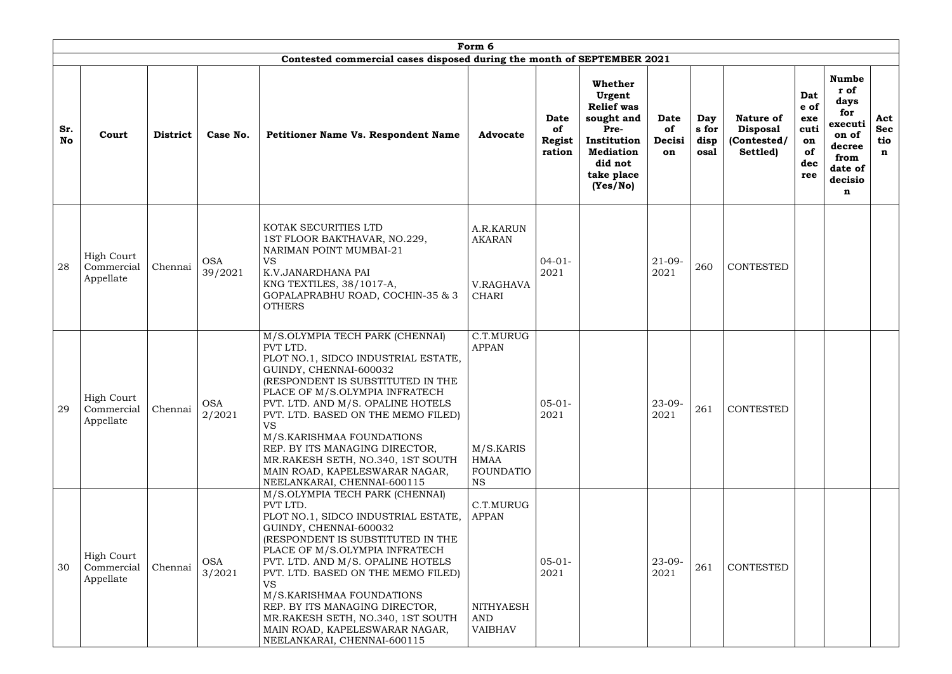|                  |                                              |                 |                       |                                                                                                                                                                                                                                                                                                                                                                                                                                                  | Form 6                                                                          |                                              |                                                                                                                                             |                                   |                              |                                                                |                                                      |                                                                                                      |                               |
|------------------|----------------------------------------------|-----------------|-----------------------|--------------------------------------------------------------------------------------------------------------------------------------------------------------------------------------------------------------------------------------------------------------------------------------------------------------------------------------------------------------------------------------------------------------------------------------------------|---------------------------------------------------------------------------------|----------------------------------------------|---------------------------------------------------------------------------------------------------------------------------------------------|-----------------------------------|------------------------------|----------------------------------------------------------------|------------------------------------------------------|------------------------------------------------------------------------------------------------------|-------------------------------|
|                  |                                              |                 |                       | Contested commercial cases disposed during the month of SEPTEMBER 2021                                                                                                                                                                                                                                                                                                                                                                           |                                                                                 |                                              |                                                                                                                                             |                                   |                              |                                                                |                                                      |                                                                                                      |                               |
| Sr.<br><b>No</b> | Court                                        | <b>District</b> | Case No.              | <b>Petitioner Name Vs. Respondent Name</b>                                                                                                                                                                                                                                                                                                                                                                                                       | <b>Advocate</b>                                                                 | <b>Date</b><br>of<br><b>Regist</b><br>ration | <b>Whether</b><br>Urgent<br><b>Relief was</b><br>sought and<br>Pre-<br>Institution<br><b>Mediation</b><br>did not<br>take place<br>(Yes/No) | <b>Date</b><br>of<br>Decisi<br>on | Day<br>s for<br>disp<br>osal | <b>Nature of</b><br><b>Disposal</b><br>(Contested/<br>Settled) | Dat<br>e of<br>exe<br>cuti<br>on<br>of<br>dec<br>ree | <b>Numbe</b><br>r of<br>days<br>for<br>executi<br>on of<br>decree<br>from<br>date of<br>decisio<br>n | Act<br><b>Sec</b><br>tio<br>n |
| 28               | <b>High Court</b><br>Commercial<br>Appellate | Chennai         | <b>OSA</b><br>39/2021 | KOTAK SECURITIES LTD<br>1ST FLOOR BAKTHAVAR, NO.229,<br>NARIMAN POINT MUMBAI-21<br><b>VS</b><br>K.V.JANARDHANA PAI<br>KNG TEXTILES, 38/1017-A,<br>GOPALAPRABHU ROAD, COCHIN-35 & 3<br><b>OTHERS</b>                                                                                                                                                                                                                                              | A.R.KARUN<br><b>AKARAN</b><br>V.RAGHAVA<br><b>CHARI</b>                         | $04-01-$<br>2021                             |                                                                                                                                             | $21-09-$<br>2021                  | 260                          | <b>CONTESTED</b>                                               |                                                      |                                                                                                      |                               |
| 29               | <b>High Court</b><br>Commercial<br>Appellate | Chennai         | <b>OSA</b><br>2/2021  | M/S.OLYMPIA TECH PARK (CHENNAI)<br>PVT LTD.<br>PLOT NO.1, SIDCO INDUSTRIAL ESTATE,<br>GUINDY, CHENNAI-600032<br>(RESPONDENT IS SUBSTITUTED IN THE<br>PLACE OF M/S.OLYMPIA INFRATECH<br>PVT. LTD. AND M/S. OPALINE HOTELS<br>PVT. LTD. BASED ON THE MEMO FILED)<br><b>VS</b><br>M/S.KARISHMAA FOUNDATIONS<br>REP. BY ITS MANAGING DIRECTOR,<br>MR.RAKESH SETH, NO.340, 1ST SOUTH<br>MAIN ROAD, KAPELESWARAR NAGAR,<br>NEELANKARAI, CHENNAI-600115 | C.T.MURUG<br><b>APPAN</b><br>M/S.KARIS<br>HMAA<br><b>FOUNDATIO</b><br><b>NS</b> | $05 - 01 -$<br>2021                          |                                                                                                                                             | $23 - 09 -$<br>2021               | 261                          | <b>CONTESTED</b>                                               |                                                      |                                                                                                      |                               |
| 30               | <b>High Court</b><br>Commercial<br>Appellate | Chennai         | <b>OSA</b><br>3/2021  | M/S.OLYMPIA TECH PARK (CHENNAI)<br>PVT LTD.<br>PLOT NO.1, SIDCO INDUSTRIAL ESTATE,<br>GUINDY, CHENNAI-600032<br>(RESPONDENT IS SUBSTITUTED IN THE<br>PLACE OF M/S.OLYMPIA INFRATECH<br>PVT. LTD. AND M/S. OPALINE HOTELS<br>PVT. LTD. BASED ON THE MEMO FILED)<br><b>VS</b><br>M/S.KARISHMAA FOUNDATIONS<br>REP. BY ITS MANAGING DIRECTOR,<br>MR.RAKESH SETH, NO.340, 1ST SOUTH<br>MAIN ROAD, KAPELESWARAR NAGAR,<br>NEELANKARAI, CHENNAI-600115 | C.T.MURUG<br><b>APPAN</b><br><b>NITHYAESH</b><br>AND<br><b>VAIBHAV</b>          | $05-01-$<br>2021                             |                                                                                                                                             | 23-09-<br>2021                    | 261                          | CONTESTED                                                      |                                                      |                                                                                                      |                               |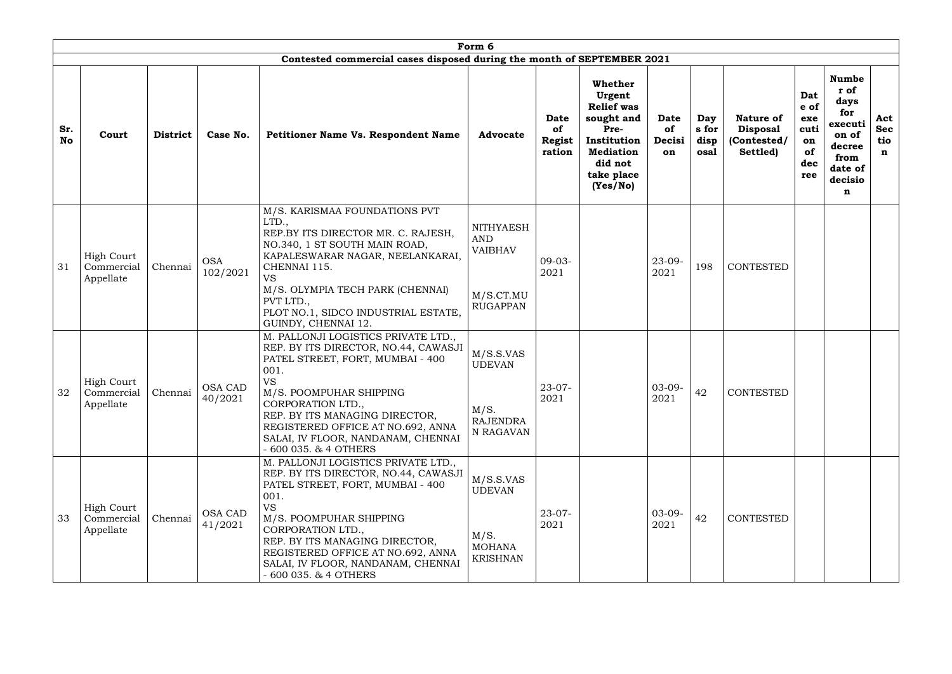|           |                                              |                 |                           |                                                                                                                                                                                                                                                                                                                              | Form 6                                                                           |                                       |                                                                                                                                      |                                   |                              |                                                         |                                                      |                                                                                                      |                                         |
|-----------|----------------------------------------------|-----------------|---------------------------|------------------------------------------------------------------------------------------------------------------------------------------------------------------------------------------------------------------------------------------------------------------------------------------------------------------------------|----------------------------------------------------------------------------------|---------------------------------------|--------------------------------------------------------------------------------------------------------------------------------------|-----------------------------------|------------------------------|---------------------------------------------------------|------------------------------------------------------|------------------------------------------------------------------------------------------------------|-----------------------------------------|
|           |                                              |                 |                           | Contested commercial cases disposed during the month of SEPTEMBER 2021                                                                                                                                                                                                                                                       |                                                                                  |                                       |                                                                                                                                      |                                   |                              |                                                         |                                                      |                                                                                                      |                                         |
| Sr.<br>No | Court                                        | <b>District</b> | Case No.                  | <b>Petitioner Name Vs. Respondent Name</b>                                                                                                                                                                                                                                                                                   | <b>Advocate</b>                                                                  | Date<br>of<br><b>Regist</b><br>ration | Whether<br>Urgent<br><b>Relief</b> was<br>sought and<br>Pre-<br>Institution<br><b>Mediation</b><br>did not<br>take place<br>(Yes/No) | Date<br><b>of</b><br>Decisi<br>on | Day<br>s for<br>disp<br>osal | Nature of<br><b>Disposal</b><br>(Contested/<br>Settled) | Dat<br>e of<br>exe<br>cuti<br>on<br>of<br>dec<br>ree | <b>Numbe</b><br>r of<br>days<br>for<br>executi<br>on of<br>decree<br>from<br>date of<br>decisio<br>n | Act<br><b>Sec</b><br>tio<br>$\mathbf n$ |
| 31        | <b>High Court</b><br>Commercial<br>Appellate | Chennai         | <b>OSA</b><br>102/2021    | M/S. KARISMAA FOUNDATIONS PVT<br>LTD.,<br>REP.BY ITS DIRECTOR MR. C. RAJESH,<br>NO.340, 1 ST SOUTH MAIN ROAD,<br>KAPALESWARAR NAGAR, NEELANKARAI,<br>CHENNAI 115.<br>VS<br>M/S. OLYMPIA TECH PARK (CHENNAI)<br>PVT LTD.,<br>PLOT NO.1, SIDCO INDUSTRIAL ESTATE,<br>GUINDY, CHENNAI 12.                                       | <b>NITHYAESH</b><br><b>AND</b><br><b>VAIBHAV</b><br>M/S.CT.MU<br><b>RUGAPPAN</b> | $09 - 03 -$<br>2021                   |                                                                                                                                      | $23 - 09 -$<br>2021               | 198                          | <b>CONTESTED</b>                                        |                                                      |                                                                                                      |                                         |
| 32        | <b>High Court</b><br>Commercial<br>Appellate | Chennai         | OSA CAD<br>40/2021        | M. PALLONJI LOGISTICS PRIVATE LTD.,<br>REP. BY ITS DIRECTOR, NO.44, CAWASJI<br>PATEL STREET, FORT, MUMBAI - 400<br>001.<br><b>VS</b><br>M/S. POOMPUHAR SHIPPING<br>CORPORATION LTD.,<br>REP. BY ITS MANAGING DIRECTOR,<br>REGISTERED OFFICE AT NO.692, ANNA<br>SALAI, IV FLOOR, NANDANAM, CHENNAI<br>$-600035.$ & $4$ OTHERS | M/S.S.VAS<br><b>UDEVAN</b><br>M/S.<br><b>RAJENDRA</b><br>N RAGAVAN               | $23-07-$<br>2021                      |                                                                                                                                      | $03-09-$<br>2021                  | 42                           | <b>CONTESTED</b>                                        |                                                      |                                                                                                      |                                         |
| 33        | <b>High Court</b><br>Commercial<br>Appellate | Chennai         | <b>OSA CAD</b><br>41/2021 | M. PALLONJI LOGISTICS PRIVATE LTD.,<br>REP. BY ITS DIRECTOR, NO.44, CAWASJI<br>PATEL STREET, FORT, MUMBAI - 400<br>001.<br><b>VS</b><br>M/S. POOMPUHAR SHIPPING<br>CORPORATION LTD.,<br>REP. BY ITS MANAGING DIRECTOR,<br>REGISTERED OFFICE AT NO.692, ANNA<br>SALAI, IV FLOOR, NANDANAM, CHENNAI<br>$-600035.$ & $4$ OTHERS | M/S.S.VAS<br><b>UDEVAN</b><br>M/S.<br><b>MOHANA</b><br><b>KRISHNAN</b>           | $23 - 07 -$<br>2021                   |                                                                                                                                      | $03-09-$<br>2021                  | 42                           | <b>CONTESTED</b>                                        |                                                      |                                                                                                      |                                         |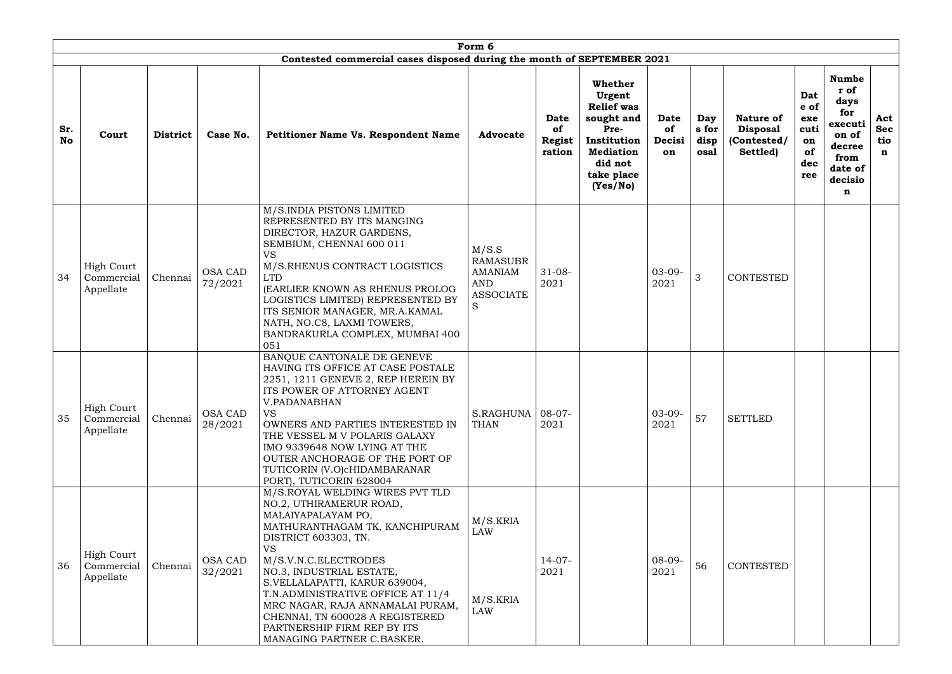|           |                                              |                 |                           |                                                                                                                                                                                                                                                                                                                                                                                                                       | Form 6                                                                            |                                                     |                                                                                                                                      |                            |                              |                                                                |                                                      |                                                                                                      |                                         |
|-----------|----------------------------------------------|-----------------|---------------------------|-----------------------------------------------------------------------------------------------------------------------------------------------------------------------------------------------------------------------------------------------------------------------------------------------------------------------------------------------------------------------------------------------------------------------|-----------------------------------------------------------------------------------|-----------------------------------------------------|--------------------------------------------------------------------------------------------------------------------------------------|----------------------------|------------------------------|----------------------------------------------------------------|------------------------------------------------------|------------------------------------------------------------------------------------------------------|-----------------------------------------|
|           |                                              |                 |                           | Contested commercial cases disposed during the month of SEPTEMBER 2021                                                                                                                                                                                                                                                                                                                                                |                                                                                   |                                                     |                                                                                                                                      |                            |                              |                                                                |                                                      |                                                                                                      |                                         |
| Sr.<br>No | Court                                        | <b>District</b> | Case No.                  | <b>Petitioner Name Vs. Respondent Name</b>                                                                                                                                                                                                                                                                                                                                                                            | <b>Advocate</b>                                                                   | <b>Date</b><br><b>of</b><br><b>Regist</b><br>ration | Whether<br>Urgent<br><b>Relief was</b><br>sought and<br>Pre-<br>Institution<br><b>Mediation</b><br>did not<br>take place<br>(Yes/No) | Date<br>of<br>Decisi<br>on | Day<br>s for<br>disp<br>osal | <b>Nature of</b><br><b>Disposal</b><br>(Contested/<br>Settled) | Dat<br>e of<br>exe<br>cuti<br>on<br>of<br>dec<br>ree | <b>Numbe</b><br>r of<br>days<br>for<br>executi<br>on of<br>decree<br>from<br>date of<br>decisio<br>n | Act<br><b>Sec</b><br>tio<br>$\mathbf n$ |
| 34        | <b>High Court</b><br>Commercial<br>Appellate | Chennai         | <b>OSA CAD</b><br>72/2021 | M/S.INDIA PISTONS LIMITED<br>REPRESENTED BY ITS MANGING<br>DIRECTOR, HAZUR GARDENS,<br>SEMBIUM, CHENNAI 600 011<br><b>VS</b><br>M/S.RHENUS CONTRACT LOGISTICS<br><b>LTD</b><br>(EARLIER KNOWN AS RHENUS PROLOG<br>LOGISTICS LIMITED) REPRESENTED BY<br>ITS SENIOR MANAGER, MR.A.KAMAL<br>NATH, NO.C8, LAXMI TOWERS,<br>BANDRAKURLA COMPLEX, MUMBAI 400<br>051                                                         | M/S.S<br><b>RAMASUBR</b><br><b>AMANIAM</b><br><b>AND</b><br><b>ASSOCIATE</b><br>S | $31 - 08 -$<br>2021                                 |                                                                                                                                      | $03-09-$<br>2021           | 3                            | CONTESTED                                                      |                                                      |                                                                                                      |                                         |
| 35        | <b>High Court</b><br>Commercial<br>Appellate | Chennai         | <b>OSA CAD</b><br>28/2021 | BANQUE CANTONALE DE GENEVE<br>HAVING ITS OFFICE AT CASE POSTALE<br>2251, 1211 GENEVE 2, REP HEREIN BY<br>ITS POWER OF ATTORNEY AGENT<br>V.PADANABHAN<br><b>VS</b><br>OWNERS AND PARTIES INTERESTED IN<br>THE VESSEL M V POLARIS GALAXY<br>IMO 9339648 NOW LYING AT THE<br>OUTER ANCHORAGE OF THE PORT OF<br>TUTICORIN (V.O)cHIDAMBARANAR<br>PORT), TUTICORIN 628004                                                   | S.RAGHUNA<br><b>THAN</b>                                                          | $ 08-07-$<br>2021                                   |                                                                                                                                      | $03-09-$<br>2021           | 57                           | <b>SETTLED</b>                                                 |                                                      |                                                                                                      |                                         |
| 36        | <b>High Court</b><br>Commercial<br>Appellate | Chennai         | <b>OSA CAD</b><br>32/2021 | M/S.ROYAL WELDING WIRES PVT TLD<br>NO.2, UTHIRAMERUR ROAD,<br>MALAIYAPALAYAM PO,<br>MATHURANTHAGAM TK, KANCHIPURAM<br>DISTRICT 603303, TN.<br><b>VS</b><br>M/S.V.N.C.ELECTRODES<br>NO.3, INDUSTRIAL ESTATE,<br>S.VELLALAPATTI, KARUR 639004,<br>T.N.ADMINISTRATIVE OFFICE AT 11/4<br>MRC NAGAR, RAJA ANNAMALAI PURAM,<br>CHENNAI, TN 600028 A REGISTERED<br>PARTNERSHIP FIRM REP BY ITS<br>MANAGING PARTNER C.BASKER. | M/S.KRIA<br><b>LAW</b><br>M/S.KRIA<br>LAW                                         | $14-07-$<br>2021                                    |                                                                                                                                      | $08-09-$<br>2021           | 56                           | CONTESTED                                                      |                                                      |                                                                                                      |                                         |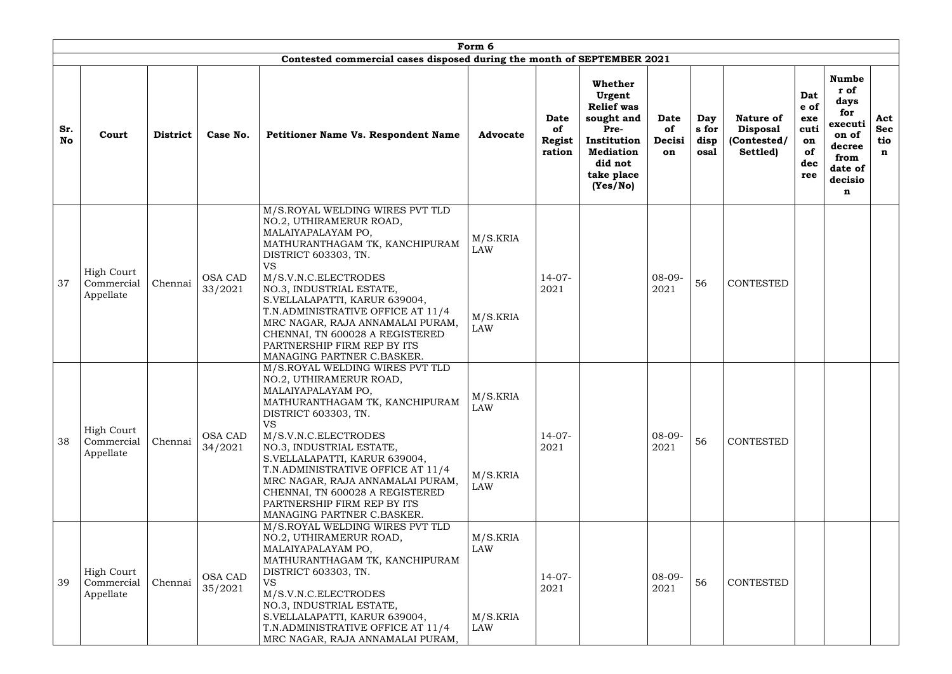|                  |                                              |                 |                           |                                                                                                                                                                                                                                                                                                                                                                                                                       | Form 6                                    |                                              |                                                                                                                                             |                                   |                              |                                                                |                                                      |                                                                                                      |                                         |
|------------------|----------------------------------------------|-----------------|---------------------------|-----------------------------------------------------------------------------------------------------------------------------------------------------------------------------------------------------------------------------------------------------------------------------------------------------------------------------------------------------------------------------------------------------------------------|-------------------------------------------|----------------------------------------------|---------------------------------------------------------------------------------------------------------------------------------------------|-----------------------------------|------------------------------|----------------------------------------------------------------|------------------------------------------------------|------------------------------------------------------------------------------------------------------|-----------------------------------------|
| Sr.<br><b>No</b> | Court                                        | <b>District</b> | Case No.                  | Contested commercial cases disposed during the month of SEPTEMBER 2021<br>Petitioner Name Vs. Respondent Name                                                                                                                                                                                                                                                                                                         | <b>Advocate</b>                           | <b>Date</b><br>of<br><b>Regist</b><br>ration | <b>Whether</b><br>Urgent<br><b>Relief was</b><br>sought and<br>Pre-<br>Institution<br><b>Mediation</b><br>did not<br>take place<br>(Yes/No) | <b>Date</b><br>of<br>Decisi<br>on | Day<br>s for<br>disp<br>osal | <b>Nature of</b><br><b>Disposal</b><br>(Contested/<br>Settled) | Dat<br>e of<br>exe<br>cuti<br>on<br>of<br>dec<br>ree | <b>Numbe</b><br>r of<br>days<br>for<br>executi<br>on of<br>decree<br>from<br>date of<br>decisio<br>n | Act<br><b>Sec</b><br>tio<br>$\mathbf n$ |
| 37               | <b>High Court</b><br>Commercial<br>Appellate | Chennai         | <b>OSA CAD</b><br>33/2021 | M/S.ROYAL WELDING WIRES PVT TLD<br>NO.2, UTHIRAMERUR ROAD,<br>MALAIYAPALAYAM PO,<br>MATHURANTHAGAM TK, KANCHIPURAM<br>DISTRICT 603303, TN.<br><b>VS</b><br>M/S.V.N.C.ELECTRODES<br>NO.3, INDUSTRIAL ESTATE,<br>S.VELLALAPATTI, KARUR 639004,<br>T.N.ADMINISTRATIVE OFFICE AT 11/4<br>MRC NAGAR, RAJA ANNAMALAI PURAM,<br>CHENNAI, TN 600028 A REGISTERED<br>PARTNERSHIP FIRM REP BY ITS<br>MANAGING PARTNER C.BASKER. | M/S.KRIA<br><b>LAW</b><br>M/S.KRIA<br>LAW | $14-07-$<br>2021                             |                                                                                                                                             | $08-09-$<br>2021                  | 56                           | CONTESTED                                                      |                                                      |                                                                                                      |                                         |
| 38               | <b>High Court</b><br>Commercial<br>Appellate | Chennai         | <b>OSA CAD</b><br>34/2021 | M/S.ROYAL WELDING WIRES PVT TLD<br>NO.2, UTHIRAMERUR ROAD,<br>MALAIYAPALAYAM PO,<br>MATHURANTHAGAM TK, KANCHIPURAM<br>DISTRICT 603303, TN.<br><b>VS</b><br>M/S.V.N.C.ELECTRODES<br>NO.3, INDUSTRIAL ESTATE,<br>S.VELLALAPATTI, KARUR 639004,<br>T.N.ADMINISTRATIVE OFFICE AT 11/4<br>MRC NAGAR, RAJA ANNAMALAI PURAM,<br>CHENNAI, TN 600028 A REGISTERED<br>PARTNERSHIP FIRM REP BY ITS<br>MANAGING PARTNER C.BASKER. | M/S.KRIA<br><b>LAW</b><br>M/S.KRIA<br>LAW | $14-07-$<br>2021                             |                                                                                                                                             | $08-09-$<br>2021                  | 56                           | CONTESTED                                                      |                                                      |                                                                                                      |                                         |
| 39               | <b>High Court</b><br>Commercial<br>Appellate | Chennai         | <b>OSA CAD</b><br>35/2021 | M/S.ROYAL WELDING WIRES PVT TLD<br>NO.2, UTHIRAMERUR ROAD,<br>MALAIYAPALAYAM PO,<br>MATHURANTHAGAM TK, KANCHIPURAM<br>DISTRICT 603303, TN.<br><b>VS</b><br>M/S.V.N.C.ELECTRODES<br>NO.3, INDUSTRIAL ESTATE,<br>S.VELLALAPATTI, KARUR 639004,<br>T.N.ADMINISTRATIVE OFFICE AT 11/4<br>MRC NAGAR, RAJA ANNAMALAI PURAM,                                                                                                 | M/S.KRIA<br>LAW<br>M/S.KRIA<br><b>LAW</b> | $14-07-$<br>2021                             |                                                                                                                                             | $08-09-$<br>2021                  | 56                           | <b>CONTESTED</b>                                               |                                                      |                                                                                                      |                                         |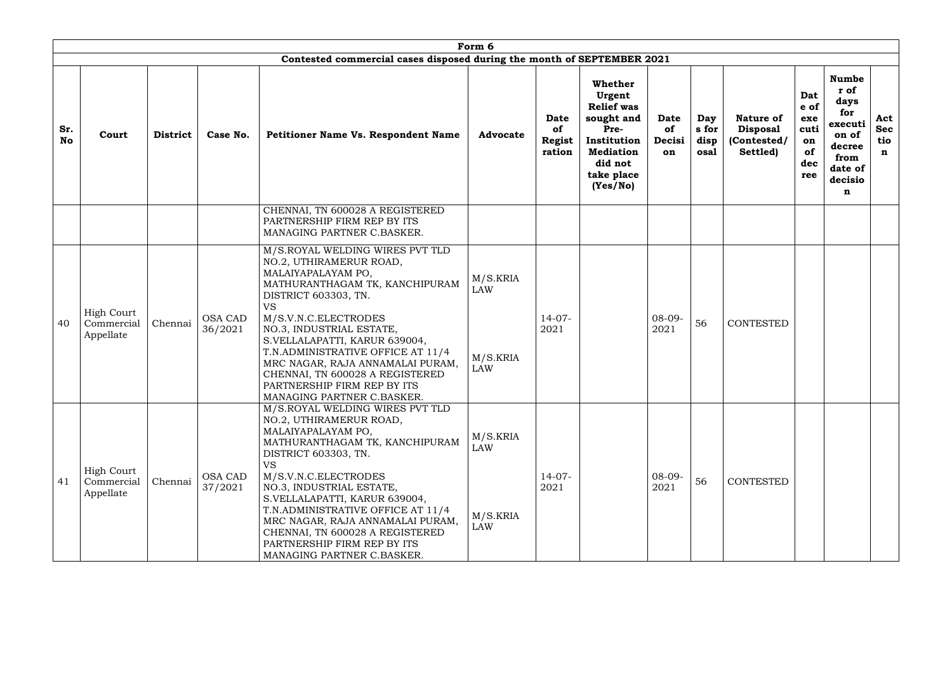|                  |                                              |                 |                           |                                                                                                                                                                                                                                                                                                                                                                                                                       | Form 6                                           |                                       |                                                                                                                                      |                            |                              |                                                                |                                                      |                                                                                                      |                                         |
|------------------|----------------------------------------------|-----------------|---------------------------|-----------------------------------------------------------------------------------------------------------------------------------------------------------------------------------------------------------------------------------------------------------------------------------------------------------------------------------------------------------------------------------------------------------------------|--------------------------------------------------|---------------------------------------|--------------------------------------------------------------------------------------------------------------------------------------|----------------------------|------------------------------|----------------------------------------------------------------|------------------------------------------------------|------------------------------------------------------------------------------------------------------|-----------------------------------------|
|                  |                                              |                 |                           | Contested commercial cases disposed during the month of SEPTEMBER 2021                                                                                                                                                                                                                                                                                                                                                |                                                  |                                       |                                                                                                                                      |                            |                              |                                                                |                                                      |                                                                                                      |                                         |
| Sr.<br><b>No</b> | Court                                        | <b>District</b> | Case No.                  | Petitioner Name Vs. Respondent Name                                                                                                                                                                                                                                                                                                                                                                                   | <b>Advocate</b>                                  | Date<br>of<br><b>Regist</b><br>ration | Whether<br>Urgent<br><b>Relief was</b><br>sought and<br>Pre-<br>Institution<br><b>Mediation</b><br>did not<br>take place<br>(Yes/No) | Date<br>of<br>Decisi<br>on | Day<br>s for<br>disp<br>osal | <b>Nature of</b><br><b>Disposal</b><br>(Contested/<br>Settled) | Dat<br>e of<br>exe<br>cuti<br>on<br>of<br>dec<br>ree | <b>Numbe</b><br>r of<br>days<br>for<br>executi<br>on of<br>decree<br>from<br>date of<br>decisio<br>n | Act<br><b>Sec</b><br>tio<br>$\mathbf n$ |
|                  |                                              |                 |                           | CHENNAI, TN 600028 A REGISTERED<br>PARTNERSHIP FIRM REP BY ITS<br>MANAGING PARTNER C.BASKER.                                                                                                                                                                                                                                                                                                                          |                                                  |                                       |                                                                                                                                      |                            |                              |                                                                |                                                      |                                                                                                      |                                         |
| 40               | <b>High Court</b><br>Commercial<br>Appellate | Chennai         | <b>OSA CAD</b><br>36/2021 | M/S.ROYAL WELDING WIRES PVT TLD<br>NO.2, UTHIRAMERUR ROAD,<br>MALAIYAPALAYAM PO,<br>MATHURANTHAGAM TK, KANCHIPURAM<br>DISTRICT 603303, TN.<br><b>VS</b><br>M/S.V.N.C.ELECTRODES<br>NO.3, INDUSTRIAL ESTATE,<br>S.VELLALAPATTI, KARUR 639004,<br>T.N.ADMINISTRATIVE OFFICE AT 11/4<br>MRC NAGAR, RAJA ANNAMALAI PURAM,<br>CHENNAI, TN 600028 A REGISTERED<br>PARTNERSHIP FIRM REP BY ITS<br>MANAGING PARTNER C.BASKER. | M/S.KRIA<br><b>LAW</b><br>M/S.KRIA<br><b>LAW</b> | $14-07-$<br>2021                      |                                                                                                                                      | $08 - 09 -$<br>2021        | 56                           | <b>CONTESTED</b>                                               |                                                      |                                                                                                      |                                         |
| 41               | <b>High Court</b><br>Commercial<br>Appellate | Chennai         | <b>OSA CAD</b><br>37/2021 | M/S.ROYAL WELDING WIRES PVT TLD<br>NO.2, UTHIRAMERUR ROAD,<br>MALAIYAPALAYAM PO,<br>MATHURANTHAGAM TK, KANCHIPURAM<br>DISTRICT 603303, TN.<br><b>VS</b><br>M/S.V.N.C.ELECTRODES<br>NO.3, INDUSTRIAL ESTATE,<br>S.VELLALAPATTI, KARUR 639004,<br>T.N.ADMINISTRATIVE OFFICE AT 11/4<br>MRC NAGAR, RAJA ANNAMALAI PURAM,<br>CHENNAI, TN 600028 A REGISTERED<br>PARTNERSHIP FIRM REP BY ITS<br>MANAGING PARTNER C.BASKER. | M/S.KRIA<br><b>LAW</b><br>M/S.KRIA<br><b>LAW</b> | $14-07-$<br>2021                      |                                                                                                                                      | $08-09-$<br>2021           | 56                           | <b>CONTESTED</b>                                               |                                                      |                                                                                                      |                                         |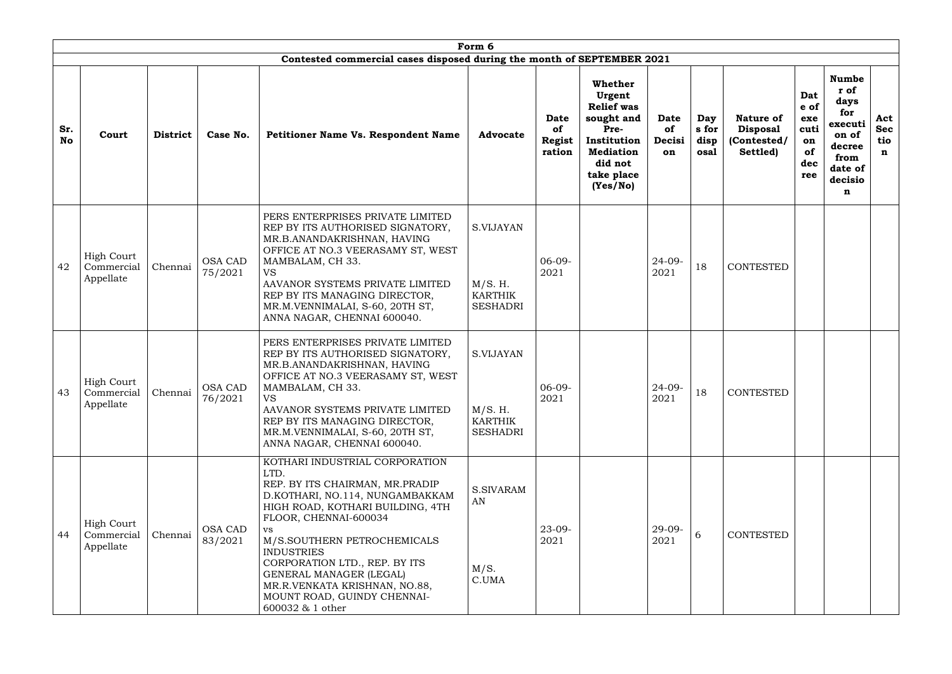|                  |                                              |                 |                           |                                                                                                                                                                                                                                                                                                                                                                                      | Form 6                                                           |                                       |                                                                                                                                      |                                   |                              |                                                                |                                                      |                                                                                                      |                                         |
|------------------|----------------------------------------------|-----------------|---------------------------|--------------------------------------------------------------------------------------------------------------------------------------------------------------------------------------------------------------------------------------------------------------------------------------------------------------------------------------------------------------------------------------|------------------------------------------------------------------|---------------------------------------|--------------------------------------------------------------------------------------------------------------------------------------|-----------------------------------|------------------------------|----------------------------------------------------------------|------------------------------------------------------|------------------------------------------------------------------------------------------------------|-----------------------------------------|
|                  |                                              |                 |                           | Contested commercial cases disposed during the month of SEPTEMBER 2021                                                                                                                                                                                                                                                                                                               |                                                                  |                                       |                                                                                                                                      |                                   |                              |                                                                |                                                      |                                                                                                      |                                         |
| Sr.<br><b>No</b> | Court                                        | <b>District</b> | Case No.                  | <b>Petitioner Name Vs. Respondent Name</b>                                                                                                                                                                                                                                                                                                                                           | <b>Advocate</b>                                                  | <b>Date</b><br>of<br>Regist<br>ration | Whether<br>Urgent<br><b>Relief was</b><br>sought and<br>Pre-<br>Institution<br><b>Mediation</b><br>did not<br>take place<br>(Yes/No) | <b>Date</b><br>of<br>Decisi<br>on | Day<br>s for<br>disp<br>osal | <b>Nature of</b><br><b>Disposal</b><br>(Contested/<br>Settled) | Dat<br>e of<br>exe<br>cuti<br>on<br>of<br>dec<br>ree | <b>Numbe</b><br>r of<br>days<br>for<br>executi<br>on of<br>decree<br>from<br>date of<br>decisio<br>n | Act<br><b>Sec</b><br>tio<br>$\mathbf n$ |
| 42               | <b>High Court</b><br>Commercial<br>Appellate | Chennai         | <b>OSA CAD</b><br>75/2021 | PERS ENTERPRISES PRIVATE LIMITED<br>REP BY ITS AUTHORISED SIGNATORY,<br>MR.B.ANANDAKRISHNAN, HAVING<br>OFFICE AT NO.3 VEERASAMY ST, WEST<br>MAMBALAM, CH 33.<br><b>VS</b><br>AAVANOR SYSTEMS PRIVATE LIMITED<br>REP BY ITS MANAGING DIRECTOR,<br>MR.M.VENNIMALAI, S-60, 20TH ST,<br>ANNA NAGAR, CHENNAI 600040.                                                                      | <b>S.VIJAYAN</b><br>M/S. H.<br><b>KARTHIK</b><br><b>SESHADRI</b> | $06-09-$<br>2021                      |                                                                                                                                      | $24 - 09 -$<br>2021               | 18                           | <b>CONTESTED</b>                                               |                                                      |                                                                                                      |                                         |
| 43               | <b>High Court</b><br>Commercial<br>Appellate | Chennai         | OSA CAD<br>76/2021        | PERS ENTERPRISES PRIVATE LIMITED<br>REP BY ITS AUTHORISED SIGNATORY,<br>MR.B.ANANDAKRISHNAN, HAVING<br>OFFICE AT NO.3 VEERASAMY ST, WEST<br>MAMBALAM, CH 33.<br><b>VS</b><br>AAVANOR SYSTEMS PRIVATE LIMITED<br>REP BY ITS MANAGING DIRECTOR,<br>MR.M.VENNIMALAI, S-60, 20TH ST,<br>ANNA NAGAR, CHENNAI 600040.                                                                      | S.VIJAYAN<br>M/S. H.<br>KARTHIK<br><b>SESHADRI</b>               | $06-09-$<br>2021                      |                                                                                                                                      | $24 - 09 -$<br>2021               | 18                           | <b>CONTESTED</b>                                               |                                                      |                                                                                                      |                                         |
| 44               | <b>High Court</b><br>Commercial<br>Appellate | Chennai         | <b>OSA CAD</b><br>83/2021 | KOTHARI INDUSTRIAL CORPORATION<br>LTD.<br>REP. BY ITS CHAIRMAN, MR.PRADIP<br>D.KOTHARI, NO.114, NUNGAMBAKKAM<br>HIGH ROAD, KOTHARI BUILDING, 4TH<br>FLOOR, CHENNAI-600034<br>VS.<br>M/S.SOUTHERN PETROCHEMICALS<br><b>INDUSTRIES</b><br>CORPORATION LTD., REP. BY ITS<br>GENERAL MANAGER (LEGAL)<br>MR.R.VENKATA KRISHNAN, NO.88,<br>MOUNT ROAD, GUINDY CHENNAI-<br>600032 & 1 other | <b>S.SIVARAM</b><br>AN<br>M/S.<br>C.UMA                          | $23 - 09 -$<br>2021                   |                                                                                                                                      | $29 - 09 -$<br>2021               | 6                            | <b>CONTESTED</b>                                               |                                                      |                                                                                                      |                                         |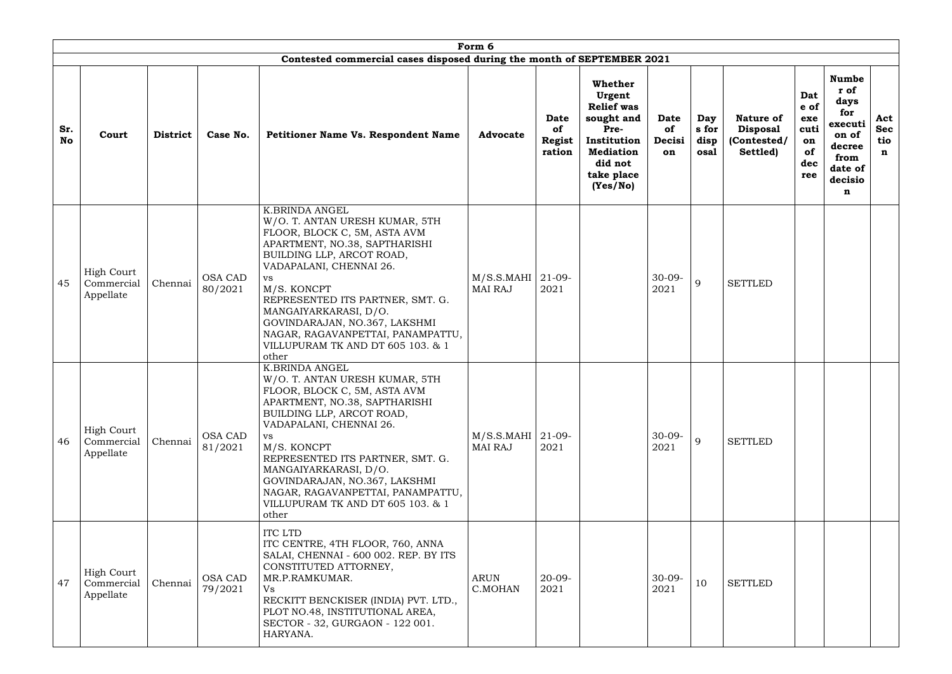|                  |                                              |                 |                           | Contested commercial cases disposed during the month of SEPTEMBER 2021                                                                                                                                                                                                                                                                                                                        | Form 6                                  |                                              |                                                                                                                                             |                            |                              |                                                                |                                                      |                                                                                                      |                                         |
|------------------|----------------------------------------------|-----------------|---------------------------|-----------------------------------------------------------------------------------------------------------------------------------------------------------------------------------------------------------------------------------------------------------------------------------------------------------------------------------------------------------------------------------------------|-----------------------------------------|----------------------------------------------|---------------------------------------------------------------------------------------------------------------------------------------------|----------------------------|------------------------------|----------------------------------------------------------------|------------------------------------------------------|------------------------------------------------------------------------------------------------------|-----------------------------------------|
| Sr.<br><b>No</b> | Court                                        | <b>District</b> | Case No.                  | <b>Petitioner Name Vs. Respondent Name</b>                                                                                                                                                                                                                                                                                                                                                    | <b>Advocate</b>                         | <b>Date</b><br>of<br><b>Regist</b><br>ration | <b>Whether</b><br>Urgent<br><b>Relief was</b><br>sought and<br>Pre-<br>Institution<br><b>Mediation</b><br>did not<br>take place<br>(Yes/No) | Date<br>of<br>Decisi<br>on | Day<br>s for<br>disp<br>osal | <b>Nature of</b><br><b>Disposal</b><br>(Contested/<br>Settled) | Dat<br>e of<br>exe<br>cuti<br>on<br>of<br>dec<br>ree | <b>Numbe</b><br>r of<br>days<br>for<br>executi<br>on of<br>decree<br>from<br>date of<br>decisio<br>n | Act<br><b>Sec</b><br>tio<br>$\mathbf n$ |
| 45               | <b>High Court</b><br>Commercial<br>Appellate | Chennai         | <b>OSA CAD</b><br>80/2021 | <b>K.BRINDA ANGEL</b><br>W/O. T. ANTAN URESH KUMAR, 5TH<br>FLOOR, BLOCK C, 5M, ASTA AVM<br>APARTMENT, NO.38, SAPTHARISHI<br>BUILDING LLP, ARCOT ROAD,<br>VADAPALANI, CHENNAI 26.<br><b>VS</b><br>M/S. KONCPT<br>REPRESENTED ITS PARTNER, SMT. G.<br>MANGAIYARKARASI, D/O.<br>GOVINDARAJAN, NO.367, LAKSHMI<br>NAGAR, RAGAVANPETTAI, PANAMPATTU,<br>VILLUPURAM TK AND DT 605 103. & 1<br>other | $M/S.S.MAHI$   21-09-<br><b>MAI RAJ</b> | 2021                                         |                                                                                                                                             | $30-09-$<br>2021           | 9                            | <b>SETTLED</b>                                                 |                                                      |                                                                                                      |                                         |
| 46               | <b>High Court</b><br>Commercial<br>Appellate | Chennai         | <b>OSA CAD</b><br>81/2021 | <b>K.BRINDA ANGEL</b><br>W/O. T. ANTAN URESH KUMAR, 5TH<br>FLOOR, BLOCK C, 5M, ASTA AVM<br>APARTMENT, NO.38, SAPTHARISHI<br>BUILDING LLP, ARCOT ROAD,<br>VADAPALANI, CHENNAI 26.<br>VS<br>M/S. KONCPT<br>REPRESENTED ITS PARTNER, SMT. G.<br>MANGAIYARKARASI, D/O.<br>GOVINDARAJAN, NO.367, LAKSHMI<br>NAGAR, RAGAVANPETTAI, PANAMPATTU,<br>VILLUPURAM TK AND DT 605 103. & 1<br>other        | $M/S.S.MAHI$   21-09-<br><b>MAI RAJ</b> | 2021                                         |                                                                                                                                             | $30-09-$<br>2021           | $\mathbf{Q}$                 | <b>SETTLED</b>                                                 |                                                      |                                                                                                      |                                         |
| 47               | <b>High Court</b><br>Commercial<br>Appellate | Chennai         | <b>OSA CAD</b><br>79/2021 | <b>ITC LTD</b><br>ITC CENTRE, 4TH FLOOR, 760, ANNA<br>SALAI, CHENNAI - 600 002. REP. BY ITS<br>CONSTITUTED ATTORNEY,<br>MR.P.RAMKUMAR.<br>Vs<br>RECKITT BENCKISER (INDIA) PVT. LTD.,<br>PLOT NO.48, INSTITUTIONAL AREA,<br>SECTOR - 32, GURGAON - 122 001.<br>HARYANA.                                                                                                                        | <b>ARUN</b><br>C.MOHAN                  | $20-09-$<br>2021                             |                                                                                                                                             | $30-09-$<br>2021           | 10                           | <b>SETTLED</b>                                                 |                                                      |                                                                                                      |                                         |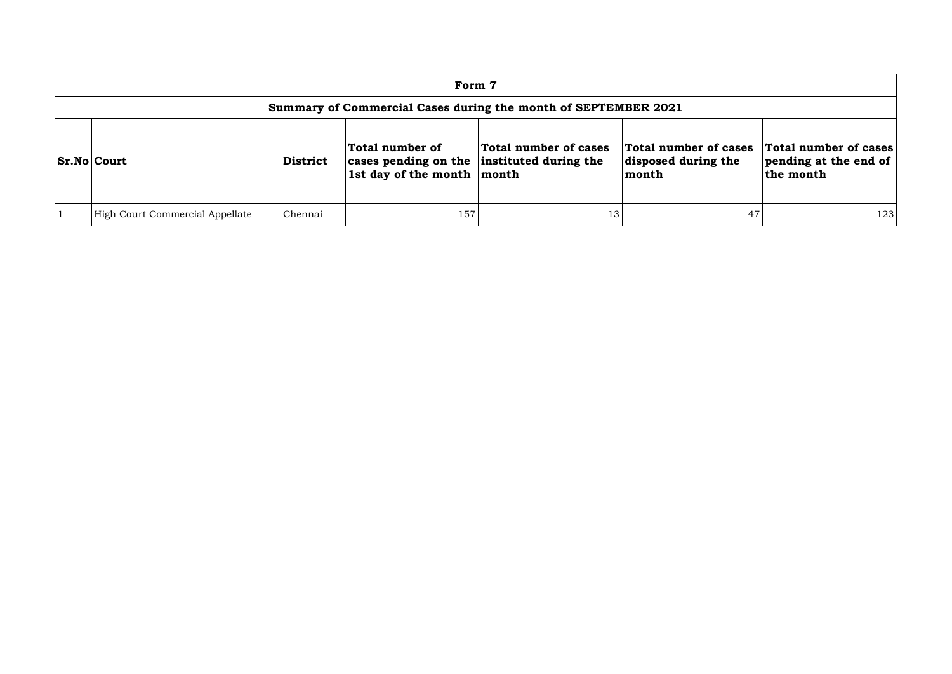| Form 7                                                         |                 |                                                                                                 |                       |                                                       |                                                             |  |  |  |  |  |
|----------------------------------------------------------------|-----------------|-------------------------------------------------------------------------------------------------|-----------------------|-------------------------------------------------------|-------------------------------------------------------------|--|--|--|--|--|
| Summary of Commercial Cases during the month of SEPTEMBER 2021 |                 |                                                                                                 |                       |                                                       |                                                             |  |  |  |  |  |
| Sr.No Court                                                    | <b>District</b> | Total number of<br>cases pending on the instituted during the<br>1st day of the month $ $ month | Total number of cases | Total number of cases<br>disposed during the<br>month | Total number of cases<br>pending at the end of<br>the month |  |  |  |  |  |
| High Court Commercial Appellate                                | Chennai         | 157                                                                                             | 13                    | 47                                                    | 123                                                         |  |  |  |  |  |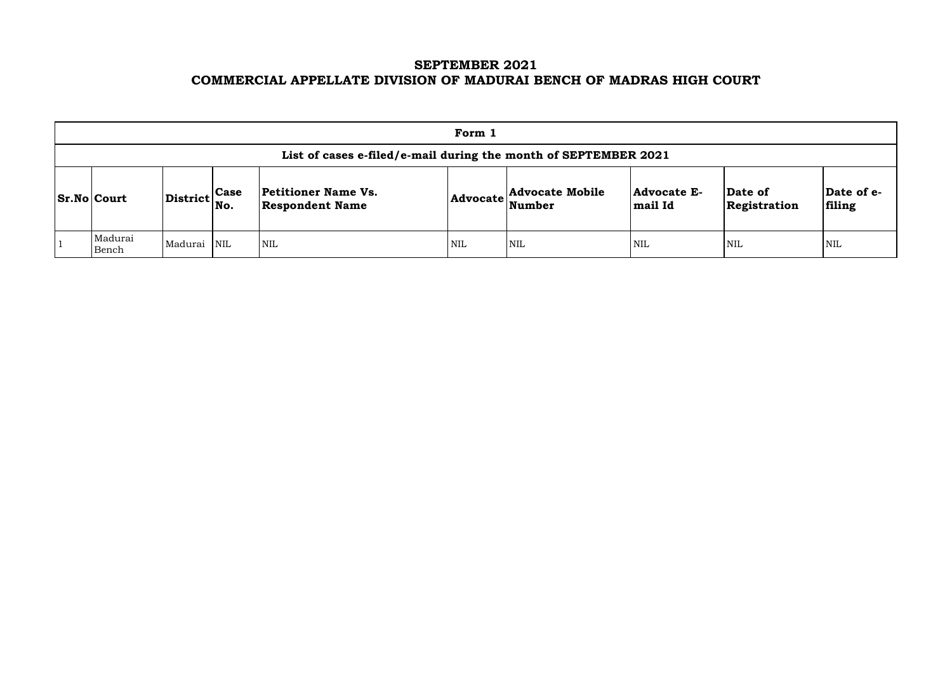# **SEPTEMBER 2021 COMMERCIAL APPELLATE DIVISION OF MADURAI BENCH OF MADRAS HIGH COURT**

|                                                                                                                                                                                                                                                                                          |             |  |            | Form 1 |     |            |            |     |
|------------------------------------------------------------------------------------------------------------------------------------------------------------------------------------------------------------------------------------------------------------------------------------------|-------------|--|------------|--------|-----|------------|------------|-----|
| List of cases e-filed/e-mail during the month of SEPTEMBER 2021                                                                                                                                                                                                                          |             |  |            |        |     |            |            |     |
| <b>Petitioner Name Vs.</b><br><b>Advocate Mobile</b><br><b>Advocate E-</b><br>$ {\bf Da}$<br>Date of<br>$\left \text{District}\right _{\text{No.}}^{\text{Case}}$<br><b>Sr.No Court</b><br>$ {\bf Advocate} \text{Number} $<br>fili<br><b>Respondent Name</b><br>mail Id<br>Registration |             |  |            |        |     |            |            |     |
| Madurai<br>Bench                                                                                                                                                                                                                                                                         | Madurai NIL |  | <b>NIL</b> | NIL    | NIL | <b>NIL</b> | <b>NIL</b> | NIL |

| Date of<br>Registration | Date of e-<br>filing |
|-------------------------|----------------------|
| NIL                     | NH.                  |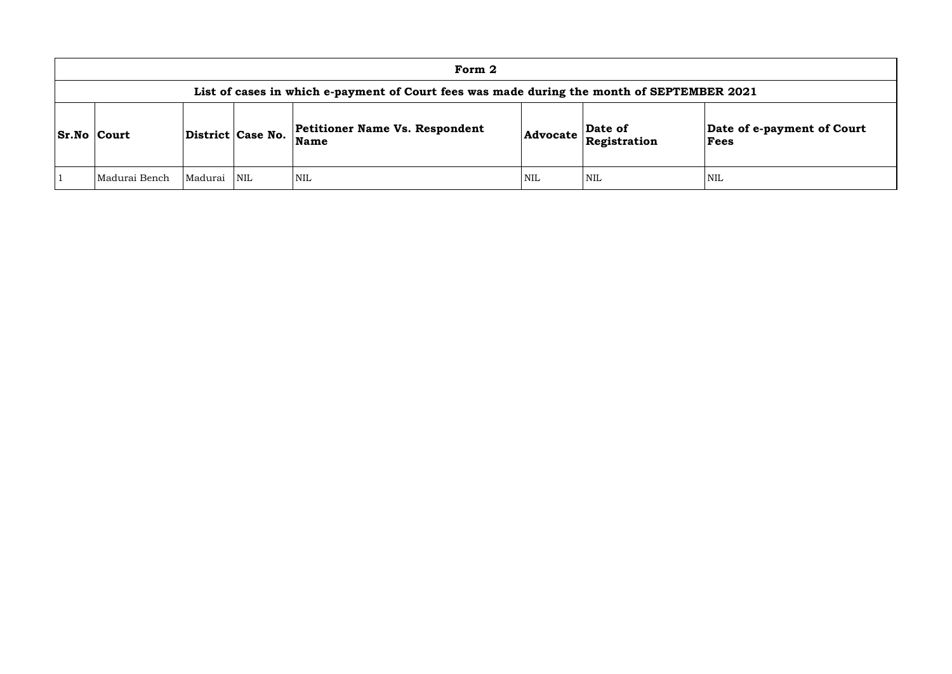|                    |         |                   | Form 2                                                                                     |            |                         |                   |
|--------------------|---------|-------------------|--------------------------------------------------------------------------------------------|------------|-------------------------|-------------------|
|                    |         |                   | List of cases in which e-payment of Court fees was made during the month of SEPTEMBER 2021 |            |                         |                   |
| <b>Sr.No Court</b> |         | District Case No. | <b>Petitioner Name Vs. Respondent</b><br><b>Name</b>                                       | Advocate   | Date of<br>Registration | Date of e<br>Fees |
| Madurai Bench      | Madurai | NIL               | NIL                                                                                        | <b>NIL</b> | <b>NIL</b>              | <b>NIL</b>        |

## **Date of e-payment of Court Fees**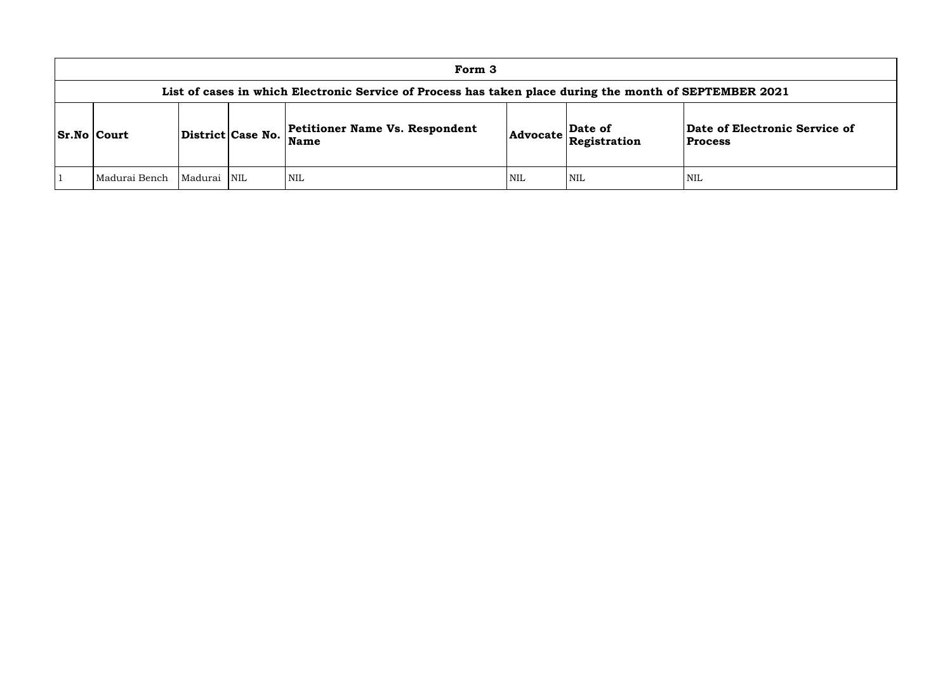## **of Electronic Service of Process**

|                 |             |                   | Form 3                                                                                                  |            |                                                                            |                                      |
|-----------------|-------------|-------------------|---------------------------------------------------------------------------------------------------------|------------|----------------------------------------------------------------------------|--------------------------------------|
|                 |             |                   | List of cases in which Electronic Service of Process has taken place during the month of SEPTEMBER 2021 |            |                                                                            |                                      |
| $ Sr.No $ Court |             | District Case No. | <b>Petitioner Name Vs. Respondent</b><br>Name                                                           |            | Date of<br>$ {\bf Advocate}\left \stackrel{\text{def}}{\text{Res}}\right $ | Date of Electronic<br><b>Process</b> |
| Madurai Bench   | Madurai NIL |                   | <b>NIL</b>                                                                                              | <b>NIL</b> | <b>NIL</b>                                                                 | <b>NIL</b>                           |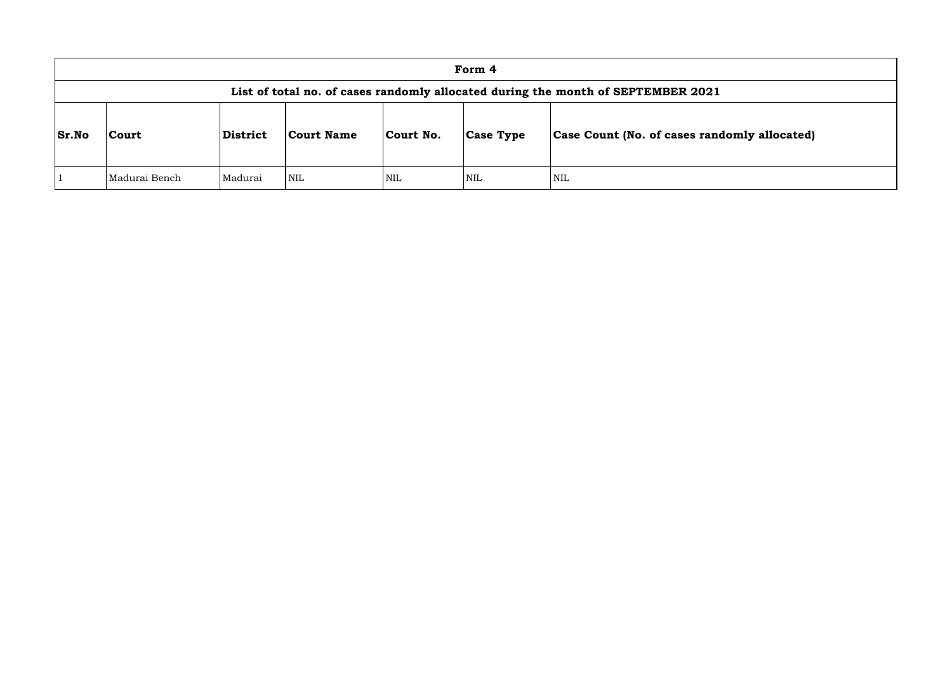|              | Form 4                                                                           |          |                   |            |                  |                               |  |  |  |
|--------------|----------------------------------------------------------------------------------|----------|-------------------|------------|------------------|-------------------------------|--|--|--|
|              | List of total no. of cases randomly allocated during the month of SEPTEMBER 2021 |          |                   |            |                  |                               |  |  |  |
| <b>Sr.No</b> | <b>Court</b>                                                                     | District | <b>Court Name</b> | Court No.  | <b>Case Type</b> | Case Count (No. of cases rane |  |  |  |
|              | Madurai Bench                                                                    | Madurai  | <b>NIL</b>        | <b>NIL</b> | <b>NIL</b>       | <b>NIL</b>                    |  |  |  |

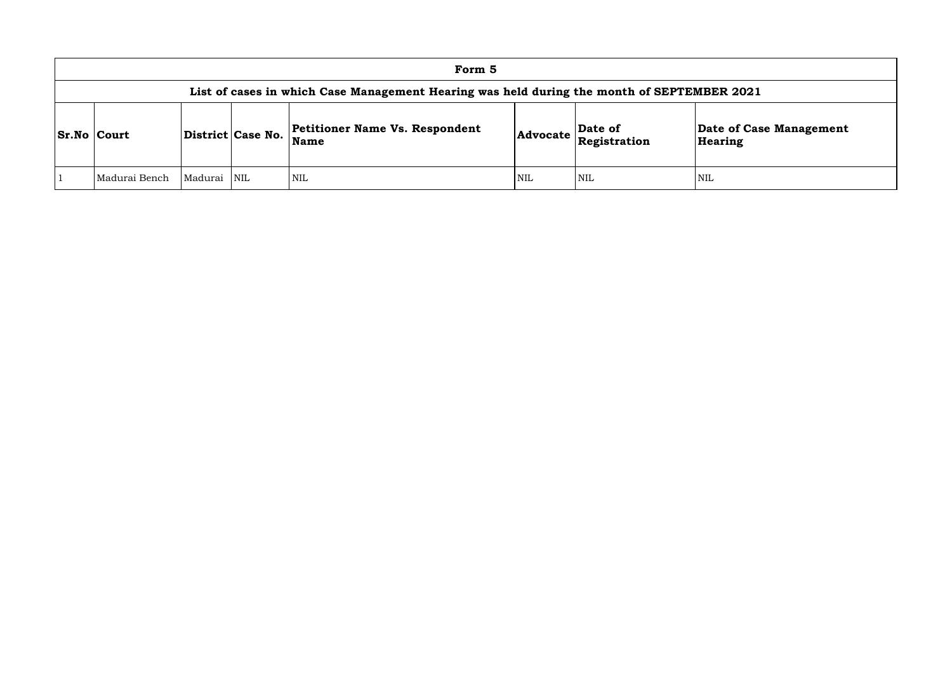| Form 5                                                                                     |                     |            |                                                      |                 |                         |                        |  |  |  |
|--------------------------------------------------------------------------------------------|---------------------|------------|------------------------------------------------------|-----------------|-------------------------|------------------------|--|--|--|
| List of cases in which Case Management Hearing was held during the month of SEPTEMBER 2021 |                     |            |                                                      |                 |                         |                        |  |  |  |
| <b>Sr.No Court</b>                                                                         | District   Case No. |            | <b>Petitioner Name Vs. Respondent</b><br><b>Name</b> | <b>Advocate</b> | Date of<br>Registration | Date of Cas<br>Hearing |  |  |  |
| Madurai Bench                                                                              | Madurai             | <b>NIL</b> | <b>NIL</b>                                           | <b>NIL</b>      | <b>NIL</b>              | <b>NIL</b>             |  |  |  |

**e of Case Management** ring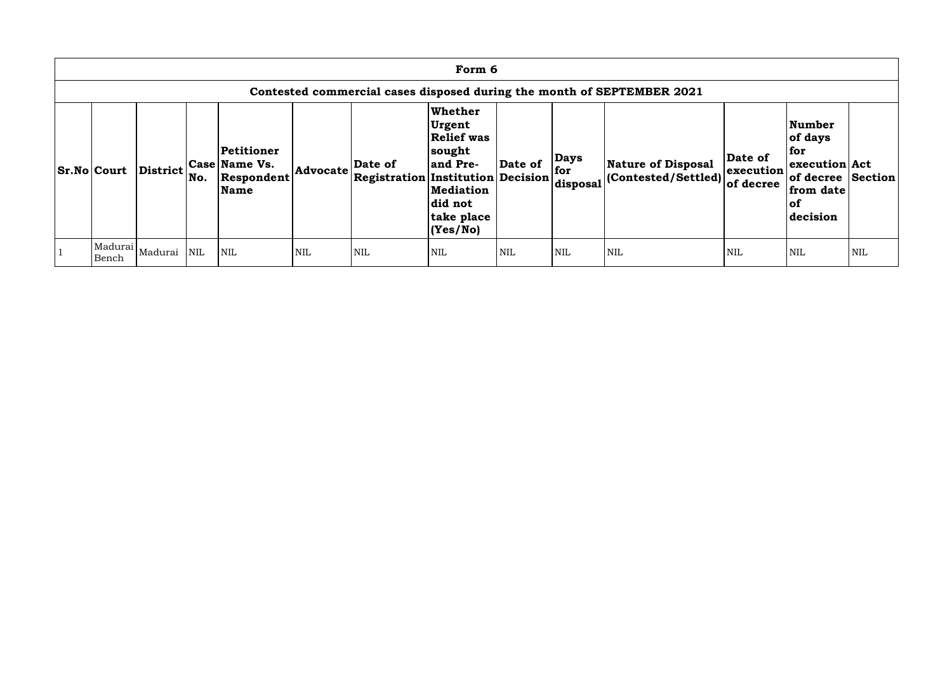| Form 6                                                                 |          |     |                                                                 |            |                                                                              |                                                                                                                              |            |                                |                                                          |                                   |                                                                                                            |            |
|------------------------------------------------------------------------|----------|-----|-----------------------------------------------------------------|------------|------------------------------------------------------------------------------|------------------------------------------------------------------------------------------------------------------------------|------------|--------------------------------|----------------------------------------------------------|-----------------------------------|------------------------------------------------------------------------------------------------------------|------------|
| Contested commercial cases disposed during the month of SEPTEMBER 2021 |          |     |                                                                 |            |                                                                              |                                                                                                                              |            |                                |                                                          |                                   |                                                                                                            |            |
| <b>Sr.No Court</b>                                                     | District | No. | Petitioner<br><b>Case Name Vs.</b><br>Respondent<br><b>Name</b> | Advocate   | Date of<br>$\vert$ Registration $\vert$ Institution $\vert$ Decision $\vert$ | <b>Whether</b><br>Urgent<br><b>Relief was</b><br>sought<br>and Pre-<br><b>Mediation</b><br>did not<br>take place<br>(Yes/No) | Date of    | <b>Days</b><br>for<br>disposal | <b>Nature of Disposal</b><br>$ $ (Contested/Settled) $ $ | Date of<br>execution<br>of decree | <b>Number</b><br>of days<br>  for<br>execution Act<br>of decree Section<br>from date<br>$ $ of<br>decision |            |
| Madurai<br>Bench                                                       | Madurai  | NIL | <b>NIL</b>                                                      | <b>NIL</b> | <b>NIL</b>                                                                   | <b>NIL</b>                                                                                                                   | <b>NIL</b> | <b>NIL</b>                     | <b>NIL</b>                                               | <b>NIL</b>                        | <b>NIL</b>                                                                                                 | <b>NIL</b> |